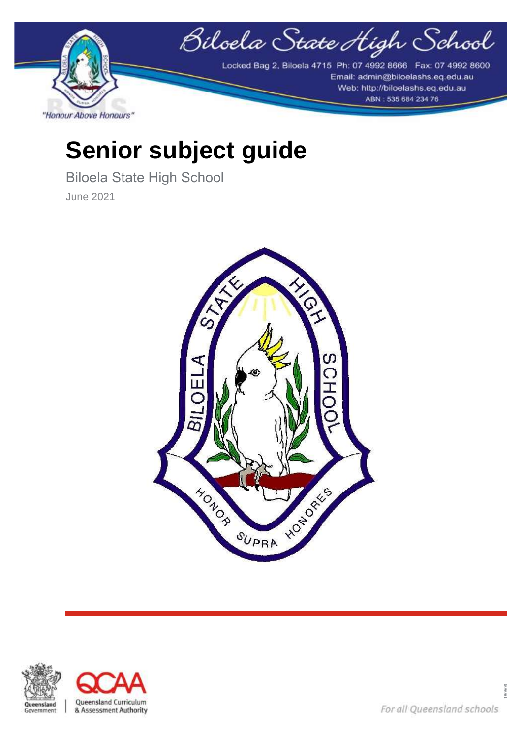

# **Senior subject guide**

Biloela State High School June 2021





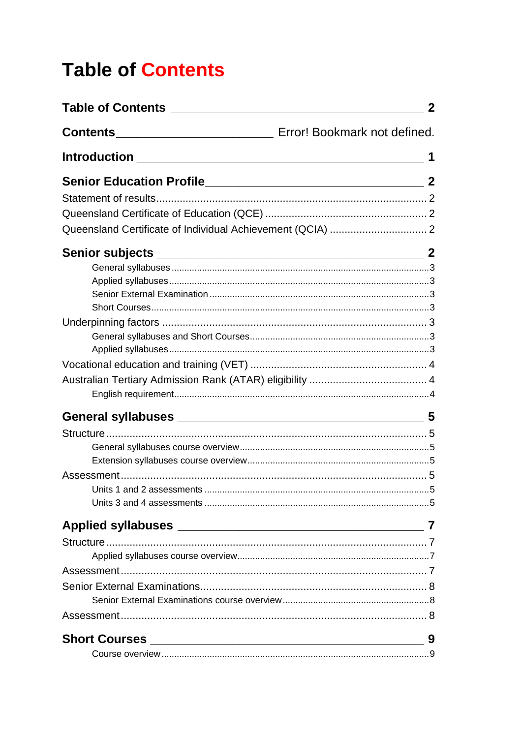# <span id="page-1-0"></span>**Table of Contents**

| $\mathbf{2}$     |
|------------------|
|                  |
|                  |
| $\boldsymbol{2}$ |
|                  |
|                  |
|                  |
|                  |
|                  |
|                  |
|                  |
|                  |
|                  |
|                  |
|                  |
|                  |
|                  |
|                  |
|                  |
|                  |
|                  |
|                  |
|                  |
|                  |
|                  |
|                  |
|                  |
|                  |
|                  |
|                  |
|                  |
| 9                |
|                  |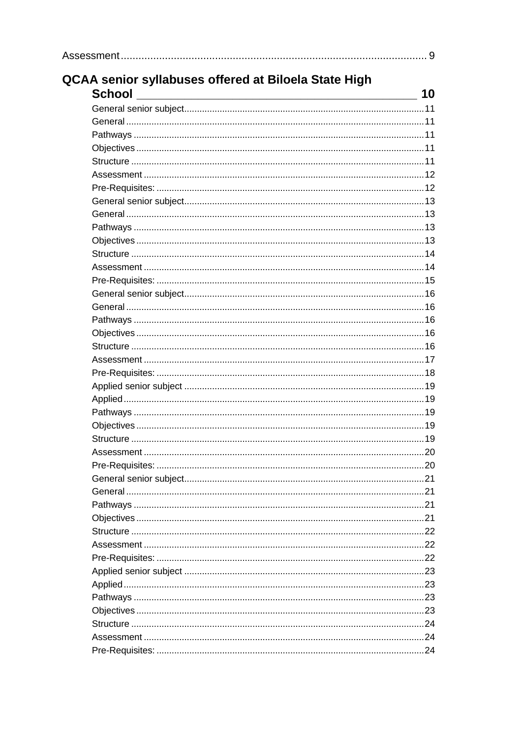| <b>QCAA senior syllabuses offered at Biloela State High</b><br><b>School</b> |  |
|------------------------------------------------------------------------------|--|
|                                                                              |  |
|                                                                              |  |
|                                                                              |  |
|                                                                              |  |
|                                                                              |  |
|                                                                              |  |
|                                                                              |  |
|                                                                              |  |
|                                                                              |  |
|                                                                              |  |
|                                                                              |  |
|                                                                              |  |
|                                                                              |  |
|                                                                              |  |
|                                                                              |  |
|                                                                              |  |
|                                                                              |  |
|                                                                              |  |
|                                                                              |  |
|                                                                              |  |
|                                                                              |  |
|                                                                              |  |
|                                                                              |  |
|                                                                              |  |
|                                                                              |  |
|                                                                              |  |
|                                                                              |  |
|                                                                              |  |
|                                                                              |  |
|                                                                              |  |
|                                                                              |  |
|                                                                              |  |
|                                                                              |  |
|                                                                              |  |
|                                                                              |  |
|                                                                              |  |
|                                                                              |  |
|                                                                              |  |
|                                                                              |  |
|                                                                              |  |
|                                                                              |  |
|                                                                              |  |
|                                                                              |  |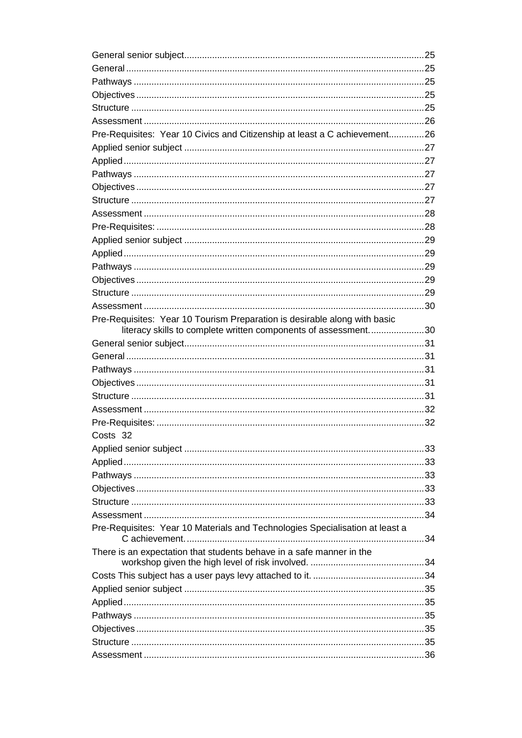| Pre-Requisites: Year 10 Civics and Citizenship at least a C achievement26    |  |
|------------------------------------------------------------------------------|--|
|                                                                              |  |
|                                                                              |  |
|                                                                              |  |
|                                                                              |  |
|                                                                              |  |
|                                                                              |  |
|                                                                              |  |
|                                                                              |  |
|                                                                              |  |
|                                                                              |  |
|                                                                              |  |
|                                                                              |  |
|                                                                              |  |
| Pre-Requisites: Year 10 Tourism Preparation is desirable along with basic    |  |
| literacy skills to complete written components of assessment30               |  |
|                                                                              |  |
|                                                                              |  |
|                                                                              |  |
|                                                                              |  |
|                                                                              |  |
|                                                                              |  |
|                                                                              |  |
| Costs 32                                                                     |  |
|                                                                              |  |
|                                                                              |  |
|                                                                              |  |
|                                                                              |  |
|                                                                              |  |
|                                                                              |  |
| Pre-Requisites: Year 10 Materials and Technologies Specialisation at least a |  |
| There is an expectation that students behave in a safe manner in the         |  |
|                                                                              |  |
|                                                                              |  |
|                                                                              |  |
|                                                                              |  |
|                                                                              |  |
|                                                                              |  |
|                                                                              |  |
|                                                                              |  |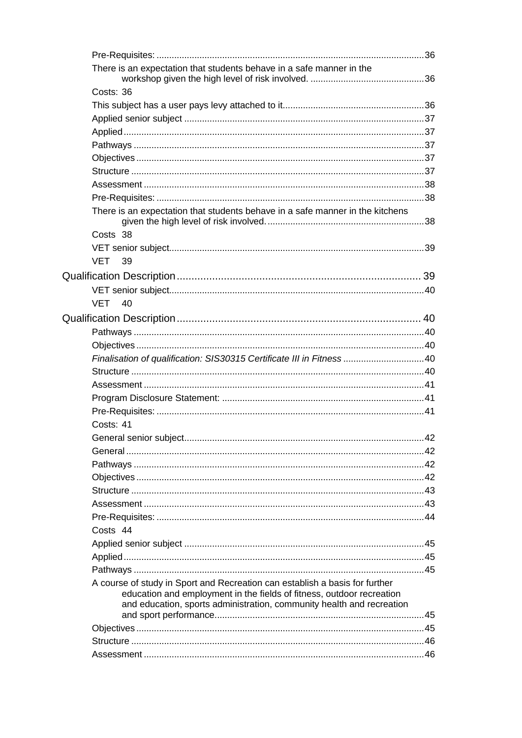| There is an expectation that students behave in a safe manner in the                                                                           |  |
|------------------------------------------------------------------------------------------------------------------------------------------------|--|
| Costs: 36                                                                                                                                      |  |
|                                                                                                                                                |  |
|                                                                                                                                                |  |
|                                                                                                                                                |  |
|                                                                                                                                                |  |
|                                                                                                                                                |  |
|                                                                                                                                                |  |
|                                                                                                                                                |  |
|                                                                                                                                                |  |
| There is an expectation that students behave in a safe manner in the kitchens                                                                  |  |
| Costs 38                                                                                                                                       |  |
|                                                                                                                                                |  |
| <b>VET 39</b>                                                                                                                                  |  |
|                                                                                                                                                |  |
|                                                                                                                                                |  |
| VET<br>40                                                                                                                                      |  |
|                                                                                                                                                |  |
|                                                                                                                                                |  |
|                                                                                                                                                |  |
| Finalisation of qualification: SIS30315 Certificate III in Fitness 40                                                                          |  |
|                                                                                                                                                |  |
|                                                                                                                                                |  |
|                                                                                                                                                |  |
|                                                                                                                                                |  |
| Costs: 41                                                                                                                                      |  |
|                                                                                                                                                |  |
|                                                                                                                                                |  |
|                                                                                                                                                |  |
|                                                                                                                                                |  |
|                                                                                                                                                |  |
|                                                                                                                                                |  |
|                                                                                                                                                |  |
| Costs 44                                                                                                                                       |  |
|                                                                                                                                                |  |
|                                                                                                                                                |  |
|                                                                                                                                                |  |
| A course of study in Sport and Recreation can establish a basis for further                                                                    |  |
| education and employment in the fields of fitness, outdoor recreation<br>and education, sports administration, community health and recreation |  |
|                                                                                                                                                |  |
|                                                                                                                                                |  |
|                                                                                                                                                |  |
|                                                                                                                                                |  |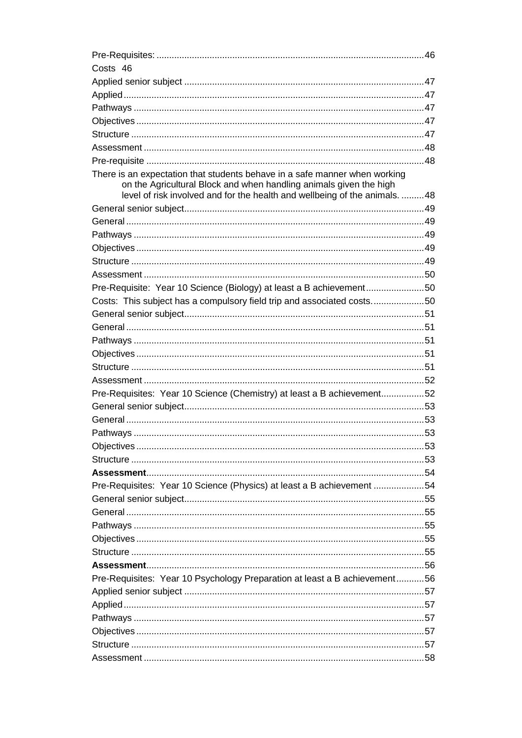| Costs 46                                                                    |  |
|-----------------------------------------------------------------------------|--|
|                                                                             |  |
|                                                                             |  |
|                                                                             |  |
|                                                                             |  |
|                                                                             |  |
|                                                                             |  |
|                                                                             |  |
| There is an expectation that students behave in a safe manner when working  |  |
| on the Agricultural Block and when handling animals given the high          |  |
| level of risk involved and for the health and wellbeing of the animals.  48 |  |
|                                                                             |  |
|                                                                             |  |
|                                                                             |  |
|                                                                             |  |
|                                                                             |  |
|                                                                             |  |
| Pre-Requisite: Year 10 Science (Biology) at least a B achievement50         |  |
| Costs: This subject has a compulsory field trip and associated costs50      |  |
|                                                                             |  |
|                                                                             |  |
|                                                                             |  |
|                                                                             |  |
|                                                                             |  |
|                                                                             |  |
| Pre-Requisites: Year 10 Science (Chemistry) at least a B achievement52      |  |
|                                                                             |  |
|                                                                             |  |
|                                                                             |  |
|                                                                             |  |
|                                                                             |  |
|                                                                             |  |
| Pre-Requisites: Year 10 Science (Physics) at least a B achievement 54       |  |
|                                                                             |  |
|                                                                             |  |
|                                                                             |  |
|                                                                             |  |
|                                                                             |  |
|                                                                             |  |
| Pre-Requisites: Year 10 Psychology Preparation at least a B achievement56   |  |
|                                                                             |  |
|                                                                             |  |
|                                                                             |  |
|                                                                             |  |
|                                                                             |  |
|                                                                             |  |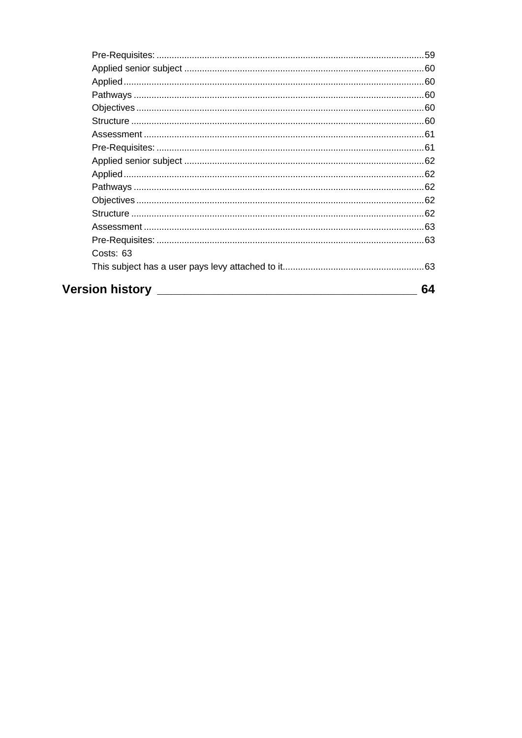| Costs: 63            |    |
|----------------------|----|
|                      |    |
| Version history ____ | 64 |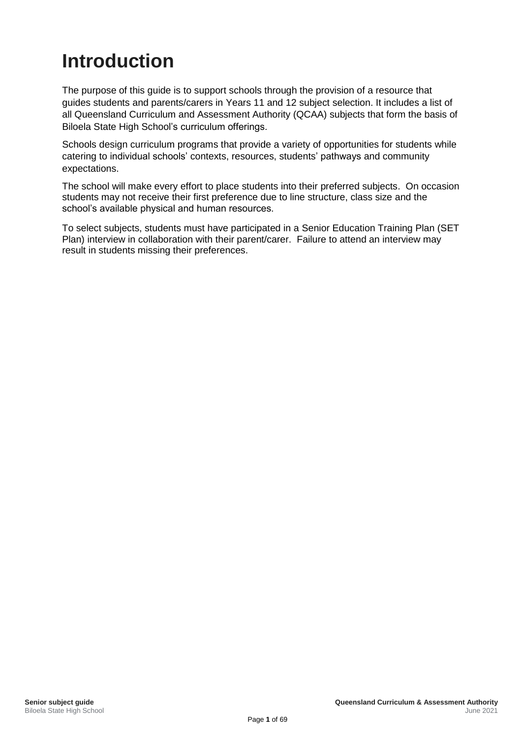# <span id="page-7-0"></span>**Introduction**

The purpose of this guide is to support schools through the provision of a resource that guides students and parents/carers in Years 11 and 12 subject selection. It includes a list of all Queensland Curriculum and Assessment Authority (QCAA) subjects that form the basis of Biloela State High School's curriculum offerings.

Schools design curriculum programs that provide a variety of opportunities for students while catering to individual schools' contexts, resources, students' pathways and community expectations.

The school will make every effort to place students into their preferred subjects. On occasion students may not receive their first preference due to line structure, class size and the school's available physical and human resources.

To select subjects, students must have participated in a Senior Education Training Plan (SET Plan) interview in collaboration with their parent/carer. Failure to attend an interview may result in students missing their preferences.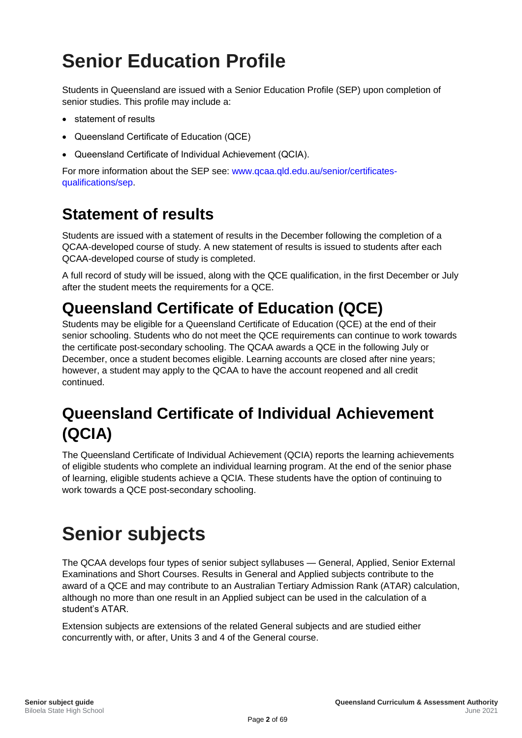# <span id="page-8-0"></span>**Senior Education Profile**

Students in Queensland are issued with a Senior Education Profile (SEP) upon completion of senior studies. This profile may include a:

- statement of results
- Queensland Certificate of Education (QCE)
- Queensland Certificate of Individual Achievement (QCIA).

For more information about the SEP see: [www.qcaa.qld.edu.au/senior/certificates](https://www.qcaa.qld.edu.au/senior/certificates-qualifications/sep)[qualifications/sep.](https://www.qcaa.qld.edu.au/senior/certificates-qualifications/sep)

## <span id="page-8-1"></span>**Statement of results**

Students are issued with a statement of results in the December following the completion of a QCAA-developed course of study. A new statement of results is issued to students after each QCAA-developed course of study is completed.

A full record of study will be issued, along with the QCE qualification, in the first December or July after the student meets the requirements for a QCE.

## <span id="page-8-2"></span>**Queensland Certificate of Education (QCE)**

Students may be eligible for a Queensland Certificate of Education (QCE) at the end of their senior schooling. Students who do not meet the QCE requirements can continue to work towards the certificate post-secondary schooling. The QCAA awards a QCE in the following July or December, once a student becomes eligible. Learning accounts are closed after nine years; however, a student may apply to the QCAA to have the account reopened and all credit continued.

## <span id="page-8-3"></span>**Queensland Certificate of Individual Achievement (QCIA)**

The Queensland Certificate of Individual Achievement (QCIA) reports the learning achievements of eligible students who complete an individual learning program. At the end of the senior phase of learning, eligible students achieve a QCIA. These students have the option of continuing to work towards a QCE post-secondary schooling.

# <span id="page-8-4"></span>**Senior subjects**

The QCAA develops four types of senior subject syllabuses — General, Applied, Senior External Examinations and Short Courses. Results in General and Applied subjects contribute to the award of a QCE and may contribute to an Australian Tertiary Admission Rank (ATAR) calculation, although no more than one result in an Applied subject can be used in the calculation of a student's ATAR.

Extension subjects are extensions of the related General subjects and are studied either concurrently with, or after, Units 3 and 4 of the General course.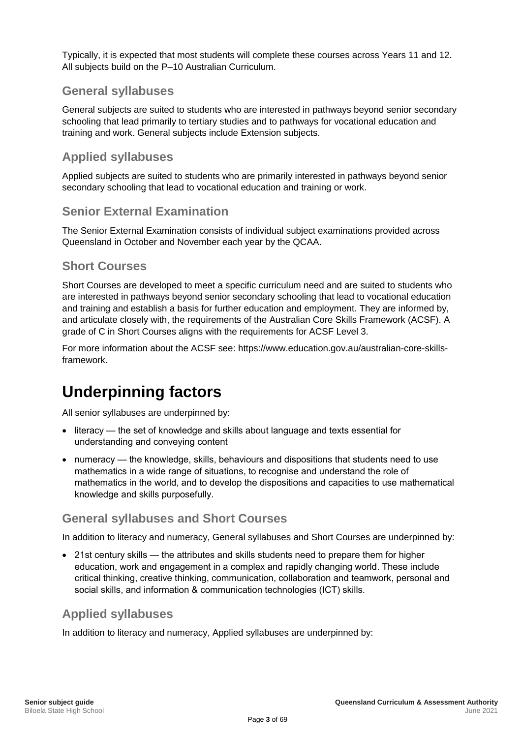Typically, it is expected that most students will complete these courses across Years 11 and 12. All subjects build on the P–10 Australian Curriculum.

#### <span id="page-9-0"></span>**General syllabuses**

General subjects are suited to students who are interested in pathways beyond senior secondary schooling that lead primarily to tertiary studies and to pathways for vocational education and training and work. General subjects include Extension subjects.

#### <span id="page-9-1"></span>**Applied syllabuses**

Applied subjects are suited to students who are primarily interested in pathways beyond senior secondary schooling that lead to vocational education and training or work.

#### <span id="page-9-2"></span>**Senior External Examination**

The Senior External Examination consists of individual subject examinations provided across Queensland in October and November each year by the QCAA.

#### <span id="page-9-3"></span>**Short Courses**

Short Courses are developed to meet a specific curriculum need and are suited to students who are interested in pathways beyond senior secondary schooling that lead to vocational education and training and establish a basis for further education and employment. They are informed by, and articulate closely with, the requirements of the Australian Core Skills Framework (ACSF). A grade of C in Short Courses aligns with the requirements for ACSF Level 3.

For more information about the ACSF see: https://www.education.gov.au/australian-core-skillsframework.

## <span id="page-9-4"></span>**Underpinning factors**

All senior syllabuses are underpinned by:

- literacy the set of knowledge and skills about language and texts essential for understanding and conveying content
- numeracy the knowledge, skills, behaviours and dispositions that students need to use mathematics in a wide range of situations, to recognise and understand the role of mathematics in the world, and to develop the dispositions and capacities to use mathematical knowledge and skills purposefully.

#### <span id="page-9-5"></span>**General syllabuses and Short Courses**

In addition to literacy and numeracy, General syllabuses and Short Courses are underpinned by:

• 21st century skills — the attributes and skills students need to prepare them for higher education, work and engagement in a complex and rapidly changing world. These include critical thinking, creative thinking, communication, collaboration and teamwork, personal and social skills, and information & communication technologies (ICT) skills.

#### <span id="page-9-6"></span>**Applied syllabuses**

In addition to literacy and numeracy, Applied syllabuses are underpinned by: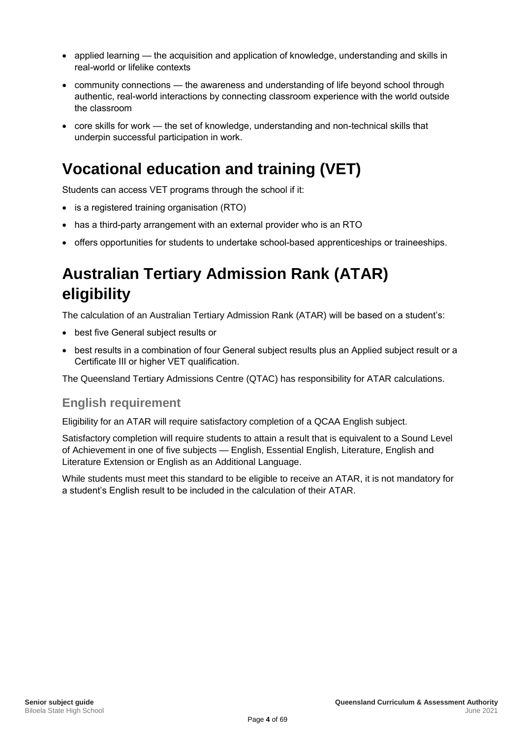- applied learning the acquisition and application of knowledge, understanding and skills in real-world or lifelike contexts
- community connections the awareness and understanding of life beyond school through authentic, real-world interactions by connecting classroom experience with the world outside the classroom
- core skills for work the set of knowledge, understanding and non-technical skills that underpin successful participation in work.

## <span id="page-10-0"></span>**Vocational education and training (VET)**

Students can access VET programs through the school if it:

- is a registered training organisation (RTO)
- has a third-party arrangement with an external provider who is an RTO
- offers opportunities for students to undertake school-based apprenticeships or traineeships.

## <span id="page-10-1"></span>**Australian Tertiary Admission Rank (ATAR) eligibility**

The calculation of an Australian Tertiary Admission Rank (ATAR) will be based on a student's:

- best five General subject results or
- best results in a combination of four General subject results plus an Applied subject result or a Certificate III or higher VET qualification.

The Queensland Tertiary Admissions Centre (QTAC) has responsibility for ATAR calculations.

#### <span id="page-10-2"></span>**English requirement**

Eligibility for an ATAR will require satisfactory completion of a QCAA English subject.

Satisfactory completion will require students to attain a result that is equivalent to a Sound Level of Achievement in one of five subjects — English, Essential English, Literature, English and Literature Extension or English as an Additional Language.

While students must meet this standard to be eligible to receive an ATAR, it is not mandatory for a student's English result to be included in the calculation of their ATAR.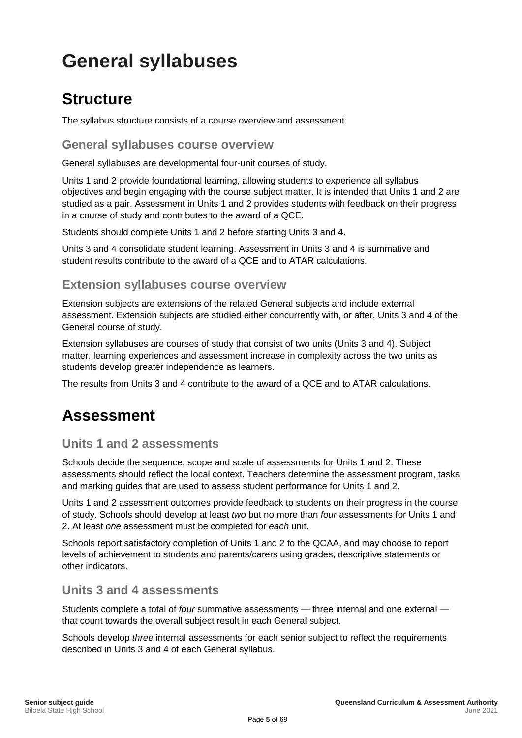# <span id="page-11-0"></span>**General syllabuses**

## <span id="page-11-1"></span>**Structure**

The syllabus structure consists of a course overview and assessment.

<span id="page-11-2"></span>**General syllabuses course overview**

General syllabuses are developmental four-unit courses of study.

Units 1 and 2 provide foundational learning, allowing students to experience all syllabus objectives and begin engaging with the course subject matter. It is intended that Units 1 and 2 are studied as a pair. Assessment in Units 1 and 2 provides students with feedback on their progress in a course of study and contributes to the award of a QCE.

Students should complete Units 1 and 2 before starting Units 3 and 4.

Units 3 and 4 consolidate student learning. Assessment in Units 3 and 4 is summative and student results contribute to the award of a QCE and to ATAR calculations.

#### <span id="page-11-3"></span>**Extension syllabuses course overview**

Extension subjects are extensions of the related General subjects and include external assessment. Extension subjects are studied either concurrently with, or after, Units 3 and 4 of the General course of study.

Extension syllabuses are courses of study that consist of two units (Units 3 and 4). Subject matter, learning experiences and assessment increase in complexity across the two units as students develop greater independence as learners.

The results from Units 3 and 4 contribute to the award of a QCE and to ATAR calculations.

## <span id="page-11-4"></span>**Assessment**

#### <span id="page-11-5"></span>**Units 1 and 2 assessments**

Schools decide the sequence, scope and scale of assessments for Units 1 and 2. These assessments should reflect the local context. Teachers determine the assessment program, tasks and marking guides that are used to assess student performance for Units 1 and 2.

Units 1 and 2 assessment outcomes provide feedback to students on their progress in the course of study. Schools should develop at least *two* but no more than *four* assessments for Units 1 and 2. At least *one* assessment must be completed for *each* unit.

Schools report satisfactory completion of Units 1 and 2 to the QCAA, and may choose to report levels of achievement to students and parents/carers using grades, descriptive statements or other indicators.

#### <span id="page-11-6"></span>**Units 3 and 4 assessments**

Students complete a total of *four* summative assessments — three internal and one external that count towards the overall subject result in each General subject.

Schools develop *three* internal assessments for each senior subject to reflect the requirements described in Units 3 and 4 of each General syllabus.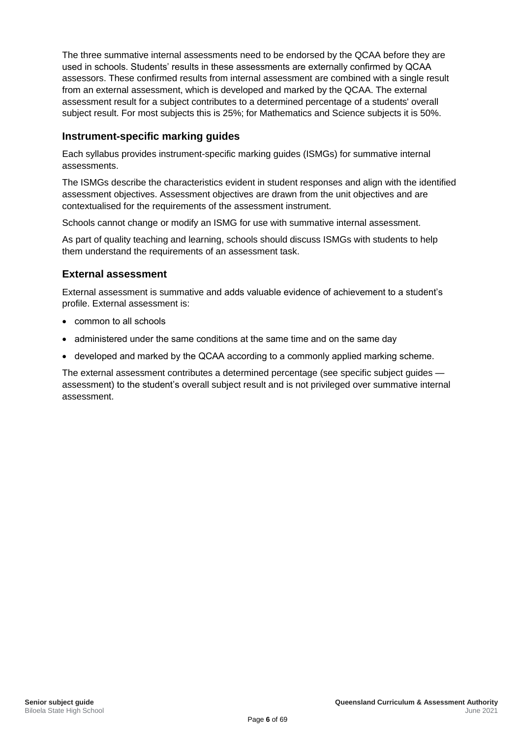The three summative internal assessments need to be endorsed by the QCAA before they are used in schools. Students' results in these assessments are externally confirmed by QCAA assessors. These confirmed results from internal assessment are combined with a single result from an external assessment, which is developed and marked by the QCAA. The external assessment result for a subject contributes to a determined percentage of a students' overall subject result. For most subjects this is 25%; for Mathematics and Science subjects it is 50%.

#### **Instrument-specific marking guides**

Each syllabus provides instrument-specific marking guides (ISMGs) for summative internal assessments.

The ISMGs describe the characteristics evident in student responses and align with the identified assessment objectives. Assessment objectives are drawn from the unit objectives and are contextualised for the requirements of the assessment instrument.

Schools cannot change or modify an ISMG for use with summative internal assessment.

As part of quality teaching and learning, schools should discuss ISMGs with students to help them understand the requirements of an assessment task.

#### **External assessment**

External assessment is summative and adds valuable evidence of achievement to a student's profile. External assessment is:

- common to all schools
- administered under the same conditions at the same time and on the same day
- developed and marked by the QCAA according to a commonly applied marking scheme.

The external assessment contributes a determined percentage (see specific subject guides assessment) to the student's overall subject result and is not privileged over summative internal assessment.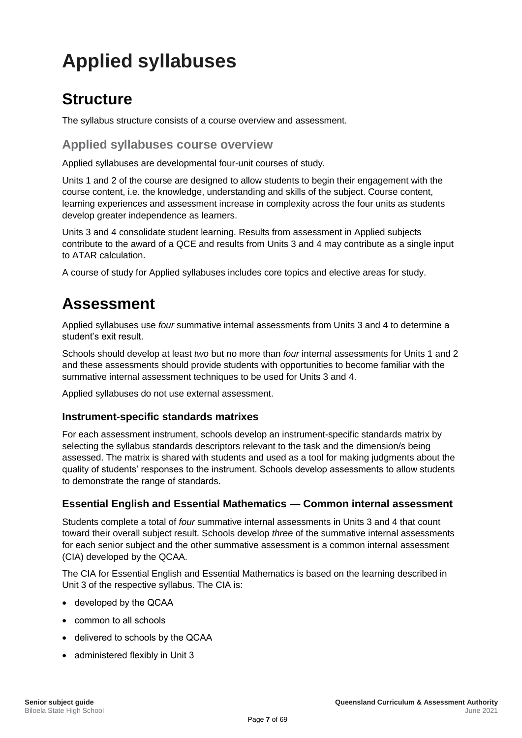# <span id="page-13-0"></span>**Applied syllabuses**

## <span id="page-13-1"></span>**Structure**

The syllabus structure consists of a course overview and assessment.

#### <span id="page-13-2"></span>**Applied syllabuses course overview**

Applied syllabuses are developmental four-unit courses of study.

Units 1 and 2 of the course are designed to allow students to begin their engagement with the course content, i.e. the knowledge, understanding and skills of the subject. Course content, learning experiences and assessment increase in complexity across the four units as students develop greater independence as learners.

Units 3 and 4 consolidate student learning. Results from assessment in Applied subjects contribute to the award of a QCE and results from Units 3 and 4 may contribute as a single input to ATAR calculation.

A course of study for Applied syllabuses includes core topics and elective areas for study.

## <span id="page-13-3"></span>**Assessment**

Applied syllabuses use *four* summative internal assessments from Units 3 and 4 to determine a student's exit result.

Schools should develop at least *two* but no more than *four* internal assessments for Units 1 and 2 and these assessments should provide students with opportunities to become familiar with the summative internal assessment techniques to be used for Units 3 and 4.

Applied syllabuses do not use external assessment.

#### **Instrument-specific standards matrixes**

For each assessment instrument, schools develop an instrument-specific standards matrix by selecting the syllabus standards descriptors relevant to the task and the dimension/s being assessed. The matrix is shared with students and used as a tool for making judgments about the quality of students' responses to the instrument. Schools develop assessments to allow students to demonstrate the range of standards.

#### **Essential English and Essential Mathematics — Common internal assessment**

Students complete a total of *four* summative internal assessments in Units 3 and 4 that count toward their overall subject result. Schools develop *three* of the summative internal assessments for each senior subject and the other summative assessment is a common internal assessment (CIA) developed by the QCAA.

The CIA for Essential English and Essential Mathematics is based on the learning described in Unit 3 of the respective syllabus. The CIA is:

- developed by the QCAA
- common to all schools
- delivered to schools by the QCAA
- administered flexibly in Unit 3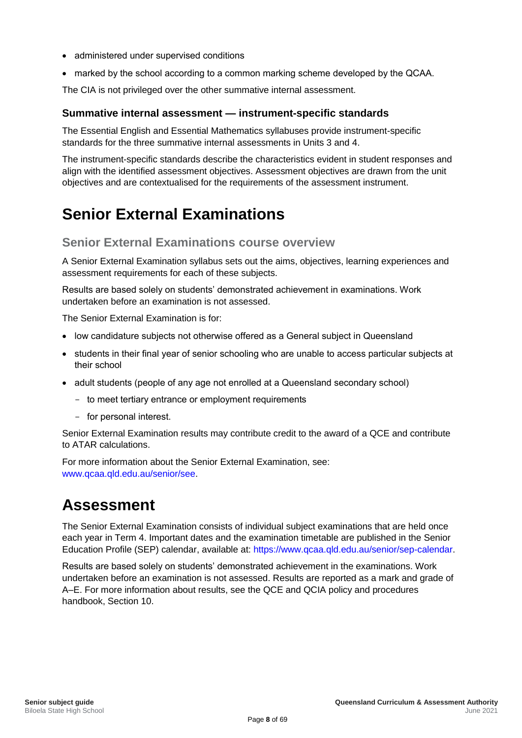- administered under supervised conditions
- marked by the school according to a common marking scheme developed by the QCAA.

The CIA is not privileged over the other summative internal assessment.

#### **Summative internal assessment — instrument-specific standards**

The Essential English and Essential Mathematics syllabuses provide instrument-specific standards for the three summative internal assessments in Units 3 and 4.

The instrument-specific standards describe the characteristics evident in student responses and align with the identified assessment objectives. Assessment objectives are drawn from the unit objectives and are contextualised for the requirements of the assessment instrument.

## <span id="page-14-0"></span>**Senior External Examinations**

#### <span id="page-14-1"></span>**Senior External Examinations course overview**

A Senior External Examination syllabus sets out the aims, objectives, learning experiences and assessment requirements for each of these subjects.

Results are based solely on students' demonstrated achievement in examinations. Work undertaken before an examination is not assessed.

The Senior External Examination is for:

- low candidature subjects not otherwise offered as a General subject in Queensland
- students in their final year of senior schooling who are unable to access particular subjects at their school
- adult students (people of any age not enrolled at a Queensland secondary school)
	- to meet tertiary entrance or employment requirements
	- for personal interest.

Senior External Examination results may contribute credit to the award of a QCE and contribute to ATAR calculations.

For more information about the Senior External Examination, see: [www.qcaa.qld.edu.au/senior/see.](https://www.qcaa.qld.edu.au/senior/see)

## <span id="page-14-2"></span>**Assessment**

The Senior External Examination consists of individual subject examinations that are held once each year in Term 4. Important dates and the examination timetable are published in the Senior Education Profile (SEP) calendar, available at: [https://www.qcaa.qld.edu.au/senior/sep-calendar.](https://www.qcaa.qld.edu.au/senior/sep-calendar)

Results are based solely on students' demonstrated achievement in the examinations. Work undertaken before an examination is not assessed. Results are reported as a mark and grade of A–E. For more information about results, see the QCE and QCIA policy and procedures handbook, Section 10.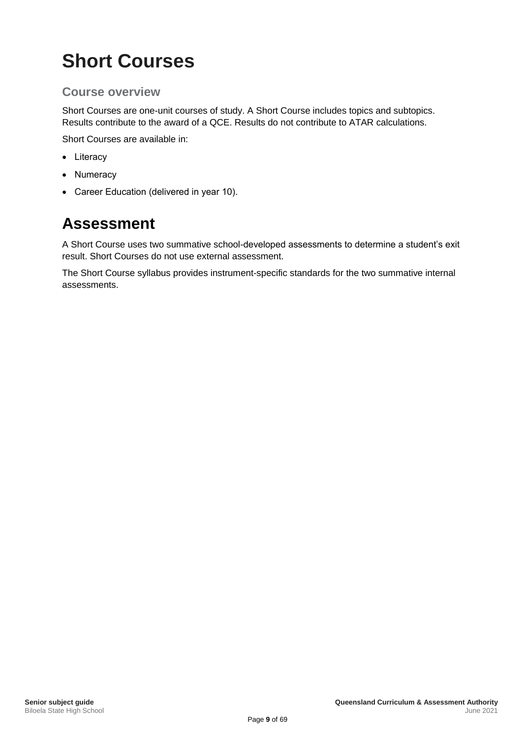# <span id="page-15-0"></span>**Short Courses**

### <span id="page-15-1"></span>**Course overview**

Short Courses are one-unit courses of study. A Short Course includes topics and subtopics. Results contribute to the award of a QCE. Results do not contribute to ATAR calculations.

Short Courses are available in:

- Literacy
- Numeracy
- Career Education (delivered in year 10).

## <span id="page-15-2"></span>**Assessment**

A Short Course uses two summative school-developed assessments to determine a student's exit result. Short Courses do not use external assessment.

The Short Course syllabus provides instrument-specific standards for the two summative internal assessments.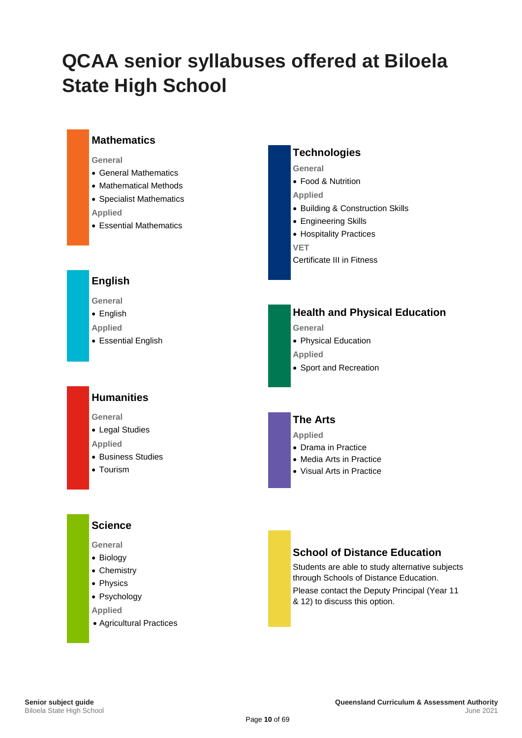# <span id="page-16-0"></span>**QCAA senior syllabuses offered at Biloela State High School**

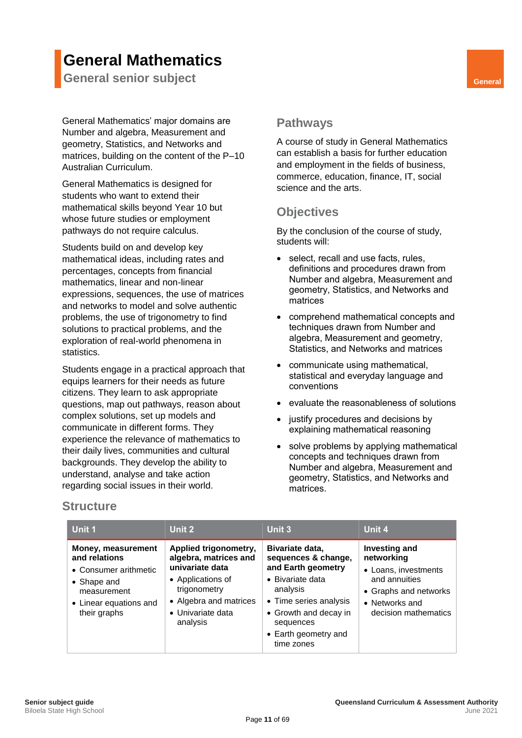## **General Mathematics**

<span id="page-17-0"></span>**General senior subject General** 

General Mathematics' major domains are Number and algebra, Measurement and geometry, Statistics, and Networks and matrices, building on the content of the P–10 Australian Curriculum.

General Mathematics is designed for students who want to extend their mathematical skills beyond Year 10 but whose future studies or employment pathways do not require calculus.

Students build on and develop key mathematical ideas, including rates and percentages, concepts from financial mathematics, linear and non-linear expressions, sequences, the use of matrices and networks to model and solve authentic problems, the use of trigonometry to find solutions to practical problems, and the exploration of real-world phenomena in statistics.

Students engage in a practical approach that equips learners for their needs as future citizens. They learn to ask appropriate questions, map out pathways, reason about complex solutions, set up models and communicate in different forms. They experience the relevance of mathematics to their daily lives, communities and cultural backgrounds. They develop the ability to understand, analyse and take action regarding social issues in their world.

#### <span id="page-17-2"></span><span id="page-17-1"></span>**Pathways**

A course of study in General Mathematics can establish a basis for further education and employment in the fields of business, commerce, education, finance, IT, social science and the arts.

## <span id="page-17-3"></span>**Objectives**

By the conclusion of the course of study, students will:

- select, recall and use facts, rules, definitions and procedures drawn from Number and algebra, Measurement and geometry, Statistics, and Networks and matrices
- comprehend mathematical concepts and techniques drawn from Number and algebra, Measurement and geometry, Statistics, and Networks and matrices
- communicate using mathematical, statistical and everyday language and conventions
- evaluate the reasonableness of solutions
- justify procedures and decisions by explaining mathematical reasoning
- solve problems by applying mathematical concepts and techniques drawn from Number and algebra, Measurement and geometry, Statistics, and Networks and matrices.

| Unit 1                                                                                                                               | Unit 2                                                                                                                                                            | Unit 3                                                                                                                                                                                             | Unit 4                                                                                                                                         |
|--------------------------------------------------------------------------------------------------------------------------------------|-------------------------------------------------------------------------------------------------------------------------------------------------------------------|----------------------------------------------------------------------------------------------------------------------------------------------------------------------------------------------------|------------------------------------------------------------------------------------------------------------------------------------------------|
| Money, measurement<br>and relations<br>• Consumer arithmetic<br>• Shape and<br>measurement<br>• Linear equations and<br>their graphs | Applied trigonometry,<br>algebra, matrices and<br>univariate data<br>• Applications of<br>trigonometry<br>• Algebra and matrices<br>• Univariate data<br>analysis | Bivariate data,<br>sequences & change,<br>and Earth geometry<br>• Bivariate data<br>analysis<br>• Time series analysis<br>• Growth and decay in<br>sequences<br>• Earth geometry and<br>time zones | <b>Investing and</b><br>networking<br>• Loans, investments<br>and annuities<br>• Graphs and networks<br>• Networks and<br>decision mathematics |

#### <span id="page-17-4"></span>**Structure**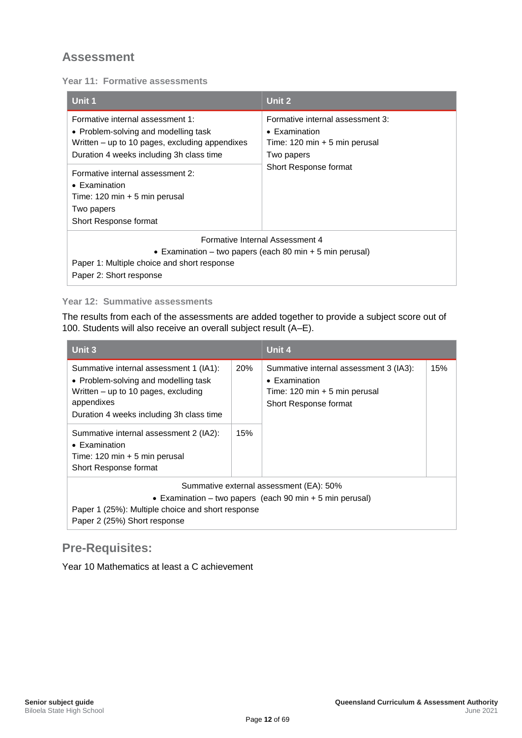<span id="page-18-0"></span>**Year 11: Formative assessments**

| Unit 1                                                                                                                                                                                                                                                                                                                        | Unit 2                                                                                                                                              |  |
|-------------------------------------------------------------------------------------------------------------------------------------------------------------------------------------------------------------------------------------------------------------------------------------------------------------------------------|-----------------------------------------------------------------------------------------------------------------------------------------------------|--|
| Formative internal assessment 1:<br>• Problem-solving and modelling task<br>Written – up to 10 pages, excluding appendixes<br>Duration 4 weeks including 3h class time<br>Formative internal assessment 2:<br>$\bullet$ Examination<br>Time: $120 \text{ min} + 5 \text{ min}$ perusal<br>Two papers<br>Short Response format | Formative internal assessment 3:<br>$\bullet$ Examination<br>Time: $120 \text{ min} + 5 \text{ min}$ perusal<br>Two papers<br>Short Response format |  |
| Formative Internal Assessment 4<br>• Examination – two papers (each 80 min + 5 min perusal)<br>Paper 1: Multiple choice and short response<br>Paper 2: Short response                                                                                                                                                         |                                                                                                                                                     |  |

#### **Year 12: Summative assessments**

The results from each of the assessments are added together to provide a subject score out of 100. Students will also receive an overall subject result (A–E).

| Unit 3                                                                                                                                                                                                                                                                                                                           |            | Unit 4                                                                                                                                      |     |
|----------------------------------------------------------------------------------------------------------------------------------------------------------------------------------------------------------------------------------------------------------------------------------------------------------------------------------|------------|---------------------------------------------------------------------------------------------------------------------------------------------|-----|
| Summative internal assessment 1 (IA1):<br>• Problem-solving and modelling task<br>Written $-$ up to 10 pages, excluding<br>appendixes<br>Duration 4 weeks including 3h class time<br>Summative internal assessment 2 (IA2):<br>$\bullet$ Examination<br>Time: $120 \text{ min} + 5 \text{ min}$ perusal<br>Short Response format | 20%<br>15% | Summative internal assessment 3 (IA3):<br>$\bullet$ Examination<br>Time: $120 \text{ min} + 5 \text{ min}$ perusal<br>Short Response format | 15% |
| Summative external assessment (EA): 50%<br>• Examination – two papers (each 90 min + 5 min perusal)<br>Paper 1 (25%): Multiple choice and short response<br>Paper 2 (25%) Short response                                                                                                                                         |            |                                                                                                                                             |     |

## <span id="page-18-1"></span>**Pre-Requisites:**

Year 10 Mathematics at least a C achievement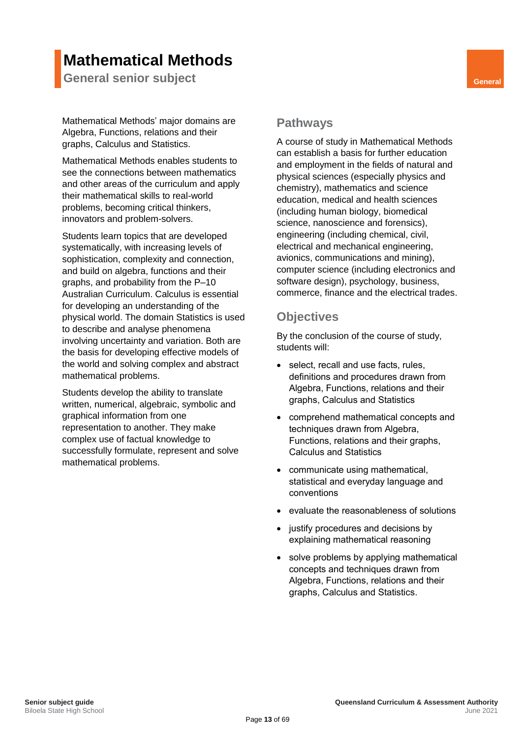## **Mathematical Methods**

<span id="page-19-0"></span>**General senior subject General General** 

Mathematical Methods' major domains are Algebra, Functions, relations and their graphs, Calculus and Statistics.

Mathematical Methods enables students to see the connections between mathematics and other areas of the curriculum and apply their mathematical skills to real-world problems, becoming critical thinkers, innovators and problem-solvers.

Students learn topics that are developed systematically, with increasing levels of sophistication, complexity and connection, and build on algebra, functions and their graphs, and probability from the P–10 Australian Curriculum. Calculus is essential for developing an understanding of the physical world. The domain Statistics is used to describe and analyse phenomena involving uncertainty and variation. Both are the basis for developing effective models of the world and solving complex and abstract mathematical problems.

Students develop the ability to translate written, numerical, algebraic, symbolic and graphical information from one representation to another. They make complex use of factual knowledge to successfully formulate, represent and solve mathematical problems.

#### <span id="page-19-2"></span><span id="page-19-1"></span>**Pathways**

A course of study in Mathematical Methods can establish a basis for further education and employment in the fields of natural and physical sciences (especially physics and chemistry), mathematics and science education, medical and health sciences (including human biology, biomedical science, nanoscience and forensics), engineering (including chemical, civil, electrical and mechanical engineering, avionics, communications and mining), computer science (including electronics and software design), psychology, business, commerce, finance and the electrical trades.

#### <span id="page-19-3"></span>**Objectives**

By the conclusion of the course of study, students will:

- select, recall and use facts, rules, definitions and procedures drawn from Algebra, Functions, relations and their graphs, Calculus and Statistics
- comprehend mathematical concepts and techniques drawn from Algebra, Functions, relations and their graphs, Calculus and Statistics
- communicate using mathematical, statistical and everyday language and conventions
- evaluate the reasonableness of solutions
- justify procedures and decisions by explaining mathematical reasoning
- solve problems by applying mathematical concepts and techniques drawn from Algebra, Functions, relations and their graphs, Calculus and Statistics.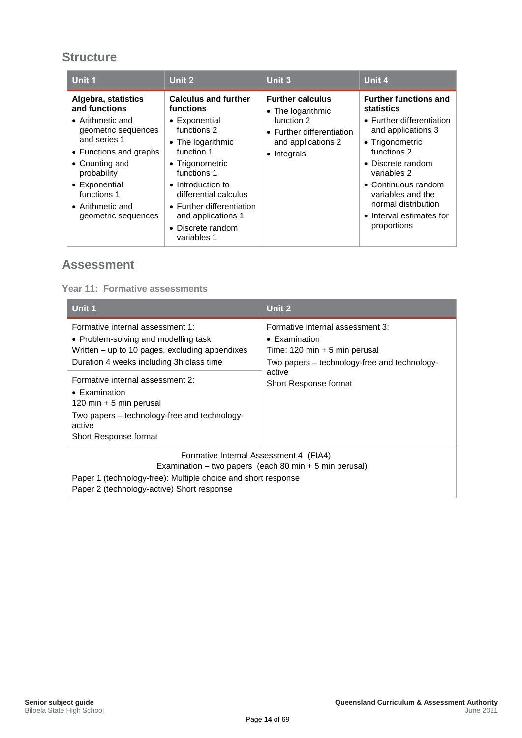## <span id="page-20-0"></span>**Structure**

| Unit 1                                                                                                                                                                                                                                        | Unit 2                                                                                                                                                                                                                                                                             | Unit 3                                                                                                                       | Unit 4                                                                                                                                                                                                                                                                            |
|-----------------------------------------------------------------------------------------------------------------------------------------------------------------------------------------------------------------------------------------------|------------------------------------------------------------------------------------------------------------------------------------------------------------------------------------------------------------------------------------------------------------------------------------|------------------------------------------------------------------------------------------------------------------------------|-----------------------------------------------------------------------------------------------------------------------------------------------------------------------------------------------------------------------------------------------------------------------------------|
| Algebra, statistics<br>and functions<br>$\bullet$ Arithmetic and<br>geometric sequences<br>and series 1<br>• Functions and graphs<br>• Counting and<br>probability<br>• Exponential<br>functions 1<br>• Arithmetic and<br>geometric sequences | <b>Calculus and further</b><br>functions<br>• Exponential<br>functions 2<br>• The logarithmic<br>function 1<br>• Trigonometric<br>functions 1<br>• Introduction to<br>differential calculus<br>• Further differentiation<br>and applications 1<br>• Discrete random<br>variables 1 | <b>Further calculus</b><br>• The logarithmic<br>function 2<br>• Further differentiation<br>and applications 2<br>• Integrals | <b>Further functions and</b><br>statistics<br>• Further differentiation<br>and applications 3<br>• Trigonometric<br>functions 2<br>• Discrete random<br>variables 2<br>• Continuous random<br>variables and the<br>normal distribution<br>• Interval estimates for<br>proportions |

### <span id="page-20-1"></span>**Assessment**

#### **Year 11: Formative assessments**

| Unit 1                                                                                                                                                                                                            | Unit 2                                                                                                                                                       |  |
|-------------------------------------------------------------------------------------------------------------------------------------------------------------------------------------------------------------------|--------------------------------------------------------------------------------------------------------------------------------------------------------------|--|
| Formative internal assessment 1:<br>• Problem-solving and modelling task<br>Written – up to 10 pages, excluding appendixes<br>Duration 4 weeks including 3h class time                                            | Formative internal assessment 3:<br>$\bullet$ Examination<br>Time: $120 \text{ min} + 5 \text{ min}$ perusal<br>Two papers – technology-free and technology- |  |
| Formative internal assessment 2:<br>$\bullet$ Examination<br>120 min + 5 min perusal<br>Two papers – technology-free and technology-<br>active<br>Short Response format                                           | active<br>Short Response format                                                                                                                              |  |
| Formative Internal Assessment 4 (FIA4)<br>Examination – two papers (each 80 min $+$ 5 min perusal)<br>Paper 1 (technology-free): Multiple choice and short response<br>Paper 2 (technology-active) Short response |                                                                                                                                                              |  |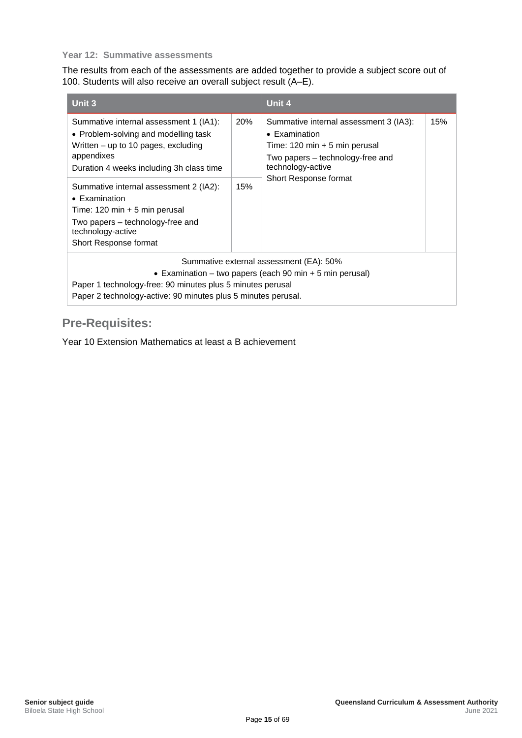#### **Year 12: Summative assessments**

The results from each of the assessments are added together to provide a subject score out of 100. Students will also receive an overall subject result (A–E).

| Unit 3                                                                                                                                                                                                                                                                                                                                                                                  |                   | Unit 4                                                                                                                                                                                               |     |
|-----------------------------------------------------------------------------------------------------------------------------------------------------------------------------------------------------------------------------------------------------------------------------------------------------------------------------------------------------------------------------------------|-------------------|------------------------------------------------------------------------------------------------------------------------------------------------------------------------------------------------------|-----|
| Summative internal assessment 1 (IA1):<br>• Problem-solving and modelling task<br>Written – up to 10 pages, excluding<br>appendixes<br>Duration 4 weeks including 3h class time<br>Summative internal assessment 2 (IA2):<br>$\bullet$ Examination<br>Time: $120 \text{ min} + 5 \text{ min}$ perusal<br>Two papers – technology-free and<br>technology-active<br>Short Response format | <b>20%</b><br>15% | Summative internal assessment 3 (IA3):<br>$\bullet$ Examination<br>Time: $120 \text{ min} + 5 \text{ min}$ perusal<br>Two papers - technology-free and<br>technology-active<br>Short Response format | 15% |
| Summative external assessment (EA): 50%<br>• Examination – two papers (each 90 min + 5 min perusal)<br>Paper 1 technology-free: 90 minutes plus 5 minutes perusal<br>Paper 2 technology-active: 90 minutes plus 5 minutes perusal.                                                                                                                                                      |                   |                                                                                                                                                                                                      |     |

## <span id="page-21-0"></span>**Pre-Requisites:**

Year 10 Extension Mathematics at least a B achievement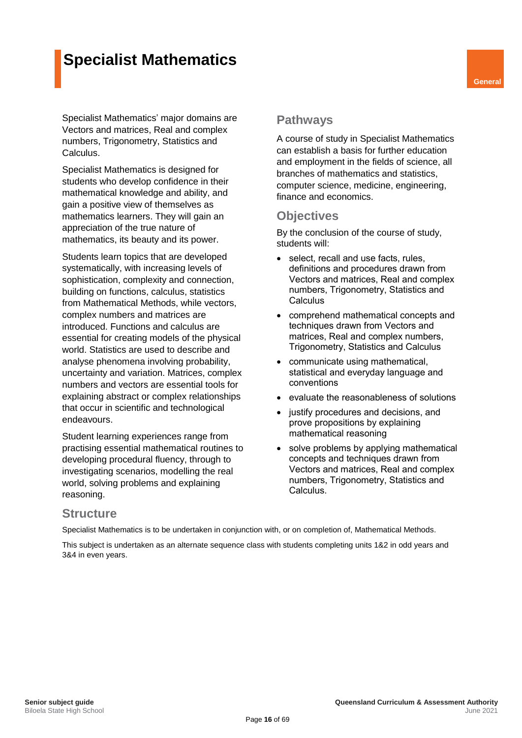## **Specialist Mathematics**

Specialist Mathematics' major domains are Vectors and matrices, Real and complex numbers, Trigonometry, Statistics and Calculus.

<span id="page-22-0"></span>**Specialist Mathematics is designed for** students who develop confidence in their mathematical knowledge and ability, and gain a positive view of themselves as mathematics learners. They will gain an appreciation of the true nature of mathematics, its beauty and its power.

Students learn topics that are developed systematically, with increasing levels of sophistication, complexity and connection, building on functions, calculus, statistics from Mathematical Methods, while vectors, complex numbers and matrices are introduced. Functions and calculus are essential for creating models of the physical world. Statistics are used to describe and analyse phenomena involving probability, uncertainty and variation. Matrices, complex numbers and vectors are essential tools for explaining abstract or complex relationships that occur in scientific and technological endeavours.

Student learning experiences range from practising essential mathematical routines to developing procedural fluency, through to investigating scenarios, modelling the real world, solving problems and explaining reasoning.

#### <span id="page-22-2"></span><span id="page-22-1"></span>**Pathways**

A course of study in Specialist Mathematics can establish a basis for further education and employment in the fields of science, all branches of mathematics and statistics, computer science, medicine, engineering, finance and economics.

#### <span id="page-22-3"></span>**Objectives**

By the conclusion of the course of study, students will:

- select, recall and use facts, rules, definitions and procedures drawn from Vectors and matrices, Real and complex numbers, Trigonometry, Statistics and **Calculus**
- comprehend mathematical concepts and techniques drawn from Vectors and matrices, Real and complex numbers, Trigonometry, Statistics and Calculus
- communicate using mathematical, statistical and everyday language and conventions
- evaluate the reasonableness of solutions
- justify procedures and decisions, and prove propositions by explaining mathematical reasoning
- solve problems by applying mathematical concepts and techniques drawn from Vectors and matrices, Real and complex numbers, Trigonometry, Statistics and Calculus.

#### <span id="page-22-4"></span>**Structure**

Specialist Mathematics is to be undertaken in conjunction with, or on completion of, Mathematical Methods.

This subject is undertaken as an alternate sequence class with students completing units 1&2 in odd years and 3&4 in even years.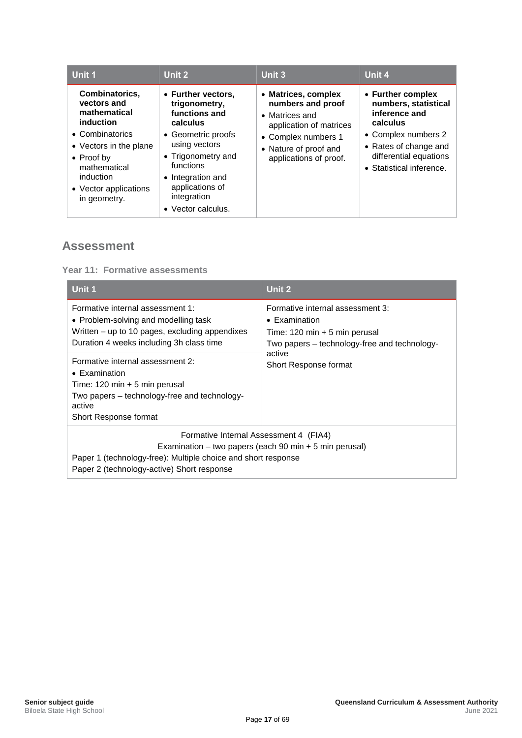| Unit 1                                                                                                                                                                                              | Unit 2                                                                                                                                                                                                                  | Unit 3                                                                                                                                                          | Unit 4                                                                                                                                                                       |
|-----------------------------------------------------------------------------------------------------------------------------------------------------------------------------------------------------|-------------------------------------------------------------------------------------------------------------------------------------------------------------------------------------------------------------------------|-----------------------------------------------------------------------------------------------------------------------------------------------------------------|------------------------------------------------------------------------------------------------------------------------------------------------------------------------------|
| Combinatorics,<br>vectors and<br>mathematical<br>induction<br>• Combinatorics<br>• Vectors in the plane<br>$\bullet$ Proof by<br>mathematical<br>induction<br>• Vector applications<br>in geometry. | • Further vectors,<br>trigonometry,<br>functions and<br>calculus<br>• Geometric proofs<br>using vectors<br>• Trigonometry and<br>functions<br>• Integration and<br>applications of<br>integration<br>• Vector calculus. | • Matrices, complex<br>numbers and proof<br>• Matrices and<br>application of matrices<br>• Complex numbers 1<br>• Nature of proof and<br>applications of proof. | • Further complex<br>numbers, statistical<br>inference and<br>calculus<br>• Complex numbers 2<br>• Rates of change and<br>differential equations<br>• Statistical inference. |

<span id="page-23-0"></span>**Year 11: Formative assessments**

| Unit 1                                                                                                                                                                                                            | Unit 2                                                                                                                                                       |  |
|-------------------------------------------------------------------------------------------------------------------------------------------------------------------------------------------------------------------|--------------------------------------------------------------------------------------------------------------------------------------------------------------|--|
| Formative internal assessment 1:<br>• Problem-solving and modelling task<br>Written – up to 10 pages, excluding appendixes<br>Duration 4 weeks including 3h class time                                            | Formative internal assessment 3:<br>$\bullet$ Examination<br>Time: $120 \text{ min} + 5 \text{ min}$ perusal<br>Two papers – technology-free and technology- |  |
| Formative internal assessment 2:<br>$\bullet$ Examination<br>Time: $120 \text{ min} + 5 \text{ min}$ perusal<br>Two papers – technology-free and technology-<br>active<br>Short Response format                   | active<br>Short Response format                                                                                                                              |  |
| Formative Internal Assessment 4 (FIA4)<br>Examination – two papers (each 90 min $+$ 5 min perusal)<br>Paper 1 (technology-free): Multiple choice and short response<br>Paper 2 (technology-active) Short response |                                                                                                                                                              |  |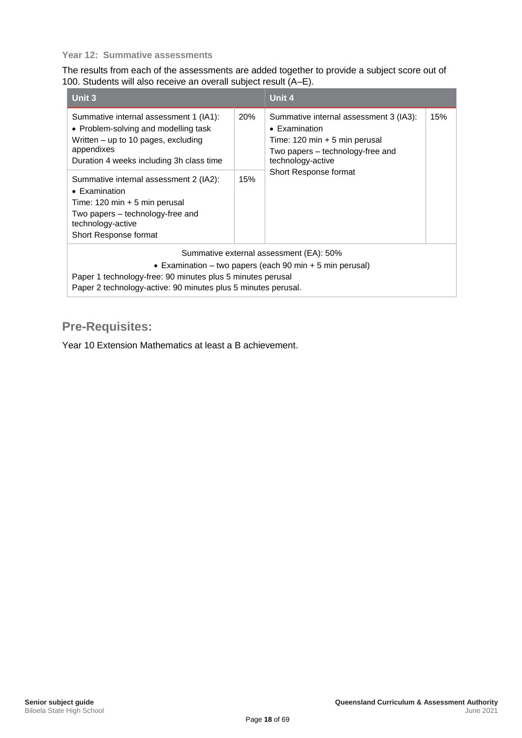#### **Year 12: Summative assessments**

The results from each of the assessments are added together to provide a subject score out of 100. Students will also receive an overall subject result (A–E).

| Unit 3                                                                                                                                                                                                                                             |            | Unit 4                                                                                                                                                                                               |     |
|----------------------------------------------------------------------------------------------------------------------------------------------------------------------------------------------------------------------------------------------------|------------|------------------------------------------------------------------------------------------------------------------------------------------------------------------------------------------------------|-----|
| Summative internal assessment 1 (IA1):<br>• Problem-solving and modelling task<br>Written – up to 10 pages, excluding<br>appendixes<br>Duration 4 weeks including 3h class time<br>Summative internal assessment 2 (IA2):<br>$\bullet$ Examination | 20%<br>15% | Summative internal assessment 3 (IA3):<br>$\bullet$ Examination<br>Time: $120 \text{ min} + 5 \text{ min}$ perusal<br>Two papers - technology-free and<br>technology-active<br>Short Response format | 15% |
| Time: $120 \text{ min} + 5 \text{ min}$ perusal<br>Two papers – technology-free and<br>technology-active<br>Short Response format                                                                                                                  |            |                                                                                                                                                                                                      |     |
| Summative external assessment (EA): 50%                                                                                                                                                                                                            |            |                                                                                                                                                                                                      |     |
| • Examination – two papers (each 90 min $+$ 5 min perusal)<br>Paper 1 technology-free: 90 minutes plus 5 minutes perusal<br>Paper 2 technology-active: 90 minutes plus 5 minutes perusal.                                                          |            |                                                                                                                                                                                                      |     |

## <span id="page-24-0"></span>**Pre-Requisites:**

Year 10 Extension Mathematics at least a B achievement.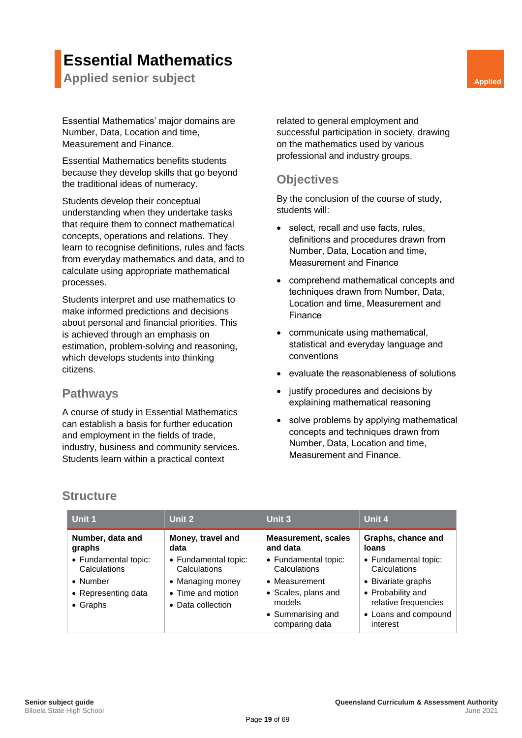## **Essential Mathematics**

<span id="page-25-0"></span>**Applied senior subject Applied Applied Applied Applied Applied Applied Applied Applied Applied Applied** 

Essential Mathematics' major domains are Number, Data, Location and time, Measurement and Finance.

Essential Mathematics benefits students because they develop skills that go beyond the traditional ideas of numeracy.

Students develop their conceptual understanding when they undertake tasks that require them to connect mathematical concepts, operations and relations. They learn to recognise definitions, rules and facts from everyday mathematics and data, and to calculate using appropriate mathematical processes.

Students interpret and use mathematics to make informed predictions and decisions about personal and financial priorities. This is achieved through an emphasis on estimation, problem-solving and reasoning, which develops students into thinking citizens.

#### <span id="page-25-2"></span>**Pathways**

A course of study in Essential Mathematics can establish a basis for further education and employment in the fields of trade, industry, business and community services. Students learn within a practical context

<span id="page-25-1"></span>related to general employment and successful participation in society, drawing on the mathematics used by various professional and industry groups.

#### <span id="page-25-3"></span>**Objectives**

By the conclusion of the course of study, students will:

- select, recall and use facts, rules, definitions and procedures drawn from Number, Data, Location and time, Measurement and Finance
- comprehend mathematical concepts and techniques drawn from Number, Data, Location and time, Measurement and Finance
- communicate using mathematical, statistical and everyday language and conventions
- evaluate the reasonableness of solutions
- justify procedures and decisions by explaining mathematical reasoning
- solve problems by applying mathematical concepts and techniques drawn from Number, Data, Location and time, Measurement and Finance.

### <span id="page-25-4"></span>**Structure**

| Unit 1                                                                                      | Unit 2                                                                                             | Unit 3                                                                                                                        | Unit 4                                                                                                                                      |
|---------------------------------------------------------------------------------------------|----------------------------------------------------------------------------------------------------|-------------------------------------------------------------------------------------------------------------------------------|---------------------------------------------------------------------------------------------------------------------------------------------|
| Number, data and<br>graphs                                                                  | Money, travel and<br>data                                                                          | <b>Measurement, scales</b><br>and data                                                                                        | Graphs, chance and<br><b>loans</b>                                                                                                          |
| • Fundamental topic:<br>Calculations<br>• Number<br>• Representing data<br>$\bullet$ Graphs | • Fundamental topic:<br>Calculations<br>• Managing money<br>• Time and motion<br>• Data collection | • Fundamental topic:<br>Calculations<br>• Measurement<br>• Scales, plans and<br>models<br>• Summarising and<br>comparing data | • Fundamental topic:<br>Calculations<br>• Bivariate graphs<br>• Probability and<br>relative frequencies<br>• Loans and compound<br>interest |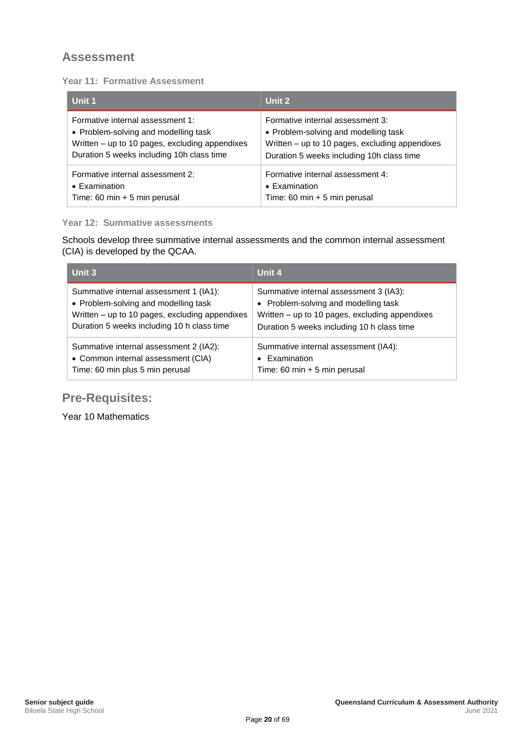#### <span id="page-26-0"></span>**Year 11: Formative Assessment**

| Unit 1                                         | Unit 2                                         |
|------------------------------------------------|------------------------------------------------|
| Formative internal assessment 1:               | Formative internal assessment 3:               |
| • Problem-solving and modelling task           | • Problem-solving and modelling task           |
| Written - up to 10 pages, excluding appendixes | Written – up to 10 pages, excluding appendixes |
| Duration 5 weeks including 10h class time      | Duration 5 weeks including 10h class time      |
| Formative internal assessment 2:               | Formative internal assessment 4:               |
| • Examination                                  | • Examination                                  |
| Time: 60 min + 5 min perusal                   | Time: 60 min $+$ 5 min perusal                 |

#### **Year 12: Summative assessments**

Schools develop three summative internal assessments and the common internal assessment (CIA) is developed by the QCAA.

| Unit 3                                         | Unit 4                                         |
|------------------------------------------------|------------------------------------------------|
| Summative internal assessment 1 (IA1):         | Summative internal assessment 3 (IA3):         |
| • Problem-solving and modelling task           | • Problem-solving and modelling task           |
| Written - up to 10 pages, excluding appendixes | Written - up to 10 pages, excluding appendixes |
| Duration 5 weeks including 10 h class time     | Duration 5 weeks including 10 h class time     |
| Summative internal assessment 2 (IA2):         | Summative internal assessment (IA4):           |
| • Common internal assessment (CIA)             | • Examination                                  |
| Time: 60 min plus 5 min perusal                | Time: 60 min $+5$ min perusal                  |

## <span id="page-26-1"></span>**Pre-Requisites:**

Year 10 Mathematics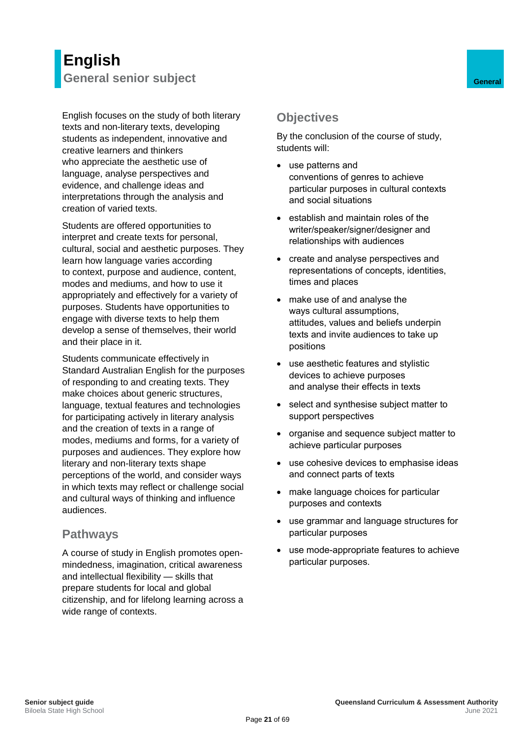## <span id="page-27-0"></span>**English General senior subject General**

English focuses on the study of both literary texts and non-literary texts, developing students as independent, innovative and creative learners and thinkers who appreciate the aesthetic use of language, analyse perspectives and evidence, and challenge ideas and interpretations through the analysis and creation of varied texts.

Students are offered opportunities to interpret and create texts for personal, cultural, social and aesthetic purposes. They learn how language varies according to context, purpose and audience, content, modes and mediums, and how to use it appropriately and effectively for a variety of purposes. Students have opportunities to engage with diverse texts to help them develop a sense of themselves, their world and their place in it.

Students communicate effectively in Standard Australian English for the purposes of responding to and creating texts. They make choices about generic structures, language, textual features and technologies for participating actively in literary analysis and the creation of texts in a range of modes, mediums and forms, for a variety of purposes and audiences. They explore how literary and non-literary texts shape perceptions of the world, and consider ways in which texts may reflect or challenge social and cultural ways of thinking and influence audiences.

#### <span id="page-27-2"></span>**Pathways**

A course of study in English promotes openmindedness, imagination, critical awareness and intellectual flexibility — skills that prepare students for local and global citizenship, and for lifelong learning across a wide range of contexts.

## <span id="page-27-3"></span><span id="page-27-1"></span>**Objectives**

By the conclusion of the course of study, students will:

- use patterns and conventions of genres to achieve particular purposes in cultural contexts and social situations
- establish and maintain roles of the writer/speaker/signer/designer and relationships with audiences
- create and analyse perspectives and representations of concepts, identities, times and places
- make use of and analyse the ways cultural assumptions, attitudes, values and beliefs underpin texts and invite audiences to take up positions
- use aesthetic features and stylistic devices to achieve purposes and analyse their effects in texts
- select and synthesise subject matter to support perspectives
- organise and sequence subject matter to achieve particular purposes
- use cohesive devices to emphasise ideas and connect parts of texts
- make language choices for particular purposes and contexts
- use grammar and language structures for particular purposes
- use mode-appropriate features to achieve particular purposes.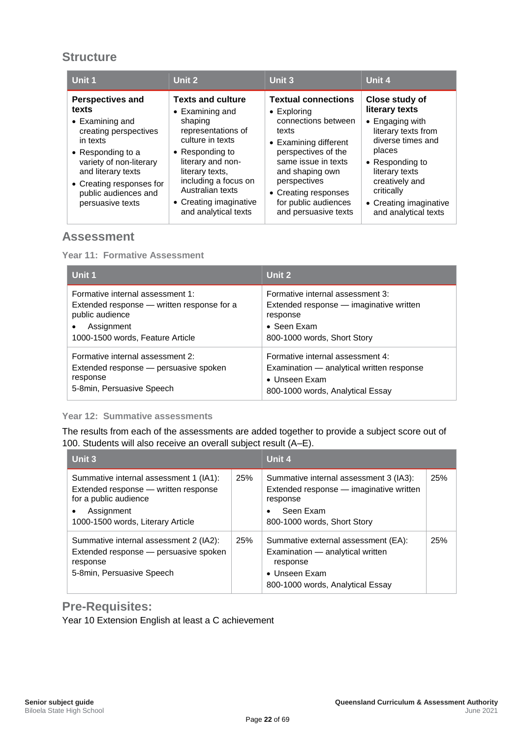### <span id="page-28-0"></span>**Structure**

| Unit 1                                                                                                                                                                                                                                         | Unit 2                                                                                                                                                                                                                                                            | Unit 3                                                                                                                                                                                                                                                              | Unit 4                                                                                                                                                                                                                                      |
|------------------------------------------------------------------------------------------------------------------------------------------------------------------------------------------------------------------------------------------------|-------------------------------------------------------------------------------------------------------------------------------------------------------------------------------------------------------------------------------------------------------------------|---------------------------------------------------------------------------------------------------------------------------------------------------------------------------------------------------------------------------------------------------------------------|---------------------------------------------------------------------------------------------------------------------------------------------------------------------------------------------------------------------------------------------|
| <b>Perspectives and</b><br>texts<br>$\bullet$ Examining and<br>creating perspectives<br>in texts<br>• Responding to a<br>variety of non-literary<br>and literary texts<br>• Creating responses for<br>public audiences and<br>persuasive texts | <b>Texts and culture</b><br>$\bullet$ Examining and<br>shaping<br>representations of<br>culture in texts<br>• Responding to<br>literary and non-<br>literary texts,<br>including a focus on<br>Australian texts<br>• Creating imaginative<br>and analytical texts | <b>Textual connections</b><br>$\bullet$ Exploring<br>connections between<br>texts<br>• Examining different<br>perspectives of the<br>same issue in texts<br>and shaping own<br>perspectives<br>• Creating responses<br>for public audiences<br>and persuasive texts | Close study of<br>literary texts<br>Engaging with<br>$\bullet$<br>literary texts from<br>diverse times and<br>places<br>• Responding to<br>literary texts<br>creatively and<br>critically<br>• Creating imaginative<br>and analytical texts |

#### <span id="page-28-1"></span>**Assessment**

**Year 11: Formative Assessment**

| Unit 1                                                                                                                                                           | Unit 2                                                                                                                                        |
|------------------------------------------------------------------------------------------------------------------------------------------------------------------|-----------------------------------------------------------------------------------------------------------------------------------------------|
| Formative internal assessment 1:<br>Extended response — written response for a<br>public audience<br>Assignment<br>$\bullet$<br>1000-1500 words, Feature Article | Formative internal assessment 3:<br>Extended response — imaginative written<br>response<br>$\bullet$ Seen Exam<br>800-1000 words, Short Story |
| Formative internal assessment 2:<br>Extended response - persuasive spoken<br>response<br>5-8min, Persuasive Speech                                               | Formative internal assessment 4:<br>Examination - analytical written response<br>$\bullet$ Unseen Exam<br>800-1000 words, Analytical Essay    |

#### **Year 12: Summative assessments**

The results from each of the assessments are added together to provide a subject score out of 100. Students will also receive an overall subject result (A–E).

| Unit 3                                                                                                                                                                  |     | Unit 4                                                                                                                                    |     |
|-------------------------------------------------------------------------------------------------------------------------------------------------------------------------|-----|-------------------------------------------------------------------------------------------------------------------------------------------|-----|
| Summative internal assessment 1 (IA1):<br>Extended response - written response<br>for a public audience<br>Assignment<br>$\bullet$<br>1000-1500 words, Literary Article | 25% | Summative internal assessment 3 (IA3):<br>Extended response - imaginative written<br>response<br>Seen Exam<br>800-1000 words, Short Story | 25% |
| Summative internal assessment 2 (IA2):<br>Extended response - persuasive spoken<br>response<br>5-8 min, Persuasive Speech                                               | 25% | Summative external assessment (EA):<br>Examination — analytical written<br>response<br>• Unseen Exam<br>800-1000 words, Analytical Essay  | 25% |

#### <span id="page-28-2"></span>**Pre-Requisites:**

Year 10 Extension English at least a C achievement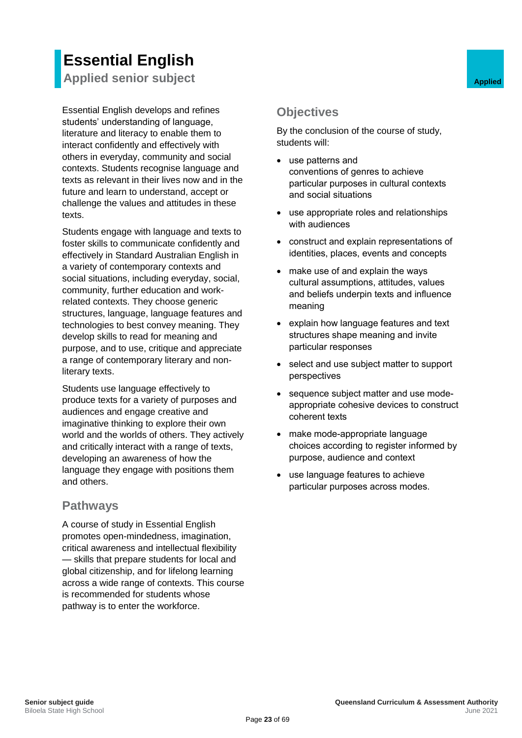# **Essential English**

<span id="page-29-0"></span>**Applied senior subject Applied Applied Applied** 

Essential English develops and refines students' understanding of language, literature and literacy to enable them to interact confidently and effectively with others in everyday, community and social contexts. Students recognise language and texts as relevant in their lives now and in the future and learn to understand, accept or challenge the values and attitudes in these texts.

Students engage with language and texts to foster skills to communicate confidently and effectively in Standard Australian English in a variety of contemporary contexts and social situations, including everyday, social, community, further education and workrelated contexts. They choose generic structures, language, language features and technologies to best convey meaning. They develop skills to read for meaning and purpose, and to use, critique and appreciate a range of contemporary literary and nonliterary texts.

Students use language effectively to produce texts for a variety of purposes and audiences and engage creative and imaginative thinking to explore their own world and the worlds of others. They actively and critically interact with a range of texts, developing an awareness of how the language they engage with positions them and others.

#### <span id="page-29-2"></span>**Pathways**

A course of study in Essential English promotes open-mindedness, imagination, critical awareness and intellectual flexibility — skills that prepare students for local and global citizenship, and for lifelong learning across a wide range of contexts. This course is recommended for students whose pathway is to enter the workforce.

## <span id="page-29-3"></span><span id="page-29-1"></span>**Objectives**

By the conclusion of the course of study, students will:

- use patterns and conventions of genres to achieve particular purposes in cultural contexts and social situations
- use appropriate roles and relationships with audiences
- construct and explain representations of identities, places, events and concepts
- make use of and explain the ways cultural assumptions, attitudes, values and beliefs underpin texts and influence meaning
- explain how language features and text structures shape meaning and invite particular responses
- select and use subject matter to support perspectives
- sequence subject matter and use modeappropriate cohesive devices to construct coherent texts
- make mode-appropriate language choices according to register informed by purpose, audience and context
- use language features to achieve particular purposes across modes.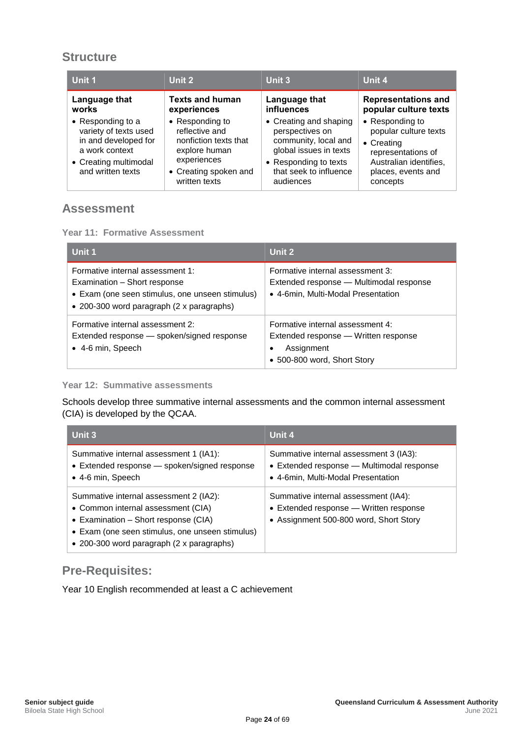### <span id="page-30-0"></span>**Structure**

| Unit 1                                                                                                                             | Unit 2                                                                                                                               | <b>Unit 3</b>                                                                                                                                               | Unit 4                                                                                                                                   |
|------------------------------------------------------------------------------------------------------------------------------------|--------------------------------------------------------------------------------------------------------------------------------------|-------------------------------------------------------------------------------------------------------------------------------------------------------------|------------------------------------------------------------------------------------------------------------------------------------------|
| Language that<br>works                                                                                                             | <b>Texts and human</b><br>experiences                                                                                                | Language that<br>influences                                                                                                                                 | <b>Representations and</b><br>popular culture texts                                                                                      |
| • Responding to a<br>variety of texts used<br>in and developed for<br>a work context<br>• Creating multimodal<br>and written texts | • Responding to<br>reflective and<br>nonfiction texts that<br>explore human<br>experiences<br>• Creating spoken and<br>written texts | • Creating and shaping<br>perspectives on<br>community, local and<br>global issues in texts<br>• Responding to texts<br>that seek to influence<br>audiences | • Responding to<br>popular culture texts<br>• Creating<br>representations of<br>Australian identifies,<br>places, events and<br>concepts |

#### <span id="page-30-1"></span>**Assessment**

#### **Year 11: Formative Assessment**

| Unit 1                                                                                                                                                           | Unit 2                                                                                                                     |
|------------------------------------------------------------------------------------------------------------------------------------------------------------------|----------------------------------------------------------------------------------------------------------------------------|
| Formative internal assessment 1:<br>Examination - Short response<br>• Exam (one seen stimulus, one unseen stimulus)<br>• 200-300 word paragraph (2 x paragraphs) | Formative internal assessment 3:<br>Extended response — Multimodal response<br>• 4-6min, Multi-Modal Presentation          |
| Formative internal assessment 2:<br>Extended response - spoken/signed response<br>• 4-6 min, Speech                                                              | Formative internal assessment 4:<br>Extended response - Written response<br>Assignment<br>٠<br>• 500-800 word, Short Story |

#### **Year 12: Summative assessments**

Schools develop three summative internal assessments and the common internal assessment (CIA) is developed by the QCAA.

| Unit 3                                                                                                                                                                                                               | Unit 4                                                                                                                    |
|----------------------------------------------------------------------------------------------------------------------------------------------------------------------------------------------------------------------|---------------------------------------------------------------------------------------------------------------------------|
| Summative internal assessment 1 (IA1):<br>• Extended response - spoken/signed response<br>• 4-6 min, Speech                                                                                                          | Summative internal assessment 3 (IA3):<br>• Extended response - Multimodal response<br>• 4-6min, Multi-Modal Presentation |
| Summative internal assessment 2 (IA2):<br>• Common internal assessment (CIA)<br>• Examination - Short response (CIA)<br>• Exam (one seen stimulus, one unseen stimulus)<br>• 200-300 word paragraph (2 x paragraphs) | Summative internal assessment (IA4):<br>• Extended response - Written response<br>• Assignment 500-800 word, Short Story  |

#### <span id="page-30-2"></span>**Pre-Requisites:**

Year 10 English recommended at least a C achievement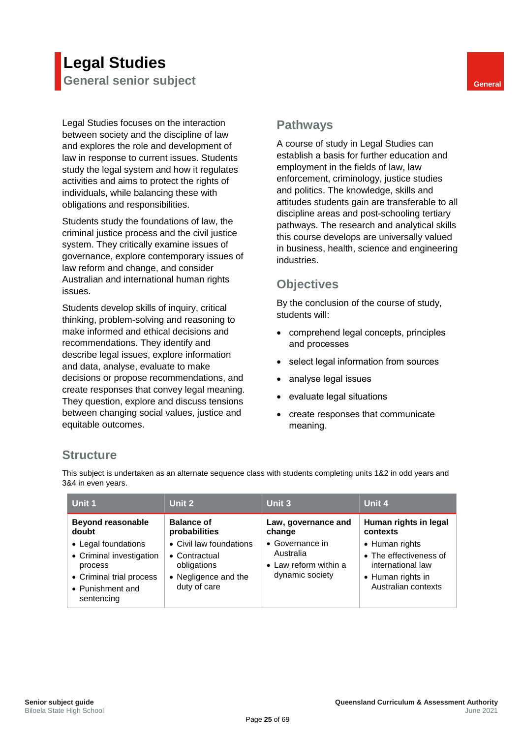## <span id="page-31-0"></span>**Legal Studies General senior subject General**

Legal Studies focuses on the interaction between society and the discipline of law and explores the role and development of law in response to current issues. Students study the legal system and how it regulates activities and aims to protect the rights of individuals, while balancing these with obligations and responsibilities.

Students study the foundations of law, the criminal justice process and the civil justice system. They critically examine issues of governance, explore contemporary issues of law reform and change, and consider Australian and international human rights issues.

Students develop skills of inquiry, critical thinking, problem-solving and reasoning to make informed and ethical decisions and recommendations. They identify and describe legal issues, explore information and data, analyse, evaluate to make decisions or propose recommendations, and create responses that convey legal meaning. They question, explore and discuss tensions between changing social values, justice and equitable outcomes.

#### <span id="page-31-2"></span><span id="page-31-1"></span>**Pathways**

A course of study in Legal Studies can establish a basis for further education and employment in the fields of law, law enforcement, criminology, justice studies and politics. The knowledge, skills and attitudes students gain are transferable to all discipline areas and post-schooling tertiary pathways. The research and analytical skills this course develops are universally valued in business, health, science and engineering industries.

#### <span id="page-31-3"></span>**Objectives**

By the conclusion of the course of study, students will:

- comprehend legal concepts, principles and processes
- select legal information from sources
- analyse legal issues
- evaluate legal situations
- create responses that communicate meaning.

### <span id="page-31-4"></span>**Structure**

This subject is undertaken as an alternate sequence class with students completing units 1&2 in odd years and 3&4 in even years.

| Unit 1                                                                                                                                                        | Unit 2                                                                                                                                | Unit 3                                                                                                    | Unit 4                                                                                                                                         |
|---------------------------------------------------------------------------------------------------------------------------------------------------------------|---------------------------------------------------------------------------------------------------------------------------------------|-----------------------------------------------------------------------------------------------------------|------------------------------------------------------------------------------------------------------------------------------------------------|
| <b>Beyond reasonable</b><br>doubt<br>• Legal foundations<br>• Criminal investigation<br>process<br>• Criminal trial process<br>• Punishment and<br>sentencing | <b>Balance of</b><br>probabilities<br>• Civil law foundations<br>• Contractual<br>obligations<br>• Negligence and the<br>duty of care | Law, governance and<br>change<br>• Governance in<br>Australia<br>• Law reform within a<br>dynamic society | Human rights in legal<br>contexts<br>• Human rights<br>• The effectiveness of<br>international law<br>• Human rights in<br>Australian contexts |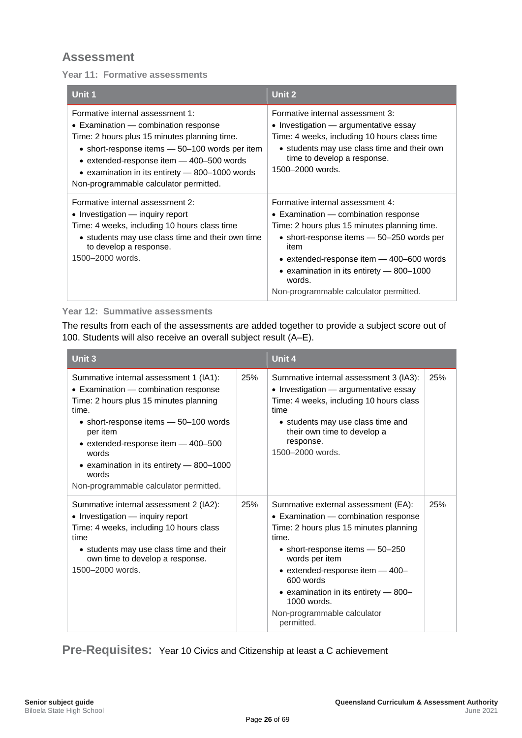<span id="page-32-0"></span>**Year 11: Formative assessments**

| Unit 1                                                                                                                                                                                                                                                                                                             | Unit 2                                                                                                                                                                                                                                                                                                                      |
|--------------------------------------------------------------------------------------------------------------------------------------------------------------------------------------------------------------------------------------------------------------------------------------------------------------------|-----------------------------------------------------------------------------------------------------------------------------------------------------------------------------------------------------------------------------------------------------------------------------------------------------------------------------|
| Formative internal assessment 1:<br>• Examination — combination response<br>Time: 2 hours plus 15 minutes planning time.<br>• short-response items – 50–100 words per item<br>• extended-response item - 400-500 words<br>• examination in its entirety – 800–1000 words<br>Non-programmable calculator permitted. | Formative internal assessment 3:<br>• Investigation — argumentative essay<br>Time: 4 weeks, including 10 hours class time<br>• students may use class time and their own<br>time to develop a response.<br>1500-2000 words.                                                                                                 |
| Formative internal assessment 2:<br>• Investigation — inquiry report<br>Time: 4 weeks, including 10 hours class time<br>• students may use class time and their own time<br>to develop a response.<br>1500-2000 words.                                                                                             | Formative internal assessment 4:<br>• Examination — combination response<br>Time: 2 hours plus 15 minutes planning time.<br>• short-response items – 50–250 words per<br>item<br>• extended-response item - 400-600 words<br>• examination in its entirety $-$ 800-1000<br>words.<br>Non-programmable calculator permitted. |

#### **Year 12: Summative assessments**

The results from each of the assessments are added together to provide a subject score out of 100. Students will also receive an overall subject result (A–E).

| Unit 3                                                                                                                                                                                                                                                                                                                               |     | Unit 4                                                                                                                                                                                                                                                                                                                                     |     |
|--------------------------------------------------------------------------------------------------------------------------------------------------------------------------------------------------------------------------------------------------------------------------------------------------------------------------------------|-----|--------------------------------------------------------------------------------------------------------------------------------------------------------------------------------------------------------------------------------------------------------------------------------------------------------------------------------------------|-----|
| Summative internal assessment 1 (IA1):<br>• Examination – combination response<br>Time: 2 hours plus 15 minutes planning<br>time.<br>• short-response items - 50-100 words<br>per item<br>• extended-response item - 400-500<br>words<br>• examination in its entirety - 800-1000<br>words<br>Non-programmable calculator permitted. | 25% | Summative internal assessment 3 (IA3):<br>• Investigation - argumentative essay<br>Time: 4 weeks, including 10 hours class<br>time<br>• students may use class time and<br>their own time to develop a<br>response.<br>1500-2000 words.                                                                                                    | 25% |
| Summative internal assessment 2 (IA2):<br>• Investigation - inquiry report<br>Time: 4 weeks, including 10 hours class<br>time<br>• students may use class time and their<br>own time to develop a response.<br>1500-2000 words.                                                                                                      | 25% | Summative external assessment (EA):<br>• Examination - combination response<br>Time: 2 hours plus 15 minutes planning<br>time.<br>• short-response items $-50-250$<br>words per item<br>• extended-response item - 400-<br>600 words<br>• examination in its entirety - 800-<br>$1000$ words.<br>Non-programmable calculator<br>permitted. | 25% |

<span id="page-32-1"></span>**Pre-Requisites:** Year 10 Civics and Citizenship at least a C achievement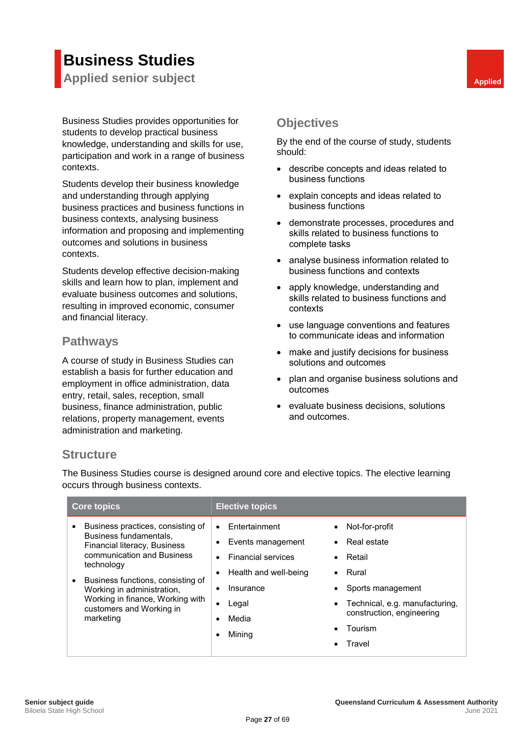## **Business Studies**

<span id="page-33-0"></span>**Applied senior subject Applied Applied Applied** 

Business Studies provides opportunities for students to develop practical business knowledge, understanding and skills for use, participation and work in a range of business contexts.

Students develop their business knowledge and understanding through applying business practices and business functions in business contexts, analysing business information and proposing and implementing outcomes and solutions in business contexts.

Students develop effective decision-making skills and learn how to plan, implement and evaluate business outcomes and solutions, resulting in improved economic, consumer and financial literacy.

#### <span id="page-33-2"></span>**Pathways**

A course of study in Business Studies can establish a basis for further education and employment in office administration, data entry, retail, sales, reception, small business, finance administration, public relations, property management, events administration and marketing.

### <span id="page-33-3"></span><span id="page-33-1"></span>**Objectives**

By the end of the course of study, students should:

- describe concepts and ideas related to business functions
- explain concepts and ideas related to business functions
- demonstrate processes, procedures and skills related to business functions to complete tasks
- analyse business information related to business functions and contexts
- apply knowledge, understanding and skills related to business functions and contexts
- use language conventions and features to communicate ideas and information
- make and justify decisions for business solutions and outcomes
- plan and organise business solutions and outcomes
- evaluate business decisions, solutions and outcomes.

#### <span id="page-33-4"></span>**Structure**

The Business Studies course is designed around core and elective topics. The elective learning occurs through business contexts.

| <b>Core topics</b>                                                                                                                           | <b>Elective topics</b>                                                                                                          |                                                                                                       |
|----------------------------------------------------------------------------------------------------------------------------------------------|---------------------------------------------------------------------------------------------------------------------------------|-------------------------------------------------------------------------------------------------------|
| Business practices, consisting of<br>Business fundamentals.<br>Financial literacy, Business<br>communication and Business<br>technology      | Entertainment<br>$\bullet$<br>$\bullet$<br>Events management<br><b>Financial services</b><br>Health and well-being<br>$\bullet$ | Not-for-profit<br>Real estate<br>Retail<br>Rural                                                      |
| Business functions, consisting of<br>Working in administration,<br>Working in finance, Working with<br>customers and Working in<br>marketing | Insurance<br>$\bullet$<br>Legal<br>$\bullet$<br>Media<br>Mining                                                                 | Sports management<br>Technical, e.g. manufacturing,<br>construction, engineering<br>Tourism<br>Travel |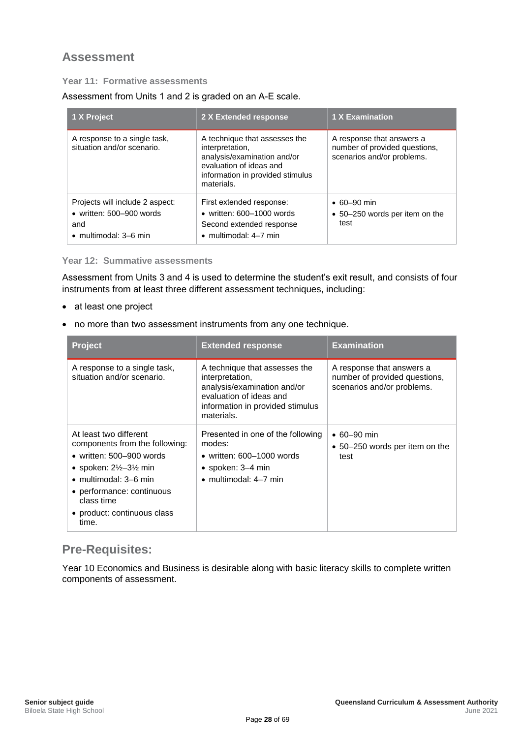#### <span id="page-34-0"></span>**Year 11: Formative assessments**

Assessment from Units 1 and 2 is graded on an A-E scale.

| 1 X Project                                                                                                 | 2 X Extended response                                                                                                                                        | 1 X Examination                                                                          |
|-------------------------------------------------------------------------------------------------------------|--------------------------------------------------------------------------------------------------------------------------------------------------------------|------------------------------------------------------------------------------------------|
| A response to a single task,<br>situation and/or scenario.                                                  | A technique that assesses the<br>interpretation,<br>analysis/examination and/or<br>evaluation of ideas and<br>information in provided stimulus<br>materials. | A response that answers a<br>number of provided questions,<br>scenarios and/or problems. |
| Projects will include 2 aspect:<br>$\bullet$ written: 500-900 words<br>and<br>$\bullet$ multimodal: 3–6 min | First extended response:<br>$\bullet$ written: 600-1000 words<br>Second extended response<br>$\bullet$ multimodal: 4-7 min                                   | $\cdot$ 60–90 min<br>• 50–250 words per item on the<br>test                              |

#### **Year 12: Summative assessments**

Assessment from Units 3 and 4 is used to determine the student's exit result, and consists of four instruments from at least three different assessment techniques, including:

- at least one project
- no more than two assessment instruments from any one technique.

| <b>Project</b>                                                                                                                                                                                                                                                | <b>Extended response</b>                                                                                                                                     | <b>Examination</b>                                                                       |
|---------------------------------------------------------------------------------------------------------------------------------------------------------------------------------------------------------------------------------------------------------------|--------------------------------------------------------------------------------------------------------------------------------------------------------------|------------------------------------------------------------------------------------------|
| A response to a single task,<br>situation and/or scenario.                                                                                                                                                                                                    | A technique that assesses the<br>interpretation,<br>analysis/examination and/or<br>evaluation of ideas and<br>information in provided stimulus<br>materials. | A response that answers a<br>number of provided questions,<br>scenarios and/or problems. |
| At least two different<br>components from the following:<br>• written: $500 - 900$ words<br>• spoken: $2\frac{1}{2}$ –3 $\frac{1}{2}$ min<br>$\bullet$ multimodal: 3–6 min<br>• performance: continuous<br>class time<br>• product: continuous class<br>time. | Presented in one of the following<br>modes:<br>• written: $600-1000$ words<br>$\bullet$ spoken: 3–4 min<br>· multimodal: 4-7 min                             | $\cdot$ 60–90 min<br>• 50–250 words per item on the<br>test                              |

### <span id="page-34-1"></span>**Pre-Requisites:**

Year 10 Economics and Business is desirable along with basic literacy skills to complete written components of assessment.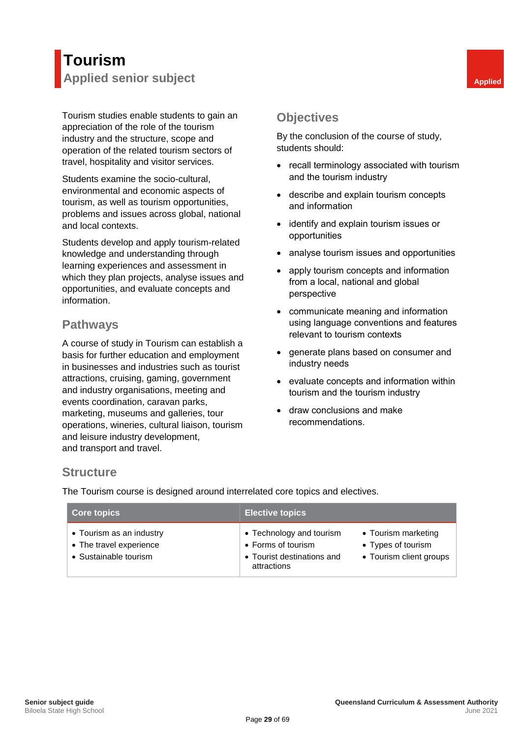## <span id="page-35-0"></span>**Tourism Applied senior subject Applied Applied Applied**

Tourism studies enable students to gain an appreciation of the role of the tourism industry and the structure, scope and operation of the related tourism sectors of travel, hospitality and visitor services.

Students examine the socio-cultural, environmental and economic aspects of tourism, as well as tourism opportunities, problems and issues across global, national and local contexts.

Students develop and apply tourism-related knowledge and understanding through learning experiences and assessment in which they plan projects, analyse issues and opportunities, and evaluate concepts and information.

#### <span id="page-35-2"></span>**Pathways**

A course of study in Tourism can establish a basis for further education and employment in businesses and industries such as tourist attractions, cruising, gaming, government and industry organisations, meeting and events coordination, caravan parks, marketing, museums and galleries, tour operations, wineries, cultural liaison, tourism and leisure industry development, and transport and travel.

### <span id="page-35-3"></span><span id="page-35-1"></span>**Objectives**

By the conclusion of the course of study, students should:

- recall terminology associated with tourism and the tourism industry
- describe and explain tourism concepts and information
- identify and explain tourism issues or opportunities
- analyse tourism issues and opportunities
- apply tourism concepts and information from a local, national and global perspective
- communicate meaning and information using language conventions and features relevant to tourism contexts
- generate plans based on consumer and industry needs
- evaluate concepts and information within tourism and the tourism industry
- draw conclusions and make recommendations.

#### <span id="page-35-4"></span>**Structure**

The Tourism course is designed around interrelated core topics and electives.

| <b>Core topics</b>                                                           | <b>Elective topics</b>                                                                      |                                                                      |
|------------------------------------------------------------------------------|---------------------------------------------------------------------------------------------|----------------------------------------------------------------------|
| • Tourism as an industry<br>• The travel experience<br>• Sustainable tourism | • Technology and tourism<br>• Forms of tourism<br>• Tourist destinations and<br>attractions | • Tourism marketing<br>• Types of tourism<br>• Tourism client groups |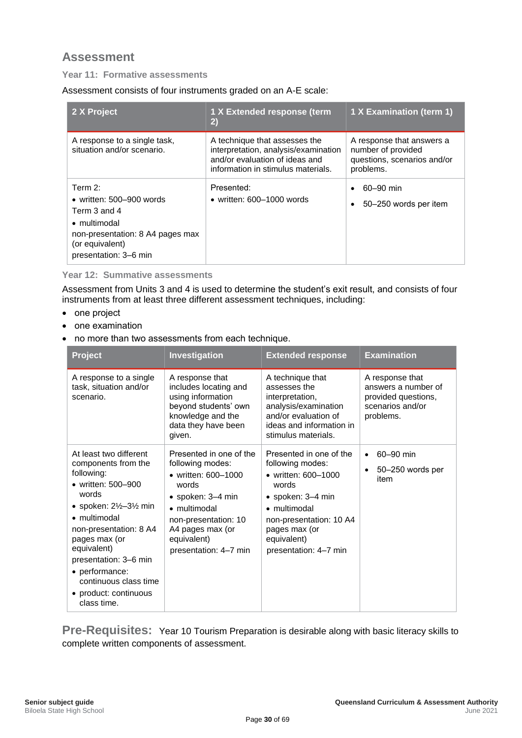#### <span id="page-36-0"></span>**Year 11: Formative assessments**

Assessment consists of four instruments graded on an A-E scale:

| 2 X Project                                                                                                                                                | 1 X Extended response (term<br>2)                                                                                                             | 1 X Examination (term 1)                                                                    |
|------------------------------------------------------------------------------------------------------------------------------------------------------------|-----------------------------------------------------------------------------------------------------------------------------------------------|---------------------------------------------------------------------------------------------|
| A response to a single task,<br>situation and/or scenario.                                                                                                 | A technique that assesses the<br>interpretation, analysis/examination<br>and/or evaluation of ideas and<br>information in stimulus materials. | A response that answers a<br>number of provided<br>questions, scenarios and/or<br>problems. |
| Term $2$ :<br>• written: $500 - 900$ words<br>Term 3 and 4<br>• multimodal<br>non-presentation: 8 A4 pages max<br>(or equivalent)<br>presentation: 3-6 min | Presented:<br>• written: $600-1000$ words                                                                                                     | 60-90 min<br>50–250 words per item                                                          |

#### **Year 12: Summative assessments**

Assessment from Units 3 and 4 is used to determine the student's exit result, and consists of four instruments from at least three different assessment techniques, including:

- one project
- one examination
- no more than two assessments from each technique.

| <b>Project</b>                                                                                                                                                                                                                                                                                                                    | Investigation                                                                                                                                                                                        | <b>Extended response</b>                                                                                                                                                                                     | <b>Examination</b>                                                                             |
|-----------------------------------------------------------------------------------------------------------------------------------------------------------------------------------------------------------------------------------------------------------------------------------------------------------------------------------|------------------------------------------------------------------------------------------------------------------------------------------------------------------------------------------------------|--------------------------------------------------------------------------------------------------------------------------------------------------------------------------------------------------------------|------------------------------------------------------------------------------------------------|
| A response to a single<br>task, situation and/or<br>scenario.                                                                                                                                                                                                                                                                     | A response that<br>includes locating and<br>using information<br>beyond students' own<br>knowledge and the<br>data they have been<br>given.                                                          | A technique that<br>assesses the<br>interpretation,<br>analysis/examination<br>and/or evaluation of<br>ideas and information in<br>stimulus materials.                                                       | A response that<br>answers a number of<br>provided questions,<br>scenarios and/or<br>problems. |
| At least two different<br>components from the<br>following:<br>• written: 500-900<br>words<br>• spoken: $2\frac{1}{2}$ -3 $\frac{1}{2}$ min<br>• multimodal<br>non-presentation: 8 A4<br>pages max (or<br>equivalent)<br>presentation: 3-6 min<br>• performance:<br>continuous class time<br>• product: continuous<br>class time. | Presented in one of the<br>following modes:<br>• written: 600-1000<br>words<br>• spoken: 3–4 min<br>• multimodal<br>non-presentation: 10<br>A4 pages max (or<br>equivalent)<br>presentation: 4-7 min | Presented in one of the<br>following modes:<br>• written: 600-1000<br>words<br>$\bullet$ spoken: 3-4 min<br>• multimodal<br>non-presentation: 10 A4<br>pages max (or<br>equivalent)<br>presentation: 4-7 min | 60-90 min<br>$\bullet$<br>50-250 words per<br>$\bullet$<br>item                                |

<span id="page-36-1"></span>**Pre-Requisites:** Year 10 Tourism Preparation is desirable along with basic literacy skills to complete written components of assessment.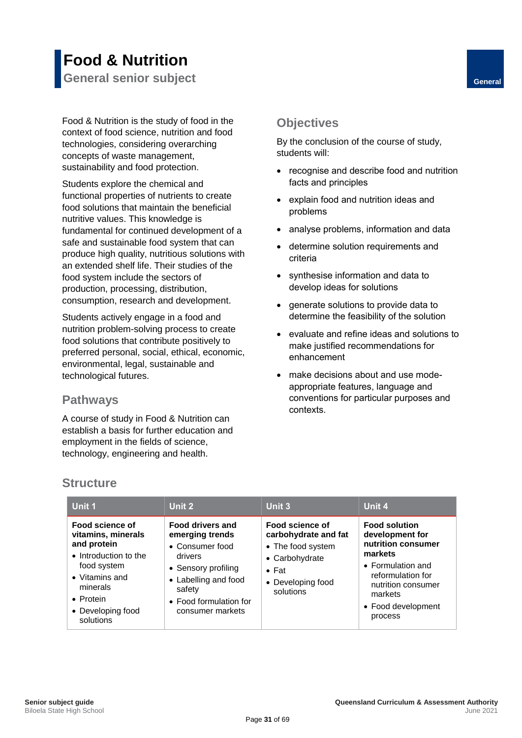## <span id="page-37-0"></span>**Food & Nutrition General senior subject General**

Food & Nutrition is the study of food in the context of food science, nutrition and food technologies, considering overarching concepts of waste management, sustainability and food protection.

Students explore the chemical and functional properties of nutrients to create food solutions that maintain the beneficial nutritive values. This knowledge is fundamental for continued development of a safe and sustainable food system that can produce high quality, nutritious solutions with an extended shelf life. Their studies of the food system include the sectors of production, processing, distribution, consumption, research and development.

Students actively engage in a food and nutrition problem-solving process to create food solutions that contribute positively to preferred personal, social, ethical, economic, environmental, legal, sustainable and technological futures.

#### <span id="page-37-2"></span>**Pathways**

A course of study in Food & Nutrition can establish a basis for further education and employment in the fields of science, technology, engineering and health.

### <span id="page-37-3"></span><span id="page-37-1"></span>**Objectives**

By the conclusion of the course of study, students will:

- recognise and describe food and nutrition facts and principles
- explain food and nutrition ideas and problems
- analyse problems, information and data
- determine solution requirements and criteria
- synthesise information and data to develop ideas for solutions
- generate solutions to provide data to determine the feasibility of the solution
- evaluate and refine ideas and solutions to make justified recommendations for enhancement
- make decisions about and use modeappropriate features, language and conventions for particular purposes and contexts.

#### <span id="page-37-4"></span>**Structure**

| Unit 1                                                                                                                                                                            | Unit 2                                                                                                                                                                          | Unit 3                                                                                                                            | Unit 4                                                                                                                                                                               |
|-----------------------------------------------------------------------------------------------------------------------------------------------------------------------------------|---------------------------------------------------------------------------------------------------------------------------------------------------------------------------------|-----------------------------------------------------------------------------------------------------------------------------------|--------------------------------------------------------------------------------------------------------------------------------------------------------------------------------------|
| Food science of<br>vitamins, minerals<br>and protein<br>• Introduction to the<br>food system<br>$\bullet$ Vitamins and<br>minerals<br>• Protein<br>• Developing food<br>solutions | <b>Food drivers and</b><br>emerging trends<br>• Consumer food<br>drivers<br>• Sensory profiling<br>• Labelling and food<br>safety<br>• Food formulation for<br>consumer markets | Food science of<br>carbohydrate and fat<br>• The food system<br>• Carbohydrate<br>$\bullet$ Fat<br>• Developing food<br>solutions | <b>Food solution</b><br>development for<br>nutrition consumer<br>markets<br>• Formulation and<br>reformulation for<br>nutrition consumer<br>markets<br>• Food development<br>process |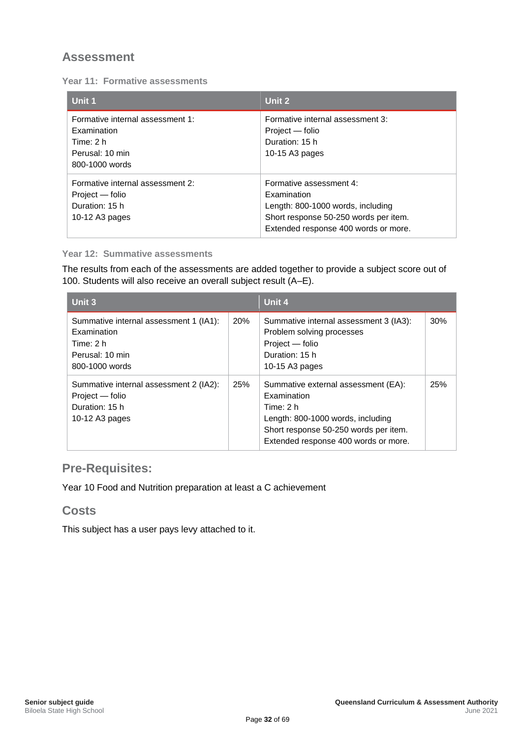<span id="page-38-0"></span>

| <b>Year 11: Formative assessments</b> |  |
|---------------------------------------|--|
|---------------------------------------|--|

| Unit 1                                                                                            | Unit 2                                                                                                                                                       |
|---------------------------------------------------------------------------------------------------|--------------------------------------------------------------------------------------------------------------------------------------------------------------|
| Formative internal assessment 1:<br>Examination<br>Time: 2 h<br>Perusal: 10 min<br>800-1000 words | Formative internal assessment 3:<br>Project — folio<br>Duration: 15 h<br>10-15 A3 pages                                                                      |
| Formative internal assessment 2:<br>Project — folio<br>Duration: 15 h<br>10-12 A3 pages           | Formative assessment 4:<br>Examination<br>Length: 800-1000 words, including<br>Short response 50-250 words per item.<br>Extended response 400 words or more. |

#### **Year 12: Summative assessments**

The results from each of the assessments are added together to provide a subject score out of 100. Students will also receive an overall subject result (A–E).

| Unit 3                                                                                                  |     | Unit 4                                                                                                                                                                                |     |
|---------------------------------------------------------------------------------------------------------|-----|---------------------------------------------------------------------------------------------------------------------------------------------------------------------------------------|-----|
| Summative internal assessment 1 (IA1):<br>Examination<br>Time: 2 h<br>Perusal: 10 min<br>800-1000 words | 20% | Summative internal assessment 3 (IA3):<br>Problem solving processes<br>Project - folio<br>Duration: 15 h<br>10-15 A3 pages                                                            | 30% |
| Summative internal assessment 2 (IA2):<br>Project - folio<br>Duration: 15 h<br>10-12 A3 pages           | 25% | Summative external assessment (EA):<br>Examination<br>Time: 2 h<br>Length: 800-1000 words, including<br>Short response 50-250 words per item.<br>Extended response 400 words or more. | 25% |

### <span id="page-38-1"></span>**Pre-Requisites:**

Year 10 Food and Nutrition preparation at least a C achievement

#### <span id="page-38-2"></span>**Costs**

This subject has a user pays levy attached to it.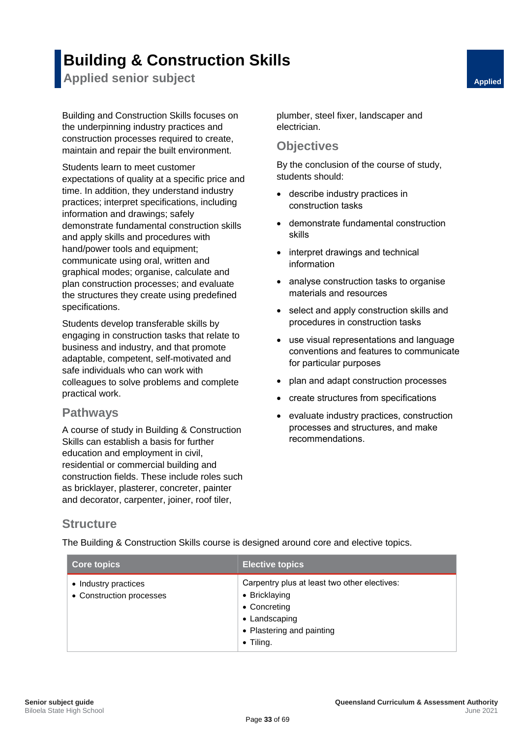## **Building & Construction Skills**

<span id="page-39-0"></span>**Applied senior subject Applied Applied Applied** 

Building and Construction Skills focuses on the underpinning industry practices and construction processes required to create, maintain and repair the built environment.

Students learn to meet customer expectations of quality at a specific price and time. In addition, they understand industry practices; interpret specifications, including information and drawings; safely demonstrate fundamental construction skills and apply skills and procedures with hand/power tools and equipment; communicate using oral, written and graphical modes; organise, calculate and plan construction processes; and evaluate the structures they create using predefined specifications.

Students develop transferable skills by engaging in construction tasks that relate to business and industry, and that promote adaptable, competent, self-motivated and safe individuals who can work with colleagues to solve problems and complete practical work.

#### <span id="page-39-2"></span>**Pathways**

A course of study in Building & Construction Skills can establish a basis for further education and employment in civil, residential or commercial building and construction fields. These include roles such as bricklayer, plasterer, concreter, painter and decorator, carpenter, joiner, roof tiler,

<span id="page-39-1"></span>plumber, steel fixer, landscaper and electrician.

#### <span id="page-39-3"></span>**Objectives**

By the conclusion of the course of study, students should:

- describe industry practices in construction tasks
- demonstrate fundamental construction skills
- interpret drawings and technical information
- analyse construction tasks to organise materials and resources
- select and apply construction skills and procedures in construction tasks
- use visual representations and language conventions and features to communicate for particular purposes
- plan and adapt construction processes
- create structures from specifications
- evaluate industry practices, construction processes and structures, and make recommendations.

#### <span id="page-39-4"></span>**Structure**

The Building & Construction Skills course is designed around core and elective topics.

| <b>Core topics</b>                               | <b>Elective topics</b>                                                                                                                           |
|--------------------------------------------------|--------------------------------------------------------------------------------------------------------------------------------------------------|
| • Industry practices<br>• Construction processes | Carpentry plus at least two other electives:<br>• Bricklaying<br>• Concreting<br>• Landscaping<br>• Plastering and painting<br>$\bullet$ Tiling. |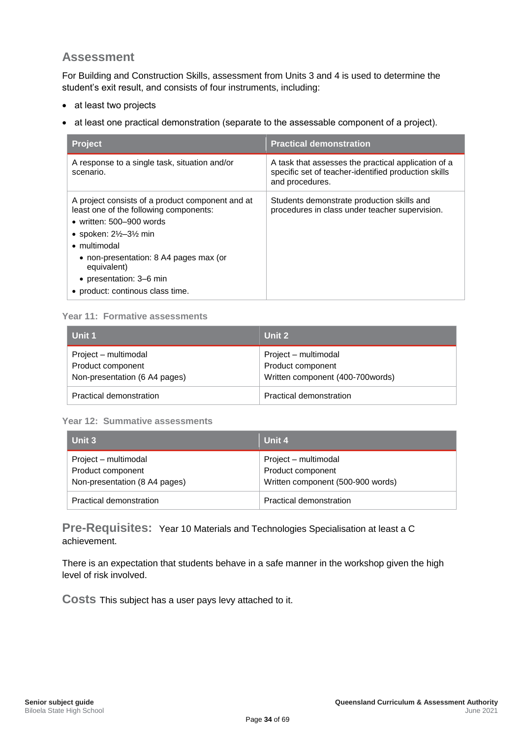<span id="page-40-0"></span>For Building and Construction Skills, assessment from Units 3 and 4 is used to determine the student's exit result, and consists of four instruments, including:

- at least two projects
- at least one practical demonstration (separate to the assessable component of a project).

| <b>Project</b>                                                                                                                                                                                                                                                                                                              | <b>Practical demonstration</b>                                                                                                 |
|-----------------------------------------------------------------------------------------------------------------------------------------------------------------------------------------------------------------------------------------------------------------------------------------------------------------------------|--------------------------------------------------------------------------------------------------------------------------------|
| A response to a single task, situation and/or<br>scenario.                                                                                                                                                                                                                                                                  | A task that assesses the practical application of a<br>specific set of teacher-identified production skills<br>and procedures. |
| A project consists of a product component and at<br>least one of the following components:<br>• written: $500 - 900$ words<br>• spoken: $2\frac{1}{2}$ –3 $\frac{1}{2}$ min<br>$\bullet$ multimodal<br>• non-presentation: 8 A4 pages max (or<br>equivalent)<br>• presentation: 3–6 min<br>• product: continous class time. | Students demonstrate production skills and<br>procedures in class under teacher supervision.                                   |

#### **Year 11: Formative assessments**

| l Unit 1                      | Unit 2                           |
|-------------------------------|----------------------------------|
| Project – multimodal          | Project – multimodal             |
| Product component             | Product component                |
| Non-presentation (6 A4 pages) | Written component (400-700words) |
| Practical demonstration       | Practical demonstration          |

#### **Year 12: Summative assessments**

| Unit 3                                                                     | Unit 4                                                                         |
|----------------------------------------------------------------------------|--------------------------------------------------------------------------------|
| Project – multimodal<br>Product component<br>Non-presentation (8 A4 pages) | Project – multimodal<br>Product component<br>Written component (500-900 words) |
| Practical demonstration                                                    | Practical demonstration                                                        |

<span id="page-40-1"></span>**Pre-Requisites:** Year 10 Materials and Technologies Specialisation at least a C achievement.

<span id="page-40-2"></span>There is an expectation that students behave in a safe manner in the workshop given the high level of risk involved.

<span id="page-40-3"></span>**Costs** This subject has a user pays levy attached to it.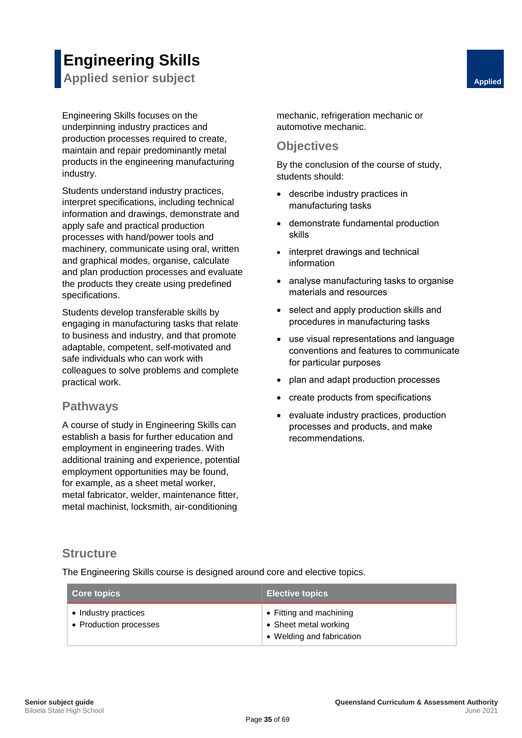# **Engineering Skills**

<span id="page-41-0"></span>**Applied senior subject Applied Applied Applied Applied** 

Engineering Skills focuses on the underpinning industry practices and production processes required to create, maintain and repair predominantly metal products in the engineering manufacturing industry.

Students understand industry practices, interpret specifications, including technical information and drawings, demonstrate and apply safe and practical production processes with hand/power tools and machinery, communicate using oral, written and graphical modes, organise, calculate and plan production processes and evaluate the products they create using predefined specifications.

Students develop transferable skills by engaging in manufacturing tasks that relate to business and industry, and that promote adaptable, competent, self-motivated and safe individuals who can work with colleagues to solve problems and complete practical work.

#### <span id="page-41-2"></span>**Pathways**

A course of study in Engineering Skills can establish a basis for further education and employment in engineering trades. With additional training and experience, potential employment opportunities may be found, for example, as a sheet metal worker, metal fabricator, welder, maintenance fitter, metal machinist, locksmith, air-conditioning

<span id="page-41-1"></span>mechanic, refrigeration mechanic or automotive mechanic.

#### <span id="page-41-3"></span>**Objectives**

By the conclusion of the course of study, students should:

- describe industry practices in manufacturing tasks
- demonstrate fundamental production skills
- interpret drawings and technical information
- analyse manufacturing tasks to organise materials and resources
- select and apply production skills and procedures in manufacturing tasks
- use visual representations and language conventions and features to communicate for particular purposes
- plan and adapt production processes
- create products from specifications
- evaluate industry practices, production processes and products, and make recommendations.

#### <span id="page-41-4"></span>**Structure**

The Engineering Skills course is designed around core and elective topics.

| <b>Core topics</b>                             | <b>Elective topics</b>                                                        |
|------------------------------------------------|-------------------------------------------------------------------------------|
| • Industry practices<br>• Production processes | • Fitting and machining<br>• Sheet metal working<br>• Welding and fabrication |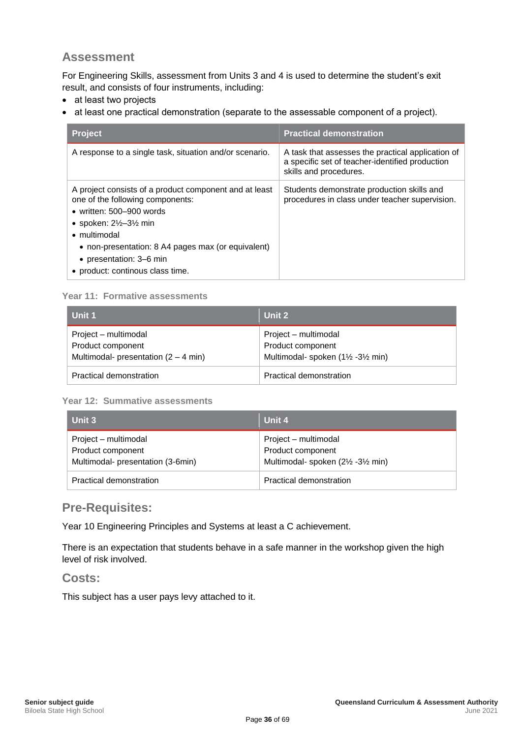<span id="page-42-0"></span>For Engineering Skills, assessment from Units 3 and 4 is used to determine the student's exit result, and consists of four instruments, including:

- at least two projects
- at least one practical demonstration (separate to the assessable component of a project).

| <b>Project</b>                                                                                                                                                                                                                                                                                                   | <b>Practical demonstration</b>                                                                                                 |
|------------------------------------------------------------------------------------------------------------------------------------------------------------------------------------------------------------------------------------------------------------------------------------------------------------------|--------------------------------------------------------------------------------------------------------------------------------|
| A response to a single task, situation and/or scenario.                                                                                                                                                                                                                                                          | A task that assesses the practical application of<br>a specific set of teacher-identified production<br>skills and procedures. |
| A project consists of a product component and at least<br>one of the following components:<br>• written: $500 - 900$ words<br>• spoken: $2\frac{1}{2}$ –3 $\frac{1}{2}$ min<br>• multimodal<br>• non-presentation: 8 A4 pages max (or equivalent)<br>• presentation: 3–6 min<br>• product: continous class time. | Students demonstrate production skills and<br>procedures in class under teacher supervision.                                   |

#### **Year 11: Formative assessments**

| Unit 1                                                                                      | Unit 2                                                                      |
|---------------------------------------------------------------------------------------------|-----------------------------------------------------------------------------|
| Project – multimodal<br>Product component<br>Multimodal- presentation $(2 - 4 \text{ min})$ | Project – multimodal<br>Product component<br>Multimodal-spoken (1½ -3½ min) |
| Practical demonstration                                                                     | Practical demonstration                                                     |

#### **Year 12: Summative assessments**

| l Unit 3                                                                       | Unit 4                                                                           |
|--------------------------------------------------------------------------------|----------------------------------------------------------------------------------|
| Project – multimodal<br>Product component<br>Multimodal- presentation (3-6min) | Project – multimodal<br>Product component<br>Multimodal-spoken (21/2 - 31/2 min) |
| Practical demonstration                                                        | <b>Practical demonstration</b>                                                   |

#### <span id="page-42-1"></span>**Pre-Requisites:**

Year 10 Engineering Principles and Systems at least a C achievement.

<span id="page-42-2"></span>There is an expectation that students behave in a safe manner in the workshop given the high level of risk involved.

#### <span id="page-42-3"></span>**Costs:**

<span id="page-42-4"></span>This subject has a user pays levy attached to it.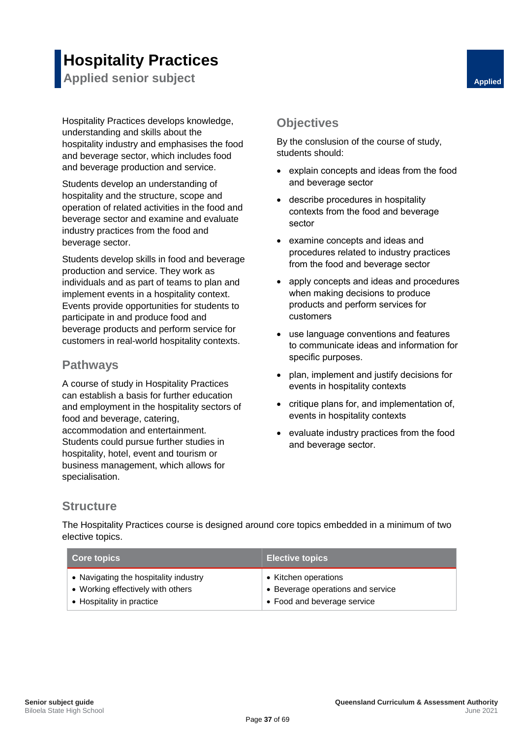## **Hospitality Practices**

<span id="page-43-0"></span>**Applied senior subject Applied Applied Applied** 

Hospitality Practices develops knowledge, understanding and skills about the hospitality industry and emphasises the food and beverage sector, which includes food and beverage production and service.

Students develop an understanding of hospitality and the structure, scope and operation of related activities in the food and beverage sector and examine and evaluate industry practices from the food and beverage sector.

Students develop skills in food and beverage production and service. They work as individuals and as part of teams to plan and implement events in a hospitality context. Events provide opportunities for students to participate in and produce food and beverage products and perform service for customers in real-world hospitality contexts.

#### <span id="page-43-2"></span>**Pathways**

A course of study in Hospitality Practices can establish a basis for further education and employment in the hospitality sectors of food and beverage, catering, accommodation and entertainment. Students could pursue further studies in hospitality, hotel, event and tourism or business management, which allows for specialisation.

### <span id="page-43-3"></span><span id="page-43-1"></span>**Objectives**

By the conslusion of the course of study, students should:

- explain concepts and ideas from the food and beverage sector
- describe procedures in hospitality contexts from the food and beverage sector
- examine concepts and ideas and procedures related to industry practices from the food and beverage sector
- apply concepts and ideas and procedures when making decisions to produce products and perform services for customers
- use language conventions and features to communicate ideas and information for specific purposes.
- plan, implement and justify decisions for events in hospitality contexts
- critique plans for, and implementation of, events in hospitality contexts
- evaluate industry practices from the food and beverage sector.

#### <span id="page-43-4"></span>**Structure**

The Hospitality Practices course is designed around core topics embedded in a minimum of two elective topics.

| <b>Core topics</b>                    | <b>Elective topics</b>            |
|---------------------------------------|-----------------------------------|
| • Navigating the hospitality industry | • Kitchen operations              |
| • Working effectively with others     | • Beverage operations and service |
| • Hospitality in practice             | • Food and beverage service       |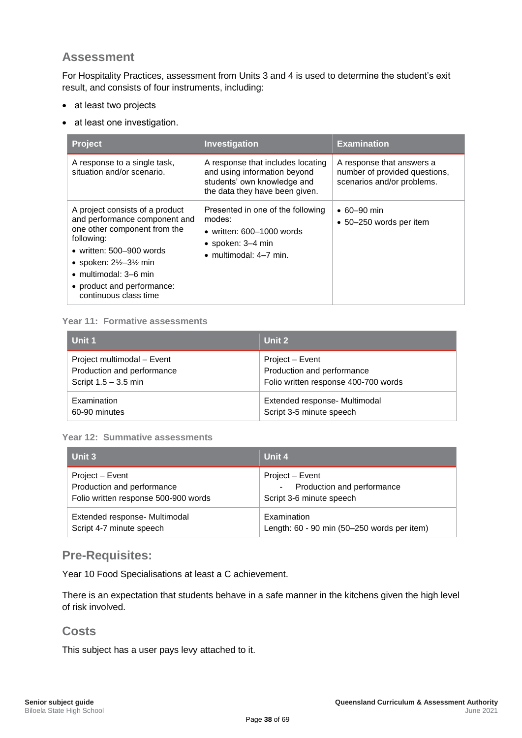<span id="page-44-0"></span>For Hospitality Practices, assessment from Units 3 and 4 is used to determine the student's exit result, and consists of four instruments, including:

- at least two projects
- at least one investigation.

| <b>Project</b>                                                                                                                                                                                                                                                                      | Investigation                                                                                                                             | <b>Examination</b>                                                                       |
|-------------------------------------------------------------------------------------------------------------------------------------------------------------------------------------------------------------------------------------------------------------------------------------|-------------------------------------------------------------------------------------------------------------------------------------------|------------------------------------------------------------------------------------------|
| A response to a single task,<br>situation and/or scenario.                                                                                                                                                                                                                          | A response that includes locating<br>and using information beyond<br>students' own knowledge and<br>the data they have been given.        | A response that answers a<br>number of provided questions,<br>scenarios and/or problems. |
| A project consists of a product<br>and performance component and<br>one other component from the<br>following:<br>• written: 500-900 words<br>• spoken: $2\frac{1}{2}$ -3 $\frac{1}{2}$ min<br>$\bullet$ multimodal: 3–6 min<br>• product and performance:<br>continuous class time | Presented in one of the following<br>modes:<br>• written: $600-1000$ words<br>$\bullet$ spoken: 3–4 min<br>$\bullet$ multimodal: 4-7 min. | $\cdot$ 60-90 min<br>• 50–250 words per item                                             |

#### **Year 11: Formative assessments**

| Unit 1                     | Unit 2                               |
|----------------------------|--------------------------------------|
| Project multimodal - Event | Project – Event                      |
| Production and performance | Production and performance           |
| Script $1.5 - 3.5$ min     | Folio written response 400-700 words |
| Examination                | Extended response- Multimodal        |
| 60-90 minutes              | Script 3-5 minute speech             |

#### **Year 12: Summative assessments**

| Unit 3                               | Unit 4                                      |
|--------------------------------------|---------------------------------------------|
| Project - Event                      | Project – Event                             |
| Production and performance           | Production and performance                  |
| Folio written response 500-900 words | Script 3-6 minute speech                    |
| Extended response- Multimodal        | Examination                                 |
| Script 4-7 minute speech             | Length: 60 - 90 min (50-250 words per item) |

#### <span id="page-44-1"></span>**Pre-Requisites:**

Year 10 Food Specialisations at least a C achievement.

<span id="page-44-2"></span>There is an expectation that students behave in a safe manner in the kitchens given the high level of risk involved.

#### <span id="page-44-3"></span>**Costs**

This subject has a user pays levy attached to it.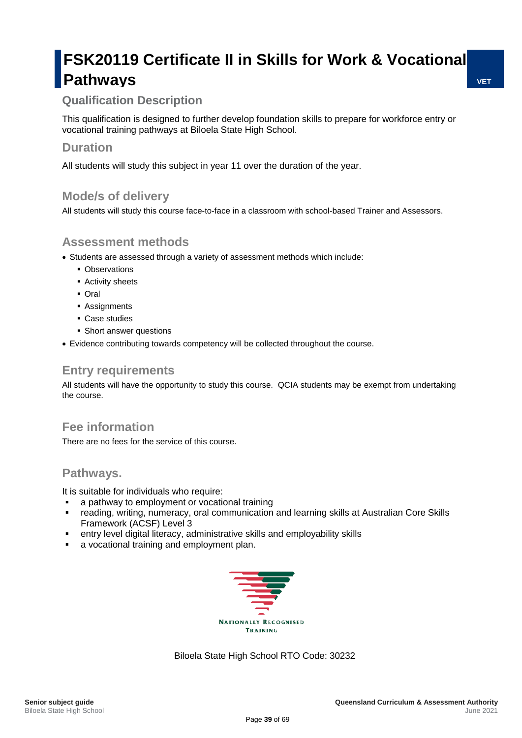## **FSK20119 Certificate II in Skills for Work & Vocational Pathways**

## <span id="page-45-2"></span><span id="page-45-1"></span><span id="page-45-0"></span>**Qualification Description**

This qualification is designed to further develop foundation skills to prepare for workforce entry or vocational training pathways at Biloela State High School.

#### **Duration**

All students will study this subject in year 11 over the duration of the year.

#### **Mode/s of delivery**

All students will study this course face-to-face in a classroom with school-based Trainer and Assessors.

### **Assessment methods**

- Students are assessed through a variety of assessment methods which include:
	- Observations
	- Activity sheets
	- Oral
	- Assignments
	- Case studies
	- Short answer questions
- Evidence contributing towards competency will be collected throughout the course.

#### **Entry requirements**

All students will have the opportunity to study this course. QCIA students may be exempt from undertaking the course.

### **Fee information**

There are no fees for the service of this course.

#### **Pathways.**

It is suitable for individuals who require:

- **•** a pathway to employment or vocational training<br>• reading writing numeracy oral communication
- reading, writing, numeracy, oral communication and learning skills at Australian Core Skills Framework (ACSF) Level 3
- entry level digital literacy, administrative skills and employability skills
- a vocational training and employment plan.



Biloela State High School RTO Code: 30232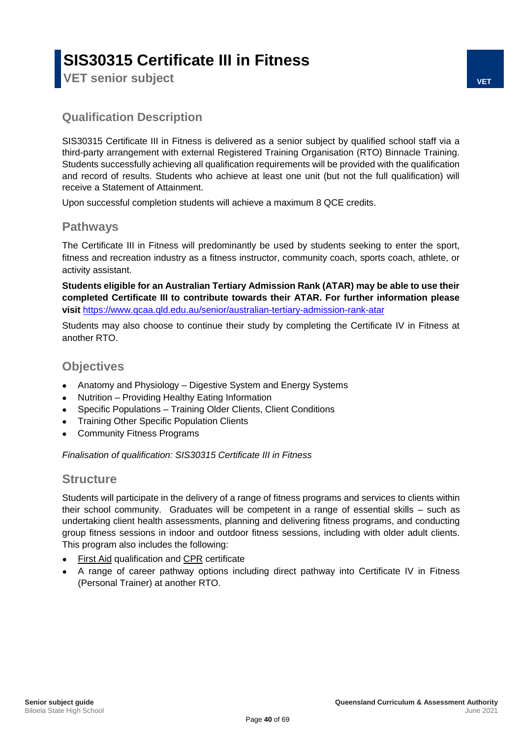## **SIS30315 Certificate III in Fitness**

<span id="page-46-1"></span><span id="page-46-0"></span>**VET senior subject VET**

#### <span id="page-46-2"></span>**Qualification Description**

SIS30315 Certificate III in Fitness is delivered as a senior subject by qualified school staff via a third-party arrangement with external Registered Training Organisation (RTO) Binnacle Training. Students successfully achieving all qualification requirements will be provided with the qualification and record of results. Students who achieve at least one unit (but not the full qualification) will receive a Statement of Attainment.

Upon successful completion students will achieve a maximum 8 QCE credits.

#### <span id="page-46-3"></span>**Pathways**

The Certificate III in Fitness will predominantly be used by students seeking to enter the sport, fitness and recreation industry as a fitness instructor, community coach, sports coach, athlete, or activity assistant.

**Students eligible for an Australian Tertiary Admission Rank (ATAR) may be able to use their completed Certificate III to contribute towards their ATAR. For further information please visit** <https://www.qcaa.qld.edu.au/senior/australian-tertiary-admission-rank-atar>

Students may also choose to continue their study by completing the Certificate IV in Fitness at another RTO.

#### <span id="page-46-4"></span>**Objectives**

- Anatomy and Physiology Digestive System and Energy Systems
- Nutrition Providing Healthy Eating Information
- Specific Populations Training Older Clients, Client Conditions
- Training Other Specific Population Clients
- Community Fitness Programs

<span id="page-46-5"></span>*Finalisation of qualification: SIS30315 Certificate III in Fitness*

#### <span id="page-46-6"></span>**Structure**

Students will participate in the delivery of a range of fitness programs and services to clients within their school community. Graduates will be competent in a range of essential skills – such as undertaking client health assessments, planning and delivering fitness programs, and conducting group fitness sessions in indoor and outdoor fitness sessions, including with older adult clients. This program also includes the following:

- First Aid qualification and CPR certificate
- A range of career pathway options including direct pathway into Certificate IV in Fitness (Personal Trainer) at another RTO.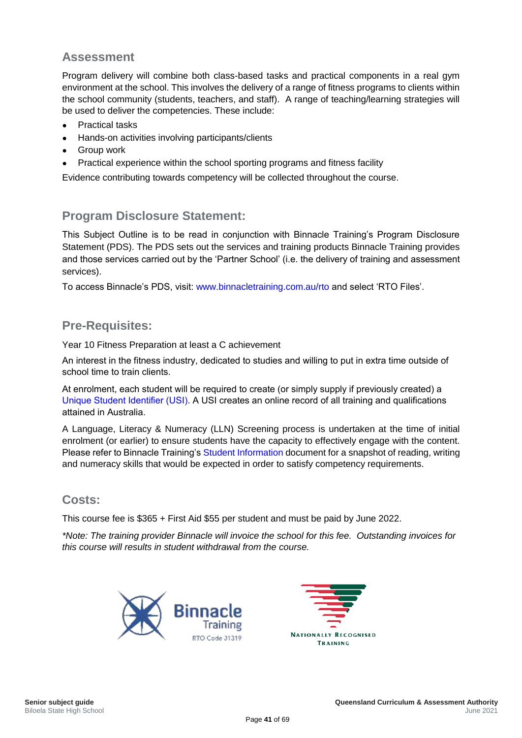<span id="page-47-0"></span>Program delivery will combine both class-based tasks and practical components in a real gym environment at the school. This involves the delivery of a range of fitness programs to clients within the school community (students, teachers, and staff). A range of teaching/learning strategies will be used to deliver the competencies. These include:

- **Practical tasks**
- Hands-on activities involving participants/clients
- **Group work**
- Practical experience within the school sporting programs and fitness facility

Evidence contributing towards competency will be collected throughout the course.

#### <span id="page-47-1"></span>**Program Disclosure Statement:**

This Subject Outline is to be read in conjunction with Binnacle Training's Program Disclosure Statement (PDS). The PDS sets out the services and training products Binnacle Training provides and those services carried out by the 'Partner School' (i.e. the delivery of training and assessment services).

To access Binnacle's PDS, visit: [www.binnacletraining.com.au/rto](http://www.binnacletraining.com.au/rto) and select 'RTO Files'.

#### <span id="page-47-2"></span>**Pre-Requisites:**

Year 10 Fitness Preparation at least a C achievement

An interest in the fitness industry, dedicated to studies and willing to put in extra time outside of school time to train clients.

At enrolment, each student will be required to create (or simply supply if previously created) a [Unique Student Identifier \(USI\).](https://www.usi.gov.au/) A USI creates an online record of all training and qualifications attained in Australia.

A Language, Literacy & Numeracy (LLN) Screening process is undertaken at the time of initial enrolment (or earlier) to ensure students have the capacity to effectively engage with the content. Please refer to Binnacle Training's [Student Information](https://www.binnacletraining.com.au/connect/support-centre/binnacle-rto-files/) document for a snapshot of reading, writing and numeracy skills that would be expected in order to satisfy competency requirements.

#### <span id="page-47-3"></span>**Costs:**

This course fee is \$365 + First Aid \$55 per student and must be paid by June 2022.

*\*Note: The training provider Binnacle will invoice the school for this fee. Outstanding invoices for this course will results in student withdrawal from the course.* 



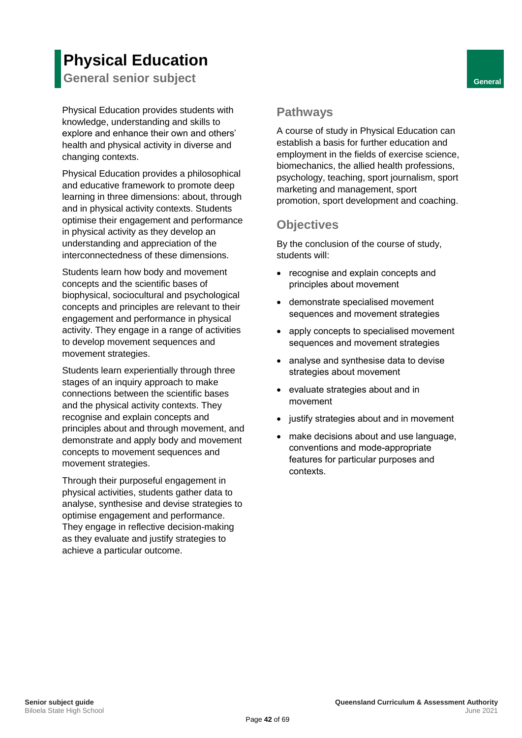## **Physical Education**

<span id="page-48-0"></span>**General senior subject General** 

Physical Education provides students with knowledge, understanding and skills to explore and enhance their own and others' health and physical activity in diverse and changing contexts.

Physical Education provides a philosophical and educative framework to promote deep learning in three dimensions: about, through and in physical activity contexts. Students optimise their engagement and performance in physical activity as they develop an understanding and appreciation of the interconnectedness of these dimensions.

Students learn how body and movement concepts and the scientific bases of biophysical, sociocultural and psychological concepts and principles are relevant to their engagement and performance in physical activity. They engage in a range of activities to develop movement sequences and movement strategies.

Students learn experientially through three stages of an inquiry approach to make connections between the scientific bases and the physical activity contexts. They recognise and explain concepts and principles about and through movement, and demonstrate and apply body and movement concepts to movement sequences and movement strategies.

Through their purposeful engagement in physical activities, students gather data to analyse, synthesise and devise strategies to optimise engagement and performance. They engage in reflective decision-making as they evaluate and justify strategies to achieve a particular outcome.

### <span id="page-48-2"></span><span id="page-48-1"></span>**Pathways**

A course of study in Physical Education can establish a basis for further education and employment in the fields of exercise science, biomechanics, the allied health professions, psychology, teaching, sport journalism, sport marketing and management, sport promotion, sport development and coaching.

## <span id="page-48-3"></span>**Objectives**

By the conclusion of the course of study, students will:

- recognise and explain concepts and principles about movement
- demonstrate specialised movement sequences and movement strategies
- apply concepts to specialised movement sequences and movement strategies
- analyse and synthesise data to devise strategies about movement
- evaluate strategies about and in movement
- justify strategies about and in movement
- make decisions about and use language, conventions and mode-appropriate features for particular purposes and contexts.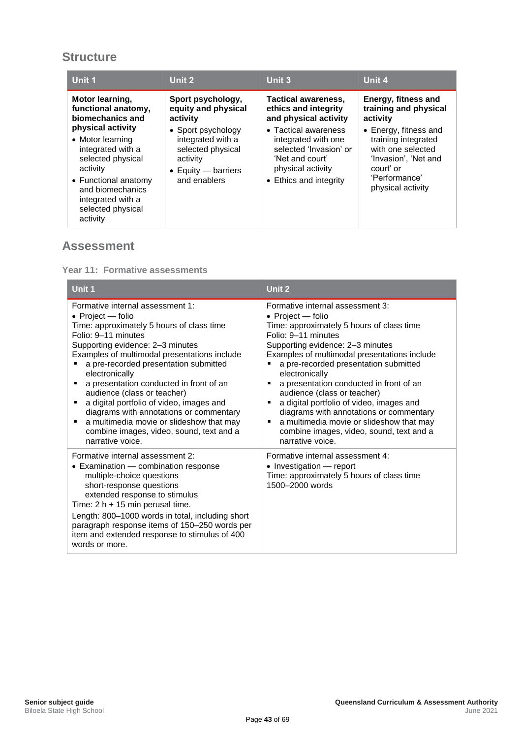### <span id="page-49-0"></span>**Structure**

| Unit 1                                                                                                                                                                                        | Unit 2                                                                                                                  | Unit 3                                                                                                                                  | Unit 4                                                                                                                                       |
|-----------------------------------------------------------------------------------------------------------------------------------------------------------------------------------------------|-------------------------------------------------------------------------------------------------------------------------|-----------------------------------------------------------------------------------------------------------------------------------------|----------------------------------------------------------------------------------------------------------------------------------------------|
| Motor learning,<br>functional anatomy,<br>biomechanics and                                                                                                                                    | Sport psychology,<br>equity and physical<br>activity                                                                    | <b>Tactical awareness,</b><br>ethics and integrity<br>and physical activity                                                             | Energy, fitness and<br>training and physical<br>activity                                                                                     |
| physical activity<br>• Motor learning<br>integrated with a<br>selected physical<br>activity<br>• Functional anatomy<br>and biomechanics<br>integrated with a<br>selected physical<br>activity | • Sport psychology<br>integrated with a<br>selected physical<br>activity<br>$\bullet$ Equity — barriers<br>and enablers | • Tactical awareness<br>integrated with one<br>selected 'Invasion' or<br>'Net and court'<br>physical activity<br>• Ethics and integrity | • Energy, fitness and<br>training integrated<br>with one selected<br>'Invasion', 'Net and<br>court' or<br>'Performance'<br>physical activity |

#### <span id="page-49-1"></span>**Assessment**

**Year 11: Formative assessments**

| Unit 1                                                                                                                                                                                                                                                                                                                                                                                                                                                                                                                                                | Unit 2                                                                                                                                                                                                                                                                                                                                                                                                                                                                                                                                                  |
|-------------------------------------------------------------------------------------------------------------------------------------------------------------------------------------------------------------------------------------------------------------------------------------------------------------------------------------------------------------------------------------------------------------------------------------------------------------------------------------------------------------------------------------------------------|---------------------------------------------------------------------------------------------------------------------------------------------------------------------------------------------------------------------------------------------------------------------------------------------------------------------------------------------------------------------------------------------------------------------------------------------------------------------------------------------------------------------------------------------------------|
| Formative internal assessment 1:<br>• Project — folio<br>Time: approximately 5 hours of class time<br>Folio: 9-11 minutes<br>Supporting evidence: 2-3 minutes<br>Examples of multimodal presentations include<br>a pre-recorded presentation submitted<br>electronically<br>a presentation conducted in front of an<br>audience (class or teacher)<br>a digital portfolio of video, images and<br>diagrams with annotations or commentary<br>a multimedia movie or slideshow that may<br>combine images, video, sound, text and a<br>narrative voice. | Formative internal assessment 3:<br>• Project $-$ folio<br>Time: approximately 5 hours of class time<br>Folio: 9-11 minutes<br>Supporting evidence: 2-3 minutes<br>Examples of multimodal presentations include<br>a pre-recorded presentation submitted<br>electronically<br>a presentation conducted in front of an<br>audience (class or teacher)<br>a digital portfolio of video, images and<br>diagrams with annotations or commentary<br>a multimedia movie or slideshow that may<br>combine images, video, sound, text and a<br>narrative voice. |
| Formative internal assessment 2:<br>• Examination - combination response<br>multiple-choice questions<br>short-response questions<br>extended response to stimulus<br>Time: $2 h + 15$ min perusal time.<br>Length: 800–1000 words in total, including short<br>paragraph response items of 150-250 words per<br>item and extended response to stimulus of 400<br>words or more.                                                                                                                                                                      | Formative internal assessment 4:<br>• Investigation - report<br>Time: approximately 5 hours of class time<br>1500-2000 words                                                                                                                                                                                                                                                                                                                                                                                                                            |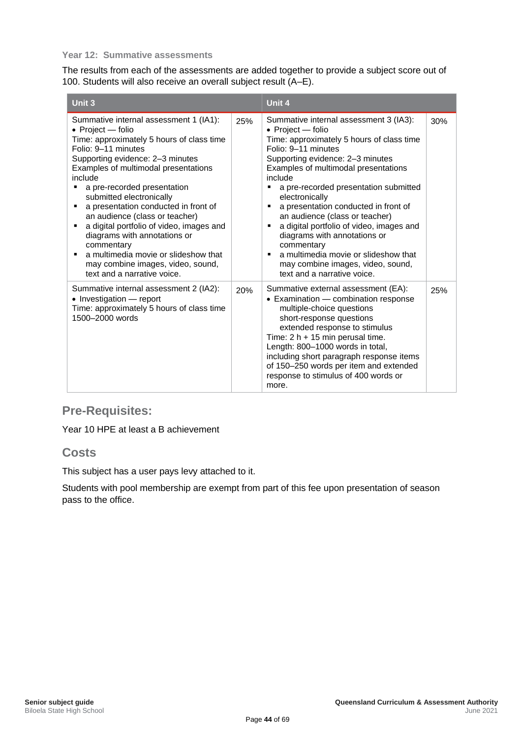#### **Year 12: Summative assessments**

The results from each of the assessments are added together to provide a subject score out of 100. Students will also receive an overall subject result (A–E).

| Unit 3                                                                                                                                                                                                                                                                                                                                                                                                                                                                                                                                                            |     | Unit 4                                                                                                                                                                                                                                                                                                                                                                                                                                                                                                                                                                           |     |
|-------------------------------------------------------------------------------------------------------------------------------------------------------------------------------------------------------------------------------------------------------------------------------------------------------------------------------------------------------------------------------------------------------------------------------------------------------------------------------------------------------------------------------------------------------------------|-----|----------------------------------------------------------------------------------------------------------------------------------------------------------------------------------------------------------------------------------------------------------------------------------------------------------------------------------------------------------------------------------------------------------------------------------------------------------------------------------------------------------------------------------------------------------------------------------|-----|
| Summative internal assessment 1 (IA1):<br>• Project - folio<br>Time: approximately 5 hours of class time<br>Folio: 9-11 minutes<br>Supporting evidence: 2-3 minutes<br>Examples of multimodal presentations<br>include<br>a pre-recorded presentation<br>submitted electronically<br>a presentation conducted in front of<br>an audience (class or teacher)<br>a digital portfolio of video, images and<br>diagrams with annotations or<br>commentary<br>a multimedia movie or slideshow that<br>may combine images, video, sound,<br>text and a narrative voice. | 25% | Summative internal assessment 3 (IA3):<br>• Project - folio<br>Time: approximately 5 hours of class time<br>Folio: 9-11 minutes<br>Supporting evidence: 2-3 minutes<br>Examples of multimodal presentations<br>include<br>a pre-recorded presentation submitted<br>electronically<br>a presentation conducted in front of<br>п<br>an audience (class or teacher)<br>a digital portfolio of video, images and<br>п<br>diagrams with annotations or<br>commentary<br>a multimedia movie or slideshow that<br>п<br>may combine images, video, sound,<br>text and a narrative voice. | 30% |
| Summative internal assessment 2 (IA2):<br>• Investigation – report<br>Time: approximately 5 hours of class time<br>1500-2000 words                                                                                                                                                                                                                                                                                                                                                                                                                                | 20% | Summative external assessment (EA):<br>• Examination - combination response<br>multiple-choice questions<br>short-response questions<br>extended response to stimulus<br>Time: $2 h + 15$ min perusal time.<br>Length: 800-1000 words in total,<br>including short paragraph response items<br>of 150-250 words per item and extended<br>response to stimulus of 400 words or<br>more.                                                                                                                                                                                           | 25% |

## <span id="page-50-0"></span>**Pre-Requisites:**

Year 10 HPE at least a B achievement

#### <span id="page-50-1"></span>**Costs**

This subject has a user pays levy attached to it.

Students with pool membership are exempt from part of this fee upon presentation of season pass to the office.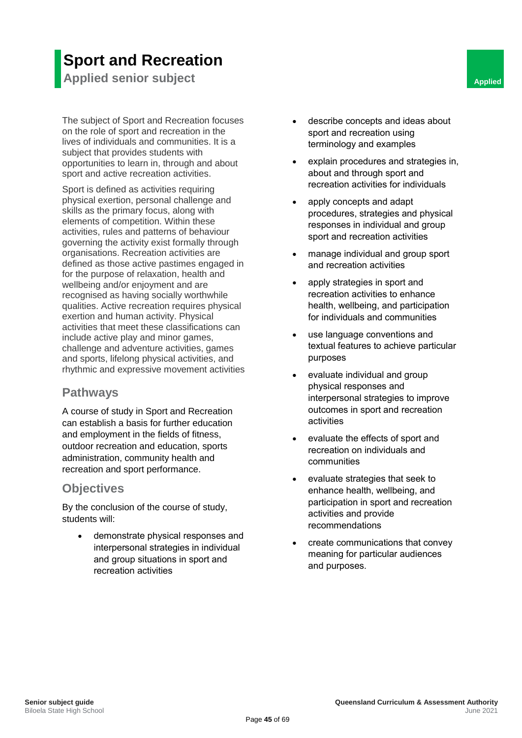## **Sport and Recreation**

<span id="page-51-0"></span>**Applied senior subject Applied Applied Applied Applied Applied Applied Applied Applied Applied** 

The subject of Sport and Recreation focuses on the role of sport and recreation in the lives of individuals and communities. It is a subject that provides students with opportunities to learn in, through and about sport and active recreation activities.

Sport is defined as activities requiring physical exertion, personal challenge and skills as the primary focus, along with elements of competition. Within these activities, rules and patterns of behaviour governing the activity exist formally through organisations. Recreation activities are defined as those active pastimes engaged in for the purpose of relaxation, health and wellbeing and/or enjoyment and are recognised as having socially worthwhile qualities. Active recreation requires physical exertion and human activity. Physical activities that meet these classifications can include active play and minor games, challenge and adventure activities, games and sports, lifelong physical activities, and rhythmic and expressive movement activities

#### <span id="page-51-2"></span>**Pathways**

<span id="page-51-3"></span>A course of study in Sport and Recreation can establish a basis for further education and employment in the fields of fitness, outdoor recreation and education, sports administration, community health and recreation and sport performance.

#### <span id="page-51-4"></span>**Objectives**

By the conclusion of the course of study, students will:

• demonstrate physical responses and interpersonal strategies in individual and group situations in sport and recreation activities

- <span id="page-51-1"></span>describe concepts and ideas about sport and recreation using terminology and examples
- explain procedures and strategies in, about and through sport and recreation activities for individuals
- apply concepts and adapt procedures, strategies and physical responses in individual and group sport and recreation activities
- manage individual and group sport and recreation activities
- apply strategies in sport and recreation activities to enhance health, wellbeing, and participation for individuals and communities
- use language conventions and textual features to achieve particular purposes
- evaluate individual and group physical responses and interpersonal strategies to improve outcomes in sport and recreation activities
- evaluate the effects of sport and recreation on individuals and communities
- evaluate strategies that seek to enhance health, wellbeing, and participation in sport and recreation activities and provide recommendations
- create communications that convey meaning for particular audiences and purposes.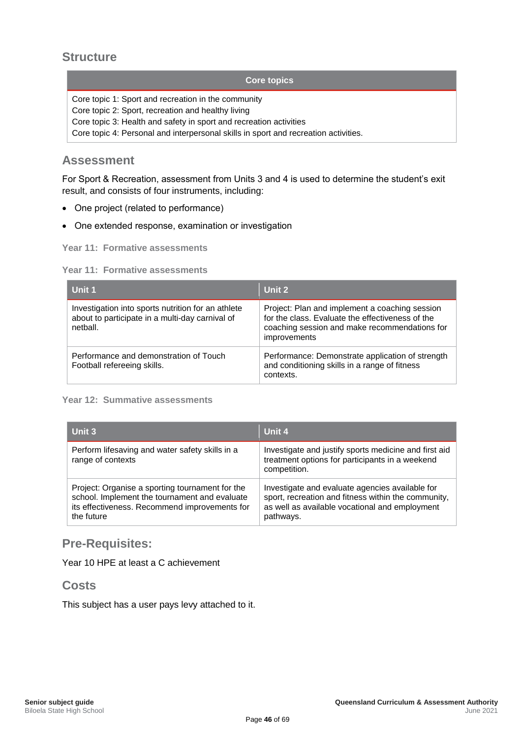#### <span id="page-52-0"></span>**Structure**

#### **Core topics**

Core topic 1: Sport and recreation in the community

Core topic 2: Sport, recreation and healthy living

Core topic 3: Health and safety in sport and recreation activities

Core topic 4: Personal and interpersonal skills in sport and recreation activities.

#### <span id="page-52-1"></span>**Assessment**

For Sport & Recreation, assessment from Units 3 and 4 is used to determine the student's exit result, and consists of four instruments, including:

- One project (related to performance)
- One extended response, examination or investigation

**Year 11: Formative assessments**

#### **Year 11: Formative assessments**

| Unit 1                                                                                                            | Unit 2                                                                                                                                                              |
|-------------------------------------------------------------------------------------------------------------------|---------------------------------------------------------------------------------------------------------------------------------------------------------------------|
| Investigation into sports nutrition for an athlete<br>about to participate in a multi-day carnival of<br>netball. | Project: Plan and implement a coaching session<br>for the class. Evaluate the effectiveness of the<br>coaching session and make recommendations for<br>improvements |
| Performance and demonstration of Touch<br>Football refereeing skills.                                             | Performance: Demonstrate application of strength<br>and conditioning skills in a range of fitness<br>contexts.                                                      |

#### **Year 12: Summative assessments**

| Unit 3                                                                                                                                                          | Unit 4                                                                                                                                                                |
|-----------------------------------------------------------------------------------------------------------------------------------------------------------------|-----------------------------------------------------------------------------------------------------------------------------------------------------------------------|
| Perform lifesaving and water safety skills in a<br>range of contexts                                                                                            | Investigate and justify sports medicine and first aid<br>treatment options for participants in a weekend<br>competition.                                              |
| Project: Organise a sporting tournament for the<br>school. Implement the tournament and evaluate<br>its effectiveness. Recommend improvements for<br>the future | Investigate and evaluate agencies available for<br>sport, recreation and fitness within the community,<br>as well as available vocational and employment<br>pathways. |

#### <span id="page-52-2"></span>**Pre-Requisites:**

Year 10 HPE at least a C achievement

#### <span id="page-52-3"></span>**Costs**

This subject has a user pays levy attached to it.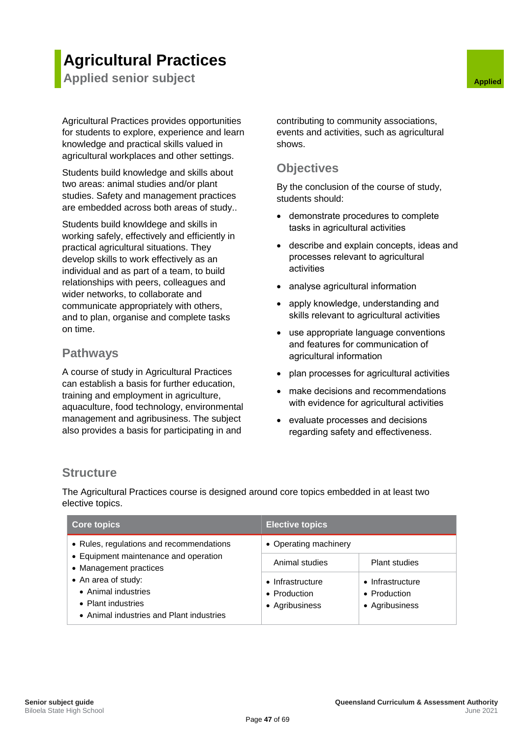## **Agricultural Practices**

<span id="page-53-0"></span>**Applied senior subject Applied Applied Applied Applied** 

Agricultural Practices provides opportunities for students to explore, experience and learn knowledge and practical skills valued in agricultural workplaces and other settings.

Students build knowledge and skills about two areas: animal studies and/or plant studies. Safety and management practices are embedded across both areas of study..

Students build knowldege and skills in working safely, effectively and efficiently in practical agricultural situations. They develop skills to work effectively as an individual and as part of a team, to build relationships with peers, colleagues and wider networks, to collaborate and communicate appropriately with others, and to plan, organise and complete tasks on time.

#### <span id="page-53-2"></span>**Pathways**

A course of study in Agricultural Practices can establish a basis for further education, training and employment in agriculture, aquaculture, food technology, environmental management and agribusiness. The subject also provides a basis for participating in and

<span id="page-53-1"></span>contributing to community associations, events and activities, such as agricultural shows.

#### <span id="page-53-3"></span>**Objectives**

By the conclusion of the course of study, students should:

- demonstrate procedures to complete tasks in agricultural activities
- describe and explain concepts, ideas and processes relevant to agricultural activities
- analyse agricultural information
- apply knowledge, understanding and skills relevant to agricultural activities
- use appropriate language conventions and features for communication of agricultural information
- plan processes for agricultural activities
- make decisions and recommendations with evidence for agricultural activities
- evaluate processes and decisions regarding safety and effectiveness.

#### <span id="page-53-4"></span>**Structure**

The Agricultural Practices course is designed around core topics embedded in at least two elective topics.

| <b>Core topics</b>                                                                                                                                                                                                          | <b>Elective topics</b>                             |                                                    |
|-----------------------------------------------------------------------------------------------------------------------------------------------------------------------------------------------------------------------------|----------------------------------------------------|----------------------------------------------------|
| • Rules, regulations and recommendations<br>• Equipment maintenance and operation<br>• Management practices<br>• An area of study:<br>• Animal industries<br>• Plant industries<br>• Animal industries and Plant industries | • Operating machinery                              |                                                    |
|                                                                                                                                                                                                                             | Animal studies                                     | <b>Plant studies</b>                               |
|                                                                                                                                                                                                                             | • Infrastructure<br>• Production<br>• Agribusiness | • Infrastructure<br>• Production<br>• Agribusiness |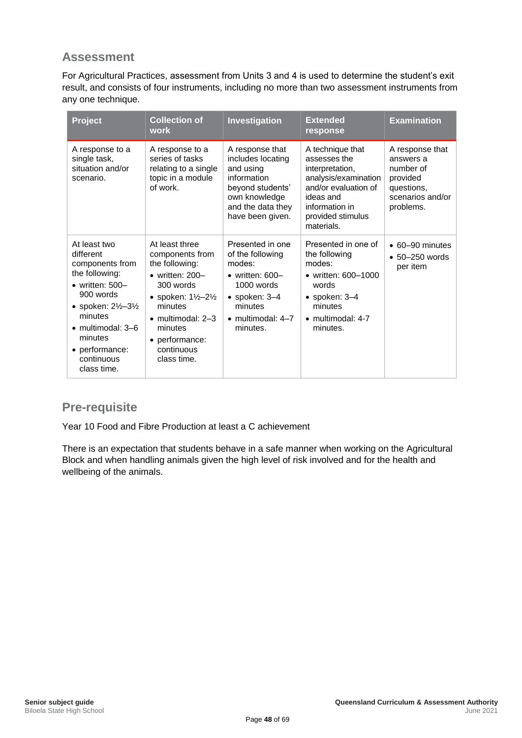<span id="page-54-0"></span>For Agricultural Practices, assessment from Units 3 and 4 is used to determine the student's exit result, and consists of four instruments, including no more than two assessment instruments from any one technique.

| <b>Project</b>                                                                                                                                                                                                                                      | <b>Collection of</b><br>work                                                                                                                                                                                                               | Investigation                                                                                                                                                          | <b>Extended</b><br>response                                                                                                                                           | <b>Examination</b>                                                                                   |
|-----------------------------------------------------------------------------------------------------------------------------------------------------------------------------------------------------------------------------------------------------|--------------------------------------------------------------------------------------------------------------------------------------------------------------------------------------------------------------------------------------------|------------------------------------------------------------------------------------------------------------------------------------------------------------------------|-----------------------------------------------------------------------------------------------------------------------------------------------------------------------|------------------------------------------------------------------------------------------------------|
| A response to a<br>single task,<br>situation and/or<br>scenario.                                                                                                                                                                                    | A response to a<br>series of tasks<br>relating to a single<br>topic in a module<br>of work.                                                                                                                                                | A response that<br>includes locating<br>and using<br>information<br>beyond students'<br>own knowledge<br>and the data they<br>have been given.                         | A technique that<br>assesses the<br>interpretation,<br>analysis/examination<br>and/or evaluation of<br>ideas and<br>information in<br>provided stimulus<br>materials. | A response that<br>answers a<br>number of<br>provided<br>questions,<br>scenarios and/or<br>problems. |
| At least two<br>different<br>components from<br>the following:<br>$\bullet$ written: 500-<br>900 words<br>• spoken: $2\frac{1}{2} - 3\frac{1}{2}$<br>minutes<br>$\bullet$ multimodal: 3–6<br>minutes<br>• performance:<br>continuous<br>class time. | At least three<br>components from<br>the following:<br>$\bullet$ written: 200-<br>$300$ words<br>• spoken: $1\frac{1}{2} - 2\frac{1}{2}$<br>minutes<br>$\bullet$ multimodal: 2-3<br>minutes<br>• performance:<br>continuous<br>class time. | Presented in one<br>of the following<br>modes:<br>$\bullet$ written: 600-<br>$1000$ words<br>$\bullet$ spoken: 3-4<br>minutes<br>$\bullet$ multimodal: 4-7<br>minutes. | Presented in one of<br>the following<br>modes:<br>• written: 600-1000<br>words<br>$\bullet$ spoken: 3-4<br>minutes<br>$\bullet$ multimodal: 4-7<br>minutes.           | $\bullet$ 60-90 minutes<br>$\bullet$ 50-250 words<br>per item                                        |

### <span id="page-54-1"></span>**Pre-requisite**

Year 10 Food and Fibre Production at least a C achievement

<span id="page-54-2"></span>There is an expectation that students behave in a safe manner when working on the Agricultural Block and when handling animals given the high level of risk involved and for the health and wellbeing of the animals.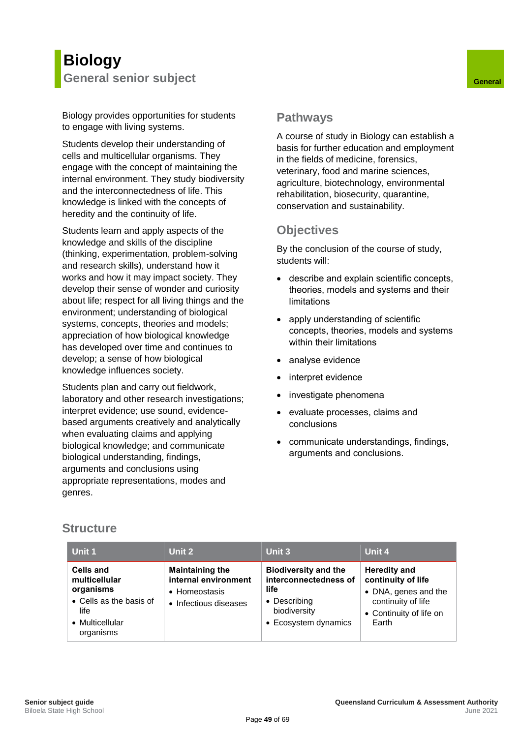## <span id="page-55-0"></span>**Biology General senior subject General**

Biology provides opportunities for students to engage with living systems.

Students develop their understanding of cells and multicellular organisms. They engage with the concept of maintaining the internal environment. They study biodiversity and the interconnectedness of life. This knowledge is linked with the concepts of heredity and the continuity of life.

Students learn and apply aspects of the knowledge and skills of the discipline (thinking, experimentation, problem-solving and research skills), understand how it works and how it may impact society. They develop their sense of wonder and curiosity about life; respect for all living things and the environment; understanding of biological systems, concepts, theories and models; appreciation of how biological knowledge has developed over time and continues to develop; a sense of how biological knowledge influences society.

Students plan and carry out fieldwork, laboratory and other research investigations; interpret evidence; use sound, evidencebased arguments creatively and analytically when evaluating claims and applying biological knowledge; and communicate biological understanding, findings, arguments and conclusions using appropriate representations, modes and genres.

#### <span id="page-55-2"></span><span id="page-55-1"></span>**Pathways**

A course of study in Biology can establish a basis for further education and employment in the fields of medicine, forensics, veterinary, food and marine sciences, agriculture, biotechnology, environmental rehabilitation, biosecurity, quarantine, conservation and sustainability.

#### <span id="page-55-3"></span>**Objectives**

By the conclusion of the course of study, students will:

- describe and explain scientific concepts, theories, models and systems and their limitations
- apply understanding of scientific concepts, theories, models and systems within their limitations
- analyse evidence
- interpret evidence
- investigate phenomena
- evaluate processes, claims and conclusions
- communicate understandings, findings, arguments and conclusions.

### <span id="page-55-4"></span>**Structure**

| Unit 1                                                                                                            | Unit 2                                                                                   | Unit 3                                                                                                               | <b>Unit 4</b>                                                                                                               |
|-------------------------------------------------------------------------------------------------------------------|------------------------------------------------------------------------------------------|----------------------------------------------------------------------------------------------------------------------|-----------------------------------------------------------------------------------------------------------------------------|
| <b>Cells and</b><br>multicellular<br>organisms<br>• Cells as the basis of<br>life<br>• Multicellular<br>organisms | <b>Maintaining the</b><br>internal environment<br>• Homeostasis<br>• Infectious diseases | <b>Biodiversity and the</b><br>interconnectedness of<br>life<br>• Describing<br>biodiversity<br>• Ecosystem dynamics | <b>Heredity and</b><br>continuity of life<br>• DNA, genes and the<br>continuity of life<br>• Continuity of life on<br>Earth |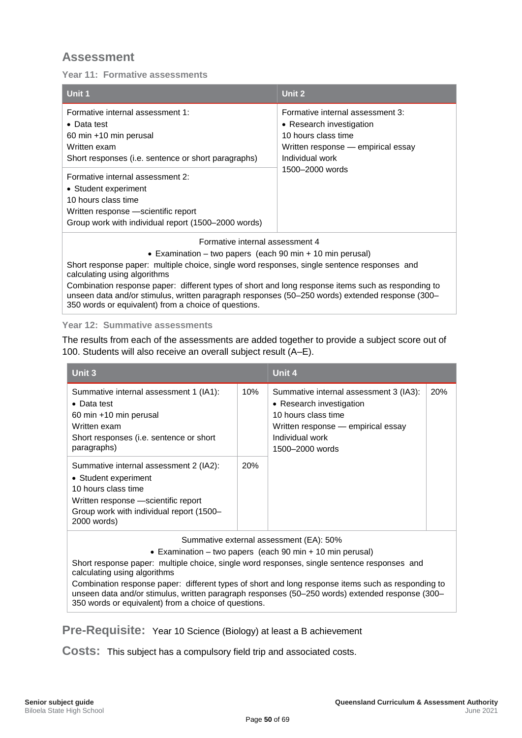<span id="page-56-0"></span>**Year 11: Formative assessments**

| Unit 1                                                                                                                                                                                                | Unit 2                             |  |  |
|-------------------------------------------------------------------------------------------------------------------------------------------------------------------------------------------------------|------------------------------------|--|--|
| Formative internal assessment 1:                                                                                                                                                                      | Formative internal assessment 3:   |  |  |
| • Data test                                                                                                                                                                                           | • Research investigation           |  |  |
| 60 min +10 min perusal                                                                                                                                                                                | 10 hours class time                |  |  |
| Written exam                                                                                                                                                                                          | Written response — empirical essay |  |  |
| Short responses (i.e. sentence or short paragraphs)                                                                                                                                                   | Individual work                    |  |  |
| Formative internal assessment 2:<br>• Student experiment<br>10 hours class time<br>Written response —scientific report<br>Group work with individual report (1500-2000 words)                         | 1500-2000 words                    |  |  |
| Formative internal assessment 4                                                                                                                                                                       |                                    |  |  |
| • Examination – two papers (each 90 min + 10 min perusal)                                                                                                                                             |                                    |  |  |
| Short response paper: multiple choice, single word responses, single sentence responses and<br>calculating using algorithms                                                                           |                                    |  |  |
| Combination response paper: different types of short and long response items such as responding to<br>unseen data and/or stimulus, written paragraph responses (50–250 words) extended response (300– |                                    |  |  |

#### **Year 12: Summative assessments**

350 words or equivalent) from a choice of questions.

The results from each of the assessments are added together to provide a subject score out of 100. Students will also receive an overall subject result (A–E).

| Unit 3                                                                                                                                                                                   |            | Unit 4                                                                                                                                                                |  |
|------------------------------------------------------------------------------------------------------------------------------------------------------------------------------------------|------------|-----------------------------------------------------------------------------------------------------------------------------------------------------------------------|--|
| Summative internal assessment 1 (IA1):<br>$\bullet$ Data test<br>60 min +10 min perusal<br>Written exam<br>Short responses ( <i>i.e.</i> sentence or short<br>paragraphs)                | 10%        | Summative internal assessment 3 (IA3):<br>• Research investigation<br>10 hours class time<br>Written response - empirical essay<br>Individual work<br>1500–2000 words |  |
| Summative internal assessment 2 (IA2):<br>• Student experiment<br>10 hours class time<br>Written response - scientific report<br>Group work with individual report (1500-<br>2000 words) | <b>20%</b> |                                                                                                                                                                       |  |

Summative external assessment (EA): 50%

• Examination – two papers (each 90 min + 10 min perusal)

Short response paper: multiple choice, single word responses, single sentence responses and calculating using algorithms

Combination response paper: different types of short and long response items such as responding to unseen data and/or stimulus, written paragraph responses (50–250 words) extended response (300– 350 words or equivalent) from a choice of questions.

<span id="page-56-1"></span>**Pre-Requisite:** Year 10 Science (Biology) at least a B achievement

<span id="page-56-2"></span>**Costs:** This subject has a compulsory field trip and associated costs.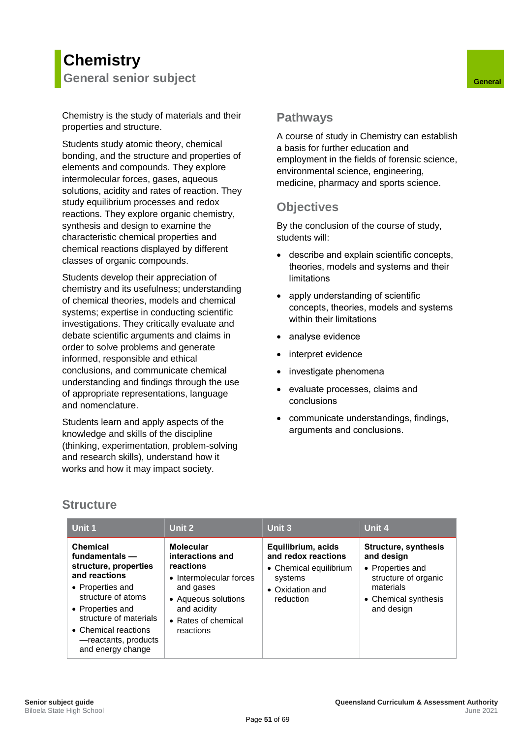## <span id="page-57-0"></span>**Chemistry General senior subject General**

Chemistry is the study of materials and their properties and structure.

Students study atomic theory, chemical bonding, and the structure and properties of elements and compounds. They explore intermolecular forces, gases, aqueous solutions, acidity and rates of reaction. They study equilibrium processes and redox reactions. They explore organic chemistry, synthesis and design to examine the characteristic chemical properties and chemical reactions displayed by different classes of organic compounds.

Students develop their appreciation of chemistry and its usefulness; understanding of chemical theories, models and chemical systems; expertise in conducting scientific investigations. They critically evaluate and debate scientific arguments and claims in order to solve problems and generate informed, responsible and ethical conclusions, and communicate chemical understanding and findings through the use of appropriate representations, language and nomenclature.

Students learn and apply aspects of the knowledge and skills of the discipline (thinking, experimentation, problem-solving and research skills), understand how it works and how it may impact society.

#### <span id="page-57-2"></span><span id="page-57-1"></span>**Pathways**

A course of study in Chemistry can establish a basis for further education and employment in the fields of forensic science, environmental science, engineering, medicine, pharmacy and sports science.

#### <span id="page-57-3"></span>**Objectives**

By the conclusion of the course of study, students will:

- describe and explain scientific concepts, theories, models and systems and their limitations
- apply understanding of scientific concepts, theories, models and systems within their limitations
- analyse evidence
- interpret evidence
- investigate phenomena
- evaluate processes, claims and conclusions
- communicate understandings, findings, arguments and conclusions.

#### <span id="page-57-4"></span>**Structure**

| Unit 1                                                                                                                                                                                                                                     | Unit 2                                                                                                                                                              | Unit 3                                                                                                         | Unit 4                                                                                                                                   |
|--------------------------------------------------------------------------------------------------------------------------------------------------------------------------------------------------------------------------------------------|---------------------------------------------------------------------------------------------------------------------------------------------------------------------|----------------------------------------------------------------------------------------------------------------|------------------------------------------------------------------------------------------------------------------------------------------|
| <b>Chemical</b><br>fundamentals $-$<br>structure, properties<br>and reactions<br>• Properties and<br>structure of atoms<br>• Properties and<br>structure of materials<br>• Chemical reactions<br>-reactants, products<br>and energy change | <b>Molecular</b><br>interactions and<br>reactions<br>• Intermolecular forces<br>and gases<br>• Aqueous solutions<br>and acidity<br>• Rates of chemical<br>reactions | Equilibrium, acids<br>and redox reactions<br>• Chemical equilibrium<br>systems<br>• Oxidation and<br>reduction | <b>Structure, synthesis</b><br>and design<br>• Properties and<br>structure of organic<br>materials<br>• Chemical synthesis<br>and design |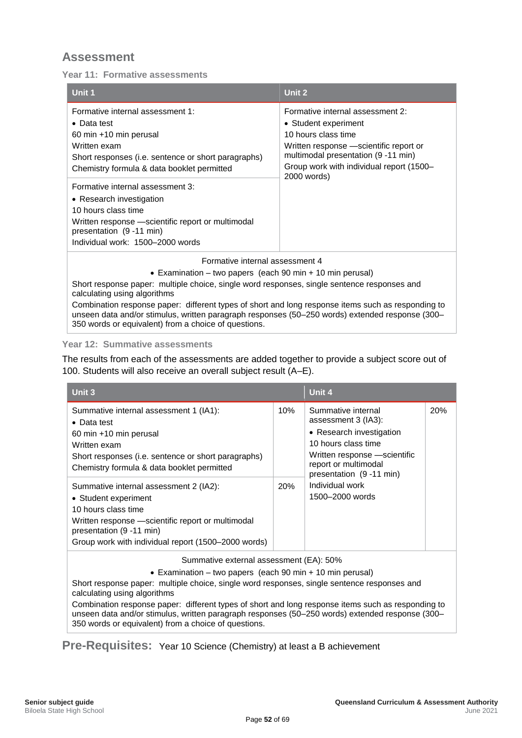<span id="page-58-0"></span>**Year 11: Formative assessments**

| Unit 1                                                                                                                                                                                                    | Unit 2                                                                                                                                                                                                        |
|-----------------------------------------------------------------------------------------------------------------------------------------------------------------------------------------------------------|---------------------------------------------------------------------------------------------------------------------------------------------------------------------------------------------------------------|
| Formative internal assessment 1:<br>$\bullet$ Data test<br>60 min +10 min perusal<br>Written exam<br>Short responses (i.e. sentence or short paragraphs)<br>Chemistry formula & data booklet permitted    | Formative internal assessment 2:<br>• Student experiment<br>10 hours class time<br>Written response - scientific report or<br>multimodal presentation (9 -11 min)<br>Group work with individual report (1500- |
| Formative internal assessment 3:<br>• Research investigation<br>10 hours class time<br>Written response - scientific report or multimodal<br>presentation (9 -11 min)<br>Individual work: 1500-2000 words | 2000 words)                                                                                                                                                                                                   |
| Formative internal assessment 4                                                                                                                                                                           |                                                                                                                                                                                                               |

• Examination – two papers (each 90 min + 10 min perusal)

Short response paper: multiple choice, single word responses, single sentence responses and calculating using algorithms

Combination response paper: different types of short and long response items such as responding to unseen data and/or stimulus, written paragraph responses (50–250 words) extended response (300– 350 words or equivalent) from a choice of questions.

#### **Year 12: Summative assessments**

The results from each of the assessments are added together to provide a subject score out of 100. Students will also receive an overall subject result (A–E).

| Unit 3                                                                                                                                                                                                                         |            | Unit 4                                                                                                                                                                           |     |
|--------------------------------------------------------------------------------------------------------------------------------------------------------------------------------------------------------------------------------|------------|----------------------------------------------------------------------------------------------------------------------------------------------------------------------------------|-----|
| Summative internal assessment 1 (IA1):<br>$\bullet$ Data test<br>60 min +10 min perusal<br>Written exam<br>Short responses (i.e. sentence or short paragraphs)<br>Chemistry formula & data booklet permitted                   | 10%        | Summative internal<br>assessment 3 (IA3):<br>• Research investigation<br>10 hours class time<br>Written response -scientific<br>report or multimodal<br>presentation (9 -11 min) | 20% |
| Summative internal assessment 2 (IA2):<br>• Student experiment<br>10 hours class time<br>Written response - scientific report or multimodal<br>presentation (9 -11 min)<br>Group work with individual report (1500-2000 words) | <b>20%</b> | Individual work<br>1500-2000 words                                                                                                                                               |     |

Summative external assessment (EA): 50%

• Examination – two papers (each 90 min + 10 min perusal)

Short response paper: multiple choice, single word responses, single sentence responses and calculating using algorithms

Combination response paper: different types of short and long response items such as responding to unseen data and/or stimulus, written paragraph responses (50–250 words) extended response (300– 350 words or equivalent) from a choice of questions.

<span id="page-58-1"></span>**Pre-Requisites:** Year 10 Science (Chemistry) at least a B achievement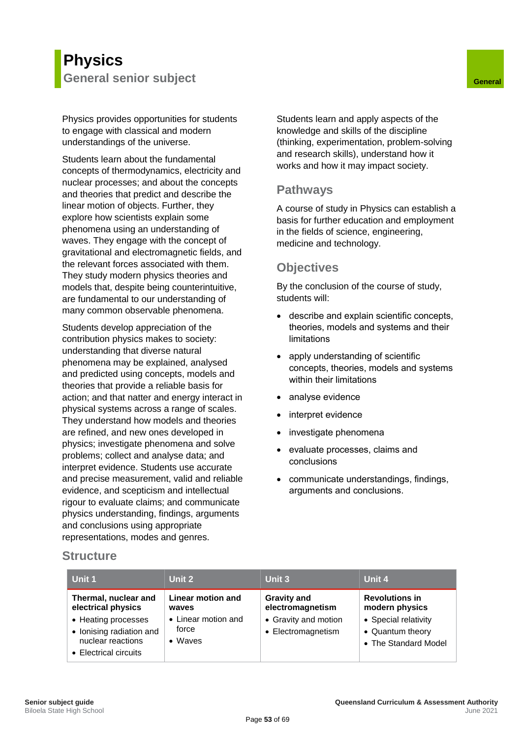## <span id="page-59-0"></span>**Physics General senior subject General**

Physics provides opportunities for students to engage with classical and modern understandings of the universe.

Students learn about the fundamental concepts of thermodynamics, electricity and nuclear processes; and about the concepts and theories that predict and describe the linear motion of objects. Further, they explore how scientists explain some phenomena using an understanding of waves. They engage with the concept of gravitational and electromagnetic fields, and the relevant forces associated with them. They study modern physics theories and models that, despite being counterintuitive, are fundamental to our understanding of many common observable phenomena.

Students develop appreciation of the contribution physics makes to society: understanding that diverse natural phenomena may be explained, analysed and predicted using concepts, models and theories that provide a reliable basis for action; and that natter and energy interact in physical systems across a range of scales. They understand how models and theories are refined, and new ones developed in physics; investigate phenomena and solve problems; collect and analyse data; and interpret evidence. Students use accurate and precise measurement, valid and reliable evidence, and scepticism and intellectual rigour to evaluate claims; and communicate physics understanding, findings, arguments and conclusions using appropriate representations, modes and genres.

<span id="page-59-1"></span>Students learn and apply aspects of the knowledge and skills of the discipline (thinking, experimentation, problem-solving and research skills), understand how it works and how it may impact society.

#### <span id="page-59-2"></span>**Pathways**

A course of study in Physics can establish a basis for further education and employment in the fields of science, engineering, medicine and technology.

#### <span id="page-59-3"></span>**Objectives**

By the conclusion of the course of study, students will:

- describe and explain scientific concepts, theories, models and systems and their limitations
- apply understanding of scientific concepts, theories, models and systems within their limitations
- analyse evidence
- interpret evidence
- investigate phenomena
- evaluate processes, claims and conclusions
- communicate understandings, findings, arguments and conclusions.

<span id="page-59-4"></span>

| Unit 1                                                                                        | Unit 2                                          | Unit 3                                     | Unit 4                                                           |
|-----------------------------------------------------------------------------------------------|-------------------------------------------------|--------------------------------------------|------------------------------------------------------------------|
| Thermal, nuclear and<br>electrical physics                                                    | Linear motion and<br>waves                      | <b>Gravity and</b><br>electromagnetism     | <b>Revolutions in</b><br>modern physics                          |
| • Heating processes<br>• Ionising radiation and<br>nuclear reactions<br>• Electrical circuits | • Linear motion and<br>force<br>$\bullet$ Waves | • Gravity and motion<br>• Electromagnetism | • Special relativity<br>• Quantum theory<br>• The Standard Model |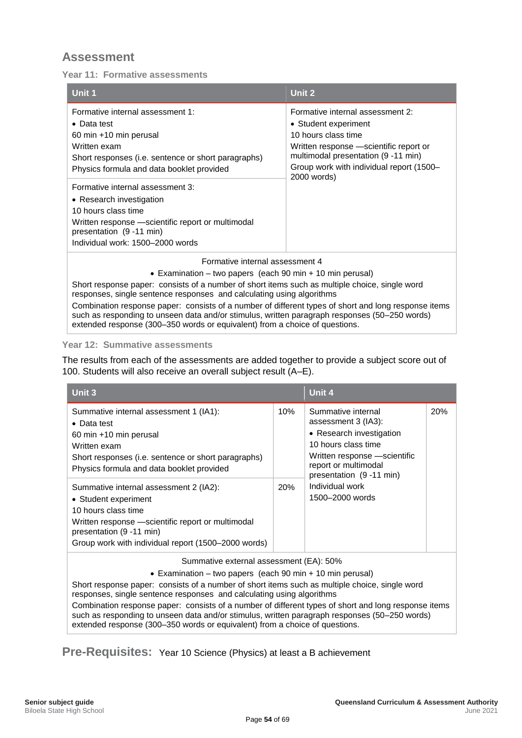<span id="page-60-0"></span>**Year 11: Formative assessments**

| Unit 1                                                                                                                                                                                                    | Unit 2                                                                                                                                                                                                                       |
|-----------------------------------------------------------------------------------------------------------------------------------------------------------------------------------------------------------|------------------------------------------------------------------------------------------------------------------------------------------------------------------------------------------------------------------------------|
| Formative internal assessment 1:<br>$\bullet$ Data test<br>60 min +10 min perusal<br>Written exam<br>Short responses (i.e. sentence or short paragraphs)<br>Physics formula and data booklet provided     | Formative internal assessment 2:<br>• Student experiment<br>10 hours class time<br>Written response - scientific report or<br>multimodal presentation (9 -11 min)<br>Group work with individual report (1500–<br>2000 words) |
| Formative internal assessment 3:<br>• Research investigation<br>10 hours class time<br>Written response - scientific report or multimodal<br>presentation (9 -11 min)<br>Individual work: 1500–2000 words |                                                                                                                                                                                                                              |
| Formative internal assessment 4                                                                                                                                                                           |                                                                                                                                                                                                                              |

• Examination – two papers (each 90 min + 10 min perusal)

Short response paper: consists of a number of short items such as multiple choice, single word responses, single sentence responses and calculating using algorithms Combination response paper: consists of a number of different types of short and long response items such as responding to unseen data and/or stimulus, written paragraph responses (50–250 words) extended response (300–350 words or equivalent) from a choice of questions.

#### **Year 12: Summative assessments**

The results from each of the assessments are added together to provide a subject score out of 100. Students will also receive an overall subject result (A–E).

| Unit 3                                                                                                                                                                                                                         |            | Unit 4                                                                                                                                                                           |     |
|--------------------------------------------------------------------------------------------------------------------------------------------------------------------------------------------------------------------------------|------------|----------------------------------------------------------------------------------------------------------------------------------------------------------------------------------|-----|
| Summative internal assessment 1 (IA1):<br>$\bullet$ Data test<br>60 min +10 min perusal<br>Written exam<br>Short responses (i.e. sentence or short paragraphs)<br>Physics formula and data booklet provided                    | 10%        | Summative internal<br>assessment 3 (IA3):<br>• Research investigation<br>10 hours class time<br>Written response -scientific<br>report or multimodal<br>presentation (9 -11 min) | 20% |
| Summative internal assessment 2 (IA2):<br>• Student experiment<br>10 hours class time<br>Written response - scientific report or multimodal<br>presentation (9 -11 min)<br>Group work with individual report (1500-2000 words) | <b>20%</b> | Individual work<br>1500-2000 words                                                                                                                                               |     |

Summative external assessment (EA): 50%

• Examination – two papers (each 90 min + 10 min perusal)

Short response paper: consists of a number of short items such as multiple choice, single word responses, single sentence responses and calculating using algorithms Combination response paper: consists of a number of different types of short and long response items such as responding to unseen data and/or stimulus, written paragraph responses (50–250 words) extended response (300–350 words or equivalent) from a choice of questions.

<span id="page-60-1"></span>**Pre-Requisites:** Year 10 Science (Physics) at least a B achievement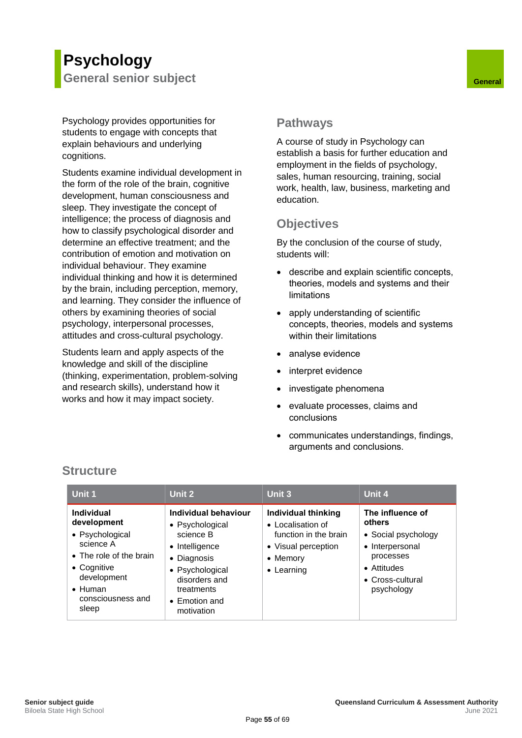## <span id="page-61-0"></span>**Psychology General senior subject General**

Psychology provides opportunities for students to engage with concepts that explain behaviours and underlying cognitions.

Students examine individual development in the form of the role of the brain, cognitive development, human consciousness and sleep. They investigate the concept of intelligence; the process of diagnosis and how to classify psychological disorder and determine an effective treatment; and the contribution of emotion and motivation on individual behaviour. They examine individual thinking and how it is determined by the brain, including perception, memory, and learning. They consider the influence of others by examining theories of social psychology, interpersonal processes, attitudes and cross-cultural psychology.

Students learn and apply aspects of the knowledge and skill of the discipline (thinking, experimentation, problem-solving and research skills), understand how it works and how it may impact society.

#### <span id="page-61-2"></span><span id="page-61-1"></span>**Pathways**

A course of study in Psychology can establish a basis for further education and employment in the fields of psychology, sales, human resourcing, training, social work, health, law, business, marketing and education.

## <span id="page-61-3"></span>**Objectives**

By the conclusion of the course of study, students will:

- describe and explain scientific concepts, theories, models and systems and their limitations
- apply understanding of scientific concepts, theories, models and systems within their limitations
- analyse evidence
- interpret evidence
- investigate phenomena
- evaluate processes, claims and conclusions
- communicates understandings, findings, arguments and conclusions.

| Unit 1                                                                                                                                                              | Unit 2                                                                                                                                                                 | Unit 3                                                                                                                            | Unit 4                                                                                                                             |
|---------------------------------------------------------------------------------------------------------------------------------------------------------------------|------------------------------------------------------------------------------------------------------------------------------------------------------------------------|-----------------------------------------------------------------------------------------------------------------------------------|------------------------------------------------------------------------------------------------------------------------------------|
| Individual<br>development<br>• Psychological<br>science A<br>• The role of the brain<br>• Cognitive<br>development<br>$\bullet$ Human<br>consciousness and<br>sleep | Individual behaviour<br>• Psychological<br>science B<br>• Intelligence<br>• Diagnosis<br>• Psychological<br>disorders and<br>treatments<br>• Emotion and<br>motivation | <b>Individual thinking</b><br>• Localisation of<br>function in the brain<br>• Visual perception<br>• Memory<br>$\bullet$ Learning | The influence of<br>others<br>• Social psychology<br>• Interpersonal<br>processes<br>• Attitudes<br>• Cross-cultural<br>psychology |

### <span id="page-61-4"></span>**Structure**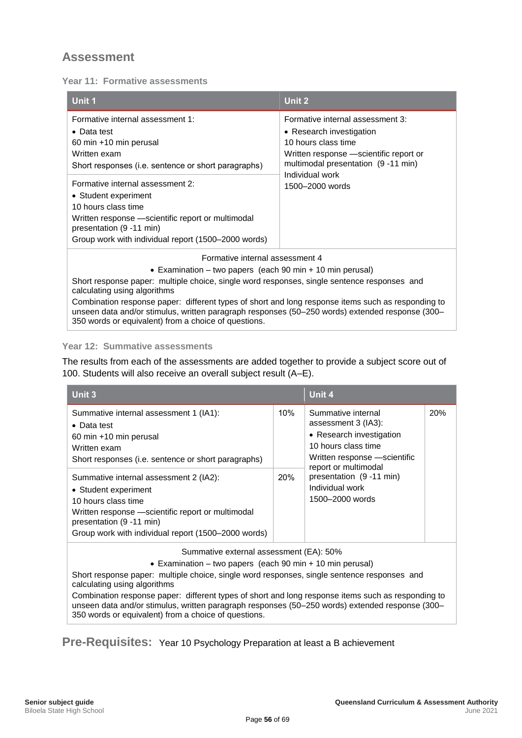<span id="page-62-0"></span>**Year 11: Formative assessments**

| Unit 1                                                                                      | Unit 2                                  |  |  |
|---------------------------------------------------------------------------------------------|-----------------------------------------|--|--|
| Formative internal assessment 1:                                                            | Formative internal assessment 3:        |  |  |
| $\bullet$ Data test                                                                         | • Research investigation                |  |  |
| 60 min +10 min perusal                                                                      | 10 hours class time                     |  |  |
| Written exam                                                                                | Written response — scientific report or |  |  |
| Short responses (i.e. sentence or short paragraphs)                                         | multimodal presentation (9-11 min)      |  |  |
| Formative internal assessment 2:                                                            | Individual work<br>1500-2000 words      |  |  |
| • Student experiment                                                                        |                                         |  |  |
| 10 hours class time                                                                         |                                         |  |  |
| Written response - scientific report or multimodal<br>presentation (9 -11 min)              |                                         |  |  |
| Group work with individual report (1500-2000 words)                                         |                                         |  |  |
| Formative internal assessment 4                                                             |                                         |  |  |
| • Examination – two papers (each 90 min + 10 min perusal)                                   |                                         |  |  |
| Short response paper: multiple choice, single word responses, single sentence responses and |                                         |  |  |

calculating using algorithms Combination response paper: different types of short and long response items such as responding to unseen data and/or stimulus, written paragraph responses (50–250 words) extended response (300– 350 words or equivalent) from a choice of questions.

#### **Year 12: Summative assessments**

The results from each of the assessments are added together to provide a subject score out of 100. Students will also receive an overall subject result (A–E).

| Unit 3                                                                                                                                                                                                                                                                                                                                                                                           |            | Unit 4                                                                                                                                                                                                                 |            |
|--------------------------------------------------------------------------------------------------------------------------------------------------------------------------------------------------------------------------------------------------------------------------------------------------------------------------------------------------------------------------------------------------|------------|------------------------------------------------------------------------------------------------------------------------------------------------------------------------------------------------------------------------|------------|
| Summative internal assessment 1 (IA1):<br>$\bullet$ Data test<br>60 min +10 min perusal<br>Written exam<br>Short responses (i.e. sentence or short paragraphs)<br>Summative internal assessment 2 (IA2):<br>• Student experiment<br>10 hours class time<br>Written response - scientific report or multimodal<br>presentation (9 -11 min)<br>Group work with individual report (1500–2000 words) | 10%<br>20% | Summative internal<br>assessment 3 (IA3):<br>• Research investigation<br>10 hours class time<br>Written response -scientific<br>report or multimodal<br>presentation (9 -11 min)<br>Individual work<br>1500-2000 words | <b>20%</b> |

Summative external assessment (EA): 50%

• Examination – two papers (each 90 min + 10 min perusal)

Short response paper: multiple choice, single word responses, single sentence responses and calculating using algorithms

Combination response paper: different types of short and long response items such as responding to unseen data and/or stimulus, written paragraph responses (50–250 words) extended response (300– 350 words or equivalent) from a choice of questions.

<span id="page-62-1"></span>**Pre-Requisites:** Year 10 Psychology Preparation at least a B achievement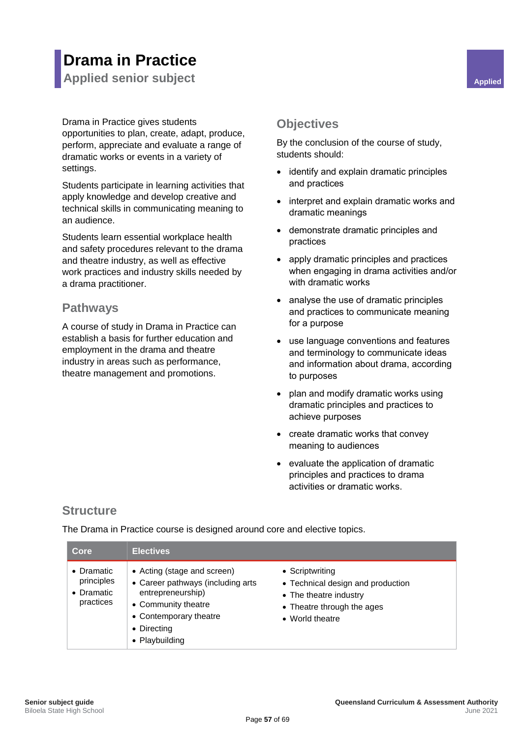## **Drama in Practice**

<span id="page-63-0"></span>**Applied senior subject Applied Applied Applied** 

Drama in Practice gives students

opportunities to plan, create, adapt, produce, perform, appreciate and evaluate a range of dramatic works or events in a variety of settings.

Students participate in learning activities that apply knowledge and develop creative and technical skills in communicating meaning to an audience.

Students learn essential workplace health and safety procedures relevant to the drama and theatre industry, as well as effective work practices and industry skills needed by a drama practitioner.

#### <span id="page-63-2"></span>**Pathways**

A course of study in Drama in Practice can establish a basis for further education and employment in the drama and theatre industry in areas such as performance, theatre management and promotions.

### <span id="page-63-3"></span><span id="page-63-1"></span>**Objectives**

By the conclusion of the course of study, students should:

- identify and explain dramatic principles and practices
- interpret and explain dramatic works and dramatic meanings
- demonstrate dramatic principles and practices
- apply dramatic principles and practices when engaging in drama activities and/or with dramatic works
- analyse the use of dramatic principles and practices to communicate meaning for a purpose
- use language conventions and features and terminology to communicate ideas and information about drama, according to purposes
- plan and modify dramatic works using dramatic principles and practices to achieve purposes
- create dramatic works that convey meaning to audiences
- evaluate the application of dramatic principles and practices to drama activities or dramatic works.

## <span id="page-63-4"></span>**Structure**

The Drama in Practice course is designed around core and elective topics.

| Core                                                        | Electives                                                                                                                                                               |                                                                                                                                 |
|-------------------------------------------------------------|-------------------------------------------------------------------------------------------------------------------------------------------------------------------------|---------------------------------------------------------------------------------------------------------------------------------|
| $\bullet$ Dramatic<br>principles<br>• Dramatic<br>practices | • Acting (stage and screen)<br>• Career pathways (including arts<br>entrepreneurship)<br>• Community theatre<br>• Contemporary theatre<br>• Directing<br>• Playbuilding | • Scriptwriting<br>• Technical design and production<br>• The theatre industry<br>• Theatre through the ages<br>• World theatre |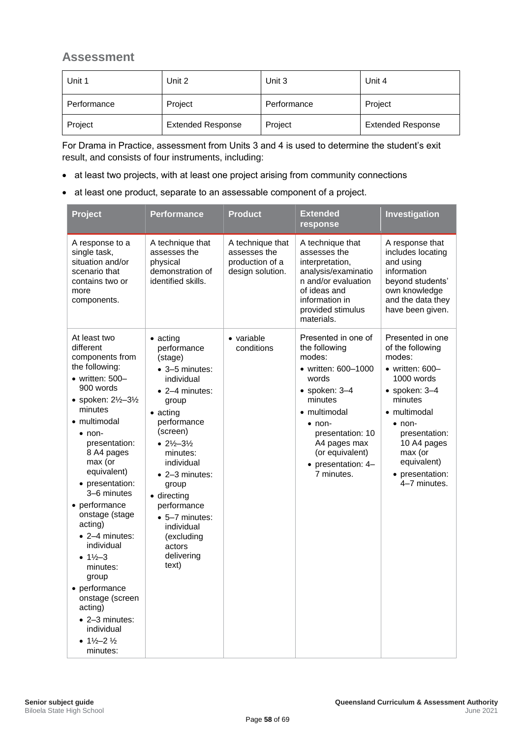<span id="page-64-0"></span>

| Unit 1      | Unit 2                   | Unit 3      | Unit 4                   |
|-------------|--------------------------|-------------|--------------------------|
| Performance | Project                  | Performance | Project                  |
| Project     | <b>Extended Response</b> | Project     | <b>Extended Response</b> |

For Drama in Practice, assessment from Units 3 and 4 is used to determine the student's exit result, and consists of four instruments, including:

- at least two projects, with at least one project arising from community connections
- at least one product, separate to an assessable component of a project.

| Project                                                                                                                                                                                                                                                                                                                                                                                                                                                                                                                                | <b>Performance</b>                                                                                                                                                                                                                                                                                                                                                | <b>Product</b>                                                          | <b>Extended</b><br>response                                                                                                                                                                                                                     | Investigation                                                                                                                                                                                                                                              |
|----------------------------------------------------------------------------------------------------------------------------------------------------------------------------------------------------------------------------------------------------------------------------------------------------------------------------------------------------------------------------------------------------------------------------------------------------------------------------------------------------------------------------------------|-------------------------------------------------------------------------------------------------------------------------------------------------------------------------------------------------------------------------------------------------------------------------------------------------------------------------------------------------------------------|-------------------------------------------------------------------------|-------------------------------------------------------------------------------------------------------------------------------------------------------------------------------------------------------------------------------------------------|------------------------------------------------------------------------------------------------------------------------------------------------------------------------------------------------------------------------------------------------------------|
| A response to a<br>single task,<br>situation and/or<br>scenario that<br>contains two or<br>more<br>components.                                                                                                                                                                                                                                                                                                                                                                                                                         | A technique that<br>assesses the<br>physical<br>demonstration of<br>identified skills.                                                                                                                                                                                                                                                                            | A technique that<br>assesses the<br>production of a<br>design solution. | A technique that<br>assesses the<br>interpretation,<br>analysis/examinatio<br>n and/or evaluation<br>of ideas and<br>information in<br>provided stimulus<br>materials.                                                                          | A response that<br>includes locating<br>and using<br>information<br>beyond students'<br>own knowledge<br>and the data they<br>have been given.                                                                                                             |
| At least two<br>different<br>components from<br>the following:<br>$\bullet$ written: 500-<br>900 words<br>• spoken: 21/2-31/2<br>minutes<br>• multimodal<br>$\bullet$ non-<br>presentation:<br>8 A4 pages<br>max (or<br>equivalent)<br>• presentation:<br>3-6 minutes<br>• performance<br>onstage (stage<br>acting)<br>$\bullet$ 2-4 minutes:<br>individual<br>• $1\frac{1}{2} - 3$<br>minutes:<br>group<br>• performance<br>onstage (screen<br>acting)<br>• 2-3 minutes:<br>individual<br>• $1\frac{1}{2} - 2\frac{1}{2}$<br>minutes: | $\bullet$ acting<br>performance<br>(stage)<br>• 3-5 minutes:<br>individual<br>$\bullet$ 2-4 minutes:<br>group<br>$\bullet$ acting<br>performance<br>(screen)<br>• $2\frac{1}{2} - 3\frac{1}{2}$<br>minutes:<br>individual<br>• 2-3 minutes:<br>group<br>· directing<br>performance<br>• 5-7 minutes:<br>individual<br>(excluding<br>actors<br>delivering<br>text) | • variable<br>conditions                                                | Presented in one of<br>the following<br>modes:<br>• written: 600-1000<br>words<br>$\bullet$ spoken: 3-4<br>minutes<br>• multimodal<br>$\bullet$ non-<br>presentation: 10<br>A4 pages max<br>(or equivalent)<br>• presentation: 4-<br>7 minutes. | Presented in one<br>of the following<br>modes:<br>$\bullet$ written: 600-<br>1000 words<br>$\bullet$ spoken: 3-4<br>minutes<br>• multimodal<br>$\bullet$ non-<br>presentation:<br>10 A4 pages<br>max (or<br>equivalent)<br>• presentation:<br>4-7 minutes. |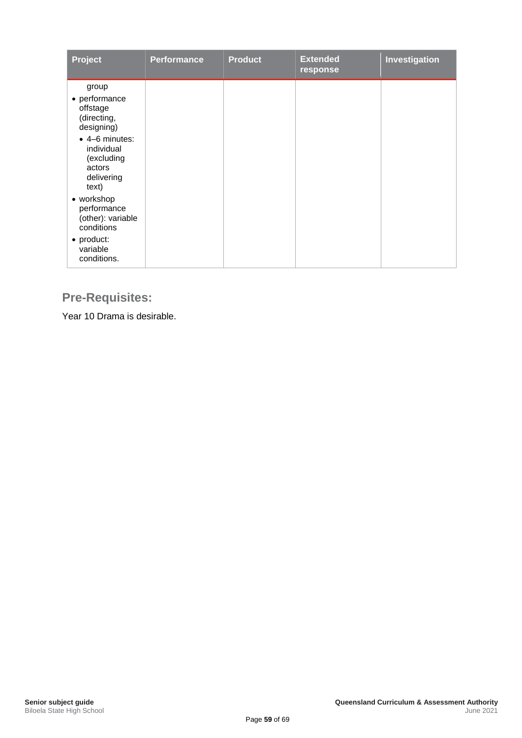| Project                                                                     | <b>Performance</b> | <b>Product</b> | <b>Extended</b><br>response | Investigation |
|-----------------------------------------------------------------------------|--------------------|----------------|-----------------------------|---------------|
| group<br>• performance<br>offstage<br>(directing,<br>designing)             |                    |                |                             |               |
| • 4-6 minutes:<br>individual<br>(excluding<br>actors<br>delivering<br>text) |                    |                |                             |               |
| • workshop<br>performance<br>(other): variable<br>conditions                |                    |                |                             |               |
| • product:<br>variable<br>conditions.                                       |                    |                |                             |               |

## <span id="page-65-0"></span>**Pre-Requisites:**

Year 10 Drama is desirable.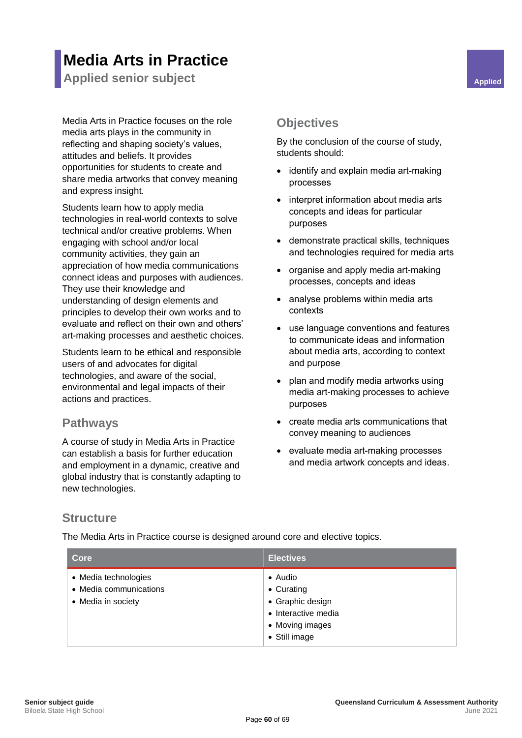## **Media Arts in Practice**

<span id="page-66-0"></span>**Applied senior subject Applied Applied Applied Applied Applied Applied Applied Applied Applied** 

Media Arts in Practice focuses on the role media arts plays in the community in reflecting and shaping society's values, attitudes and beliefs. It provides opportunities for students to create and share media artworks that convey meaning and express insight.

Students learn how to apply media technologies in real-world contexts to solve technical and/or creative problems. When engaging with school and/or local community activities, they gain an appreciation of how media communications connect ideas and purposes with audiences. They use their knowledge and understanding of design elements and principles to develop their own works and to evaluate and reflect on their own and others' art-making processes and aesthetic choices.

Students learn to be ethical and responsible users of and advocates for digital technologies, and aware of the social, environmental and legal impacts of their actions and practices.

#### <span id="page-66-2"></span>**Pathways**

A course of study in Media Arts in Practice can establish a basis for further education and employment in a dynamic, creative and global industry that is constantly adapting to new technologies.

#### <span id="page-66-3"></span><span id="page-66-1"></span>**Objectives**

By the conclusion of the course of study, students should:

- identify and explain media art-making processes
- interpret information about media arts concepts and ideas for particular purposes
- demonstrate practical skills, techniques and technologies required for media arts
- organise and apply media art-making processes, concepts and ideas
- analyse problems within media arts contexts
- use language conventions and features to communicate ideas and information about media arts, according to context and purpose
- plan and modify media artworks using media art-making processes to achieve purposes
- create media arts communications that convey meaning to audiences
- evaluate media art-making processes and media artwork concepts and ideas.

### <span id="page-66-4"></span>**Structure**

The Media Arts in Practice course is designed around core and elective topics.

| Core                                                                 | <b>Electives</b>                                                                                             |
|----------------------------------------------------------------------|--------------------------------------------------------------------------------------------------------------|
| • Media technologies<br>• Media communications<br>• Media in society | $\bullet$ Audio<br>• Curating<br>• Graphic design<br>• Interactive media<br>• Moving images<br>• Still image |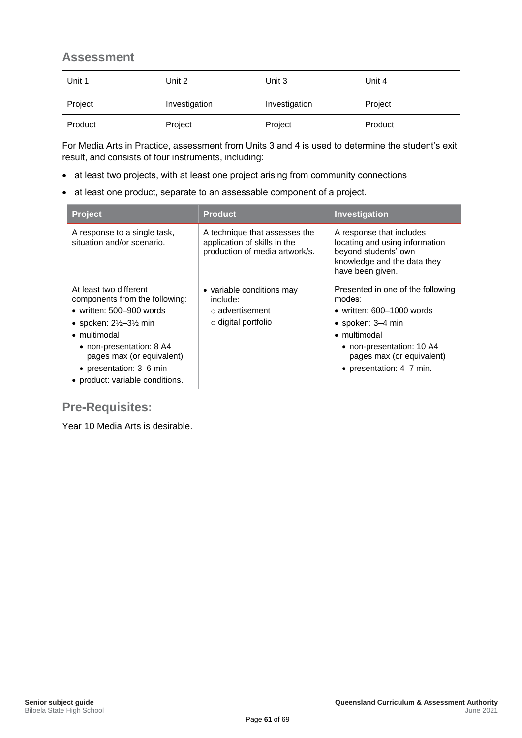<span id="page-67-0"></span>

| Unit 1  | Unit 2        | Unit 3        | Unit 4  |
|---------|---------------|---------------|---------|
| Project | Investigation | Investigation | Project |
| Product | Project       | Project       | Product |

For Media Arts in Practice, assessment from Units 3 and 4 is used to determine the student's exit result, and consists of four instruments, including:

- at least two projects, with at least one project arising from community connections
- at least one product, separate to an assessable component of a project.

| <b>Project</b>                                                                                                                                                                                                                                                                           | <b>Product</b>                                                                                  | Investigation                                                                                                                                                                                                 |
|------------------------------------------------------------------------------------------------------------------------------------------------------------------------------------------------------------------------------------------------------------------------------------------|-------------------------------------------------------------------------------------------------|---------------------------------------------------------------------------------------------------------------------------------------------------------------------------------------------------------------|
| A response to a single task,<br>situation and/or scenario.                                                                                                                                                                                                                               | A technique that assesses the<br>application of skills in the<br>production of media artwork/s. | A response that includes<br>locating and using information<br>beyond students' own<br>knowledge and the data they<br>have been given.                                                                         |
| At least two different<br>components from the following:<br>• written: $500 - 900$ words<br>• spoken: $2\frac{1}{2}$ –3 $\frac{1}{2}$ min<br>$\bullet$ multimodal<br>• non-presentation: 8 A4<br>pages max (or equivalent)<br>• presentation: 3–6 min<br>• product: variable conditions. | • variable conditions may<br>include:<br>$\circ$ advertisement<br>$\circ$ digital portfolio     | Presented in one of the following<br>modes:<br>• written: $600-1000$ words<br>$\bullet$ spoken: 3-4 min<br>• multimodal<br>• non-presentation: 10 A4<br>pages max (or equivalent)<br>• presentation: 4–7 min. |

### <span id="page-67-1"></span>**Pre-Requisites:**

Year 10 Media Arts is desirable.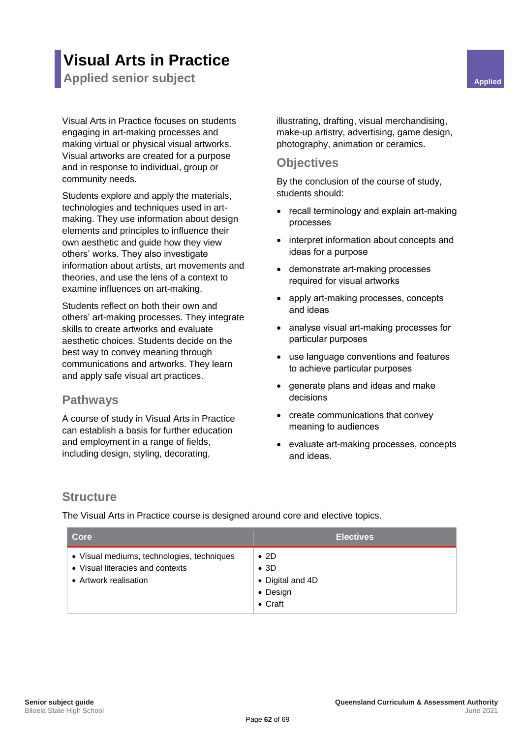## **Visual Arts in Practice**

<span id="page-68-0"></span>**Applied senior subject Applied Applied Applied** 

Visual Arts in Practice focuses on students engaging in art-making processes and making virtual or physical visual artworks. Visual artworks are created for a purpose and in response to individual, group or community needs.

Students explore and apply the materials, technologies and techniques used in artmaking. They use information about design elements and principles to influence their own aesthetic and guide how they view others' works. They also investigate information about artists, art movements and theories, and use the lens of a context to examine influences on art-making.

Students reflect on both their own and others' art-making processes. They integrate skills to create artworks and evaluate aesthetic choices. Students decide on the best way to convey meaning through communications and artworks. They learn and apply safe visual art practices.

#### <span id="page-68-2"></span>**Pathways**

A course of study in Visual Arts in Practice can establish a basis for further education and employment in a range of fields, including design, styling, decorating,

<span id="page-68-1"></span>illustrating, drafting, visual merchandising, make-up artistry, advertising, game design, photography, animation or ceramics.

#### <span id="page-68-3"></span>**Objectives**

By the conclusion of the course of study, students should:

- recall terminology and explain art-making processes
- interpret information about concepts and ideas for a purpose
- demonstrate art-making processes required for visual artworks
- apply art-making processes, concepts and ideas
- analyse visual art-making processes for particular purposes
- use language conventions and features to achieve particular purposes
- generate plans and ideas and make decisions
- create communications that convey meaning to audiences
- evaluate art-making processes, concepts and ideas.

#### <span id="page-68-4"></span>**Structure**

The Visual Arts in Practice course is designed around core and elective topics.

| Core                                                                                                    | <b>Electives</b>                                                                |
|---------------------------------------------------------------------------------------------------------|---------------------------------------------------------------------------------|
| • Visual mediums, technologies, techniques<br>• Visual literacies and contexts<br>• Artwork realisation | $\bullet$ 2D<br>$\bullet$ 3D<br>• Digital and 4D<br>• Design<br>$\bullet$ Craft |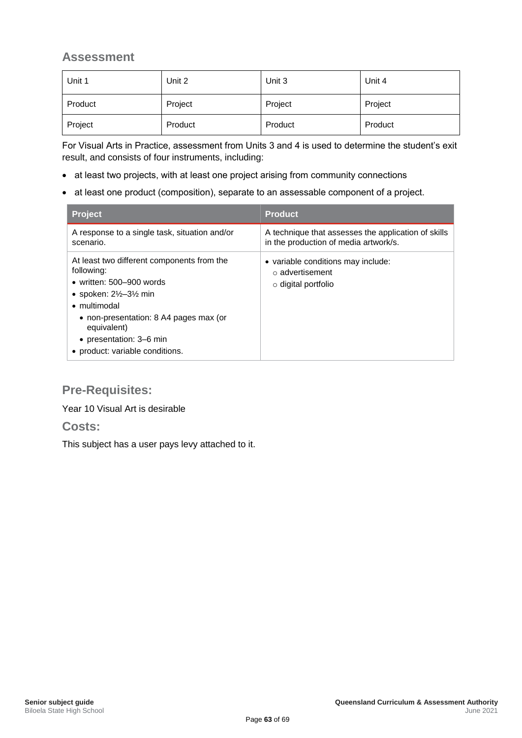<span id="page-69-0"></span>

| Unit 1  | Unit 2  | Unit 3  | Unit 4  |
|---------|---------|---------|---------|
| Product | Project | Project | Project |
| Project | Product | Product | Product |

For Visual Arts in Practice, assessment from Units 3 and 4 is used to determine the student's exit result, and consists of four instruments, including:

- at least two projects, with at least one project arising from community connections
- at least one product (composition), separate to an assessable component of a project.

| <b>Project</b>                                                                                                                                                                                                                                                                   | <b>Product</b>                                                                               |
|----------------------------------------------------------------------------------------------------------------------------------------------------------------------------------------------------------------------------------------------------------------------------------|----------------------------------------------------------------------------------------------|
| A response to a single task, situation and/or<br>scenario.                                                                                                                                                                                                                       | A technique that assesses the application of skills<br>in the production of media artwork/s. |
| At least two different components from the<br>following:<br>• written: $500 - 900$ words<br>• spoken: $2\frac{1}{2}$ –3 $\frac{1}{2}$ min<br>• multimodal<br>• non-presentation: 8 A4 pages max (or<br>equivalent)<br>• presentation: 3–6 min<br>• product: variable conditions. | • variable conditions may include:<br>○ advertisement<br>$\circ$ digital portfolio           |

### <span id="page-69-1"></span>**Pre-Requisites:**

Year 10 Visual Art is desirable

#### <span id="page-69-2"></span>**Costs:**

<span id="page-69-3"></span>This subject has a user pays levy attached to it.